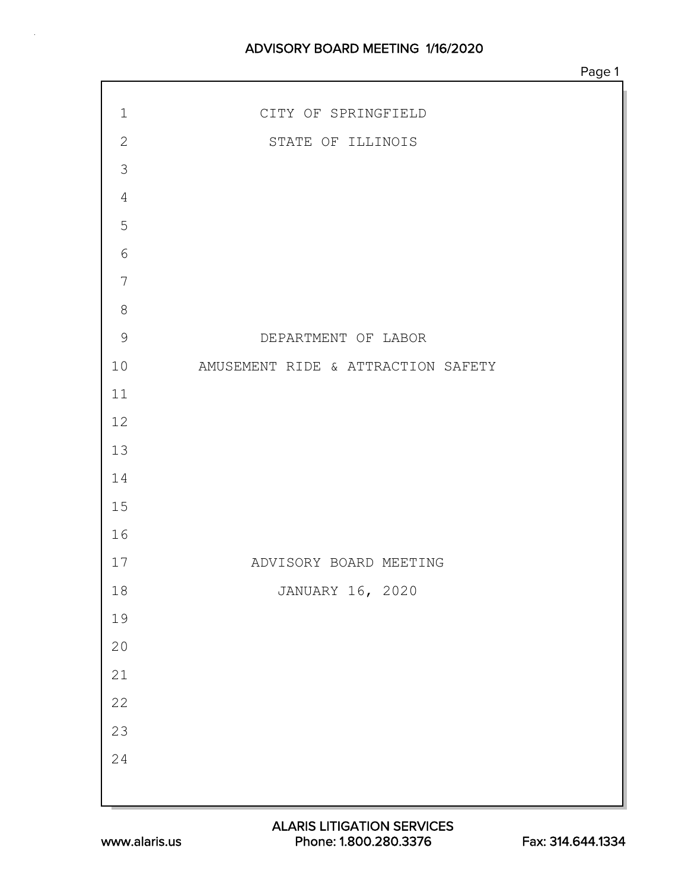| $\mathbf 1$    | CITY OF SPRINGFIELD                |
|----------------|------------------------------------|
| $\mathbf{2}$   | STATE OF ILLINOIS                  |
| $\mathcal{S}$  |                                    |
| $\overline{4}$ |                                    |
| $\overline{5}$ |                                    |
| $\epsilon$     |                                    |
| 7              |                                    |
| $\,8\,$        |                                    |
| $\overline{9}$ | DEPARTMENT OF LABOR                |
| 10             | AMUSEMENT RIDE & ATTRACTION SAFETY |
| 11             |                                    |
| 12             |                                    |
| 13             |                                    |
| 14             |                                    |
| 15             |                                    |
| 16             |                                    |
| 17             | ADVISORY BOARD MEETING             |
| $1\,8$         | JANUARY 16, 2020                   |
| 19             |                                    |
| $20\,$         |                                    |
| $21$           |                                    |
| 22             |                                    |
| 23             |                                    |
| 24             |                                    |
|                |                                    |
|                |                                    |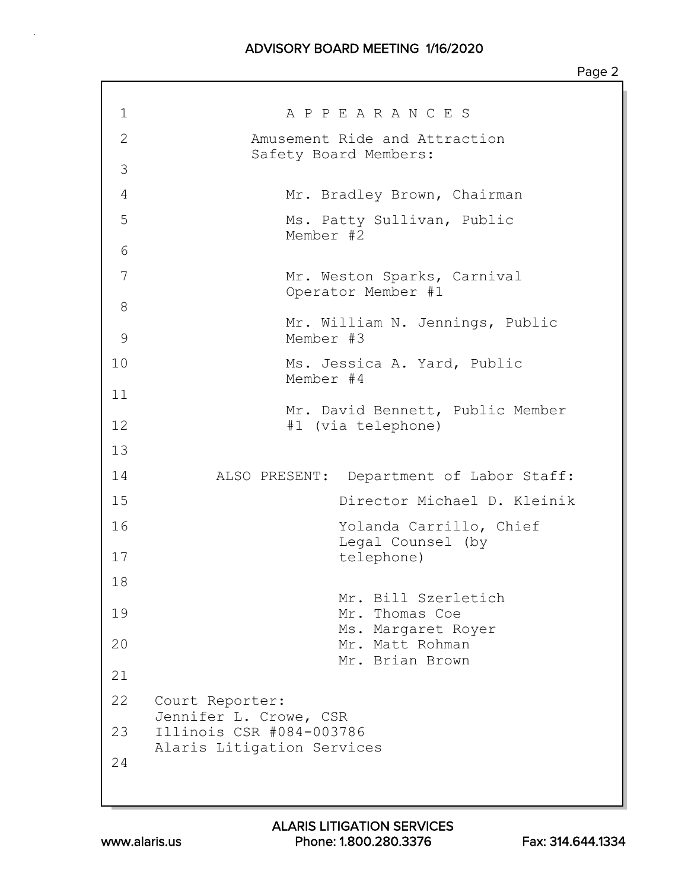## ADVISORY BOARD MEETING 1/16/2020

| 1            | A P P E A R A N C E S                                                            |
|--------------|----------------------------------------------------------------------------------|
| $\mathbf{2}$ | Amusement Ride and Attraction                                                    |
| 3            | Safety Board Members:                                                            |
| 4            | Mr. Bradley Brown, Chairman                                                      |
| 5            | Ms. Patty Sullivan, Public                                                       |
| 6            | Member #2                                                                        |
| 7            | Mr. Weston Sparks, Carnival<br>Operator Member #1                                |
| 8            |                                                                                  |
| 9            | Mr. William N. Jennings, Public<br>Member #3                                     |
| 10           | Ms. Jessica A. Yard, Public<br>Member #4                                         |
| 11           |                                                                                  |
| 12           | Mr. David Bennett, Public Member<br>#1 (via telephone)                           |
| 13           |                                                                                  |
| 14           | ALSO PRESENT: Department of Labor Staff:                                         |
| 15           | Director Michael D. Kleinik                                                      |
| 16           | Yolanda Carrillo, Chief                                                          |
| 17           | Legal Counsel (by<br>telephone)                                                  |
| 18           |                                                                                  |
| 19           | Mr. Bill Szerletich<br>Mr. Thomas Coe<br>Ms. Margaret Royer                      |
| 20           | Mr. Matt Rohman<br>Mr. Brian Brown                                               |
| 21           |                                                                                  |
| 22           | Court Reporter:                                                                  |
| 23           | Jennifer L. Crowe, CSR<br>Illinois CSR #084-003786<br>Alaris Litigation Services |
| 24           |                                                                                  |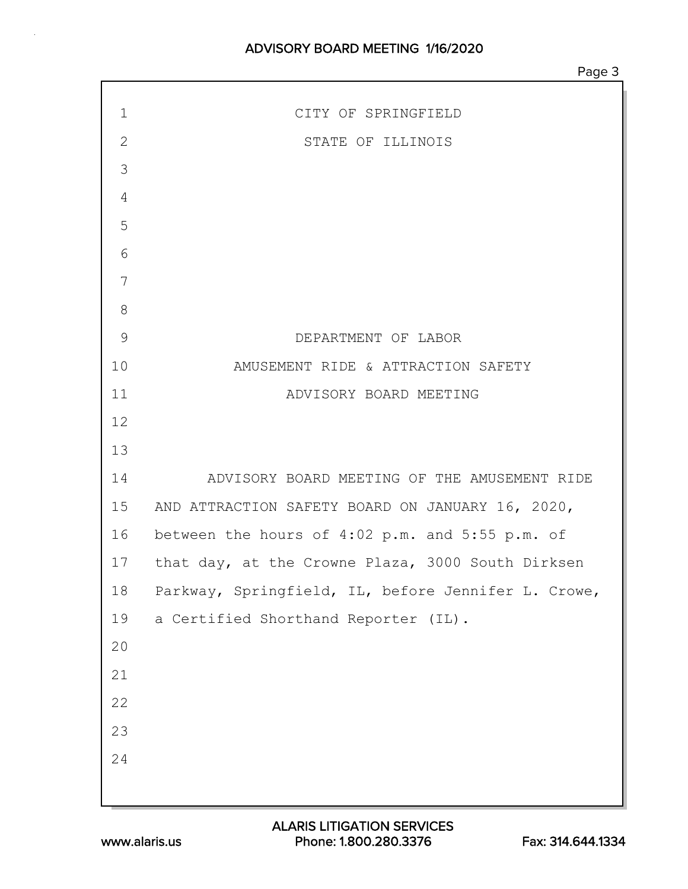| $\mathbf 1$  | CITY OF SPRINGFIELD                                  |
|--------------|------------------------------------------------------|
| $\mathbf{2}$ | STATE OF ILLINOIS                                    |
| 3            |                                                      |
| 4            |                                                      |
| 5            |                                                      |
| 6            |                                                      |
| 7            |                                                      |
| 8            |                                                      |
| 9            | DEPARTMENT OF LABOR                                  |
| 10           | AMUSEMENT RIDE & ATTRACTION SAFETY                   |
| 11           | ADVISORY BOARD MEETING                               |
| 12           |                                                      |
| 13           |                                                      |
| 14           | ADVISORY BOARD MEETING OF THE AMUSEMENT RIDE         |
|              | 15 AND ATTRACTION SAFETY BOARD ON JANUARY 16, 2020,  |
|              | 16 between the hours of 4:02 p.m. and 5:55 p.m. of   |
|              | 17 that day, at the Crowne Plaza, 3000 South Dirksen |
| 18           | Parkway, Springfield, IL, before Jennifer L. Crowe,  |
| 19           | a Certified Shorthand Reporter (IL).                 |
| 20           |                                                      |
| 21           |                                                      |
| 22           |                                                      |
| 23           |                                                      |
| 24           |                                                      |
|              |                                                      |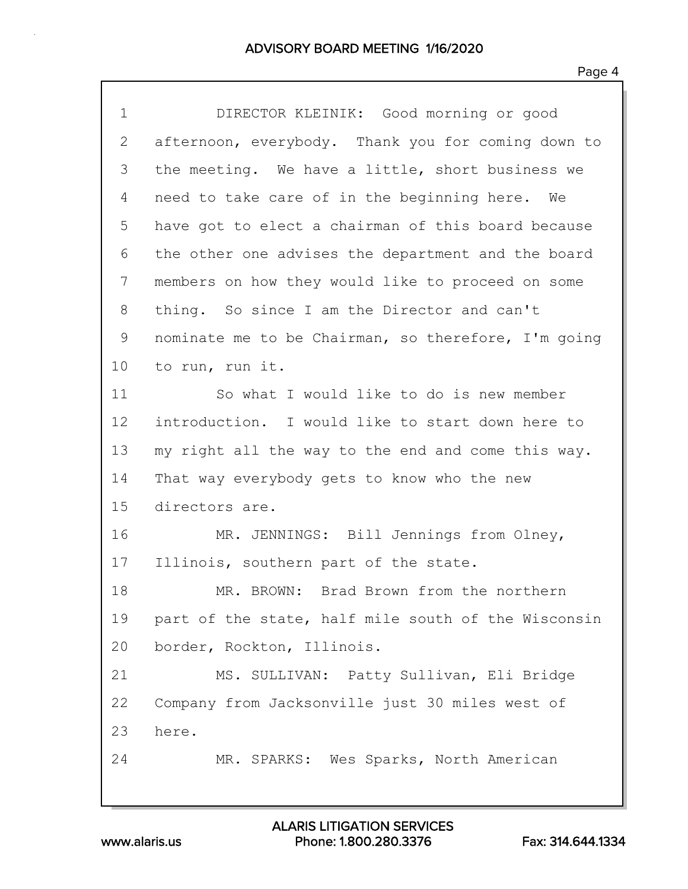| $\mathbf 1$ | DIRECTOR KLEINIK: Good morning or good              |
|-------------|-----------------------------------------------------|
| 2           | afternoon, everybody. Thank you for coming down to  |
| 3           | the meeting. We have a little, short business we    |
| 4           | need to take care of in the beginning here. We      |
| 5           | have got to elect a chairman of this board because  |
| 6           | the other one advises the department and the board  |
| 7           | members on how they would like to proceed on some   |
| 8           | thing. So since I am the Director and can't         |
| 9           | nominate me to be Chairman, so therefore, I'm going |
| 10          | to run, run it.                                     |
| 11          | So what I would like to do is new member            |
| 12          | introduction. I would like to start down here to    |
| 13          | my right all the way to the end and come this way.  |
| 14          | That way everybody gets to know who the new         |
| 15          | directors are.                                      |
| 16          | MR. JENNINGS: Bill Jennings from Olney,             |
| 17          | Illinois, southern part of the state.               |
| 18          | MR. BROWN: Brad Brown from the northern             |
| 19          | part of the state, half mile south of the Wisconsin |
| 20          | border, Rockton, Illinois.                          |
| 21          | MS. SULLIVAN: Patty Sullivan, Eli Bridge            |
| 22          | Company from Jacksonville just 30 miles west of     |
| 23          | here.                                               |
| 24          | MR. SPARKS: Wes Sparks, North American              |
|             |                                                     |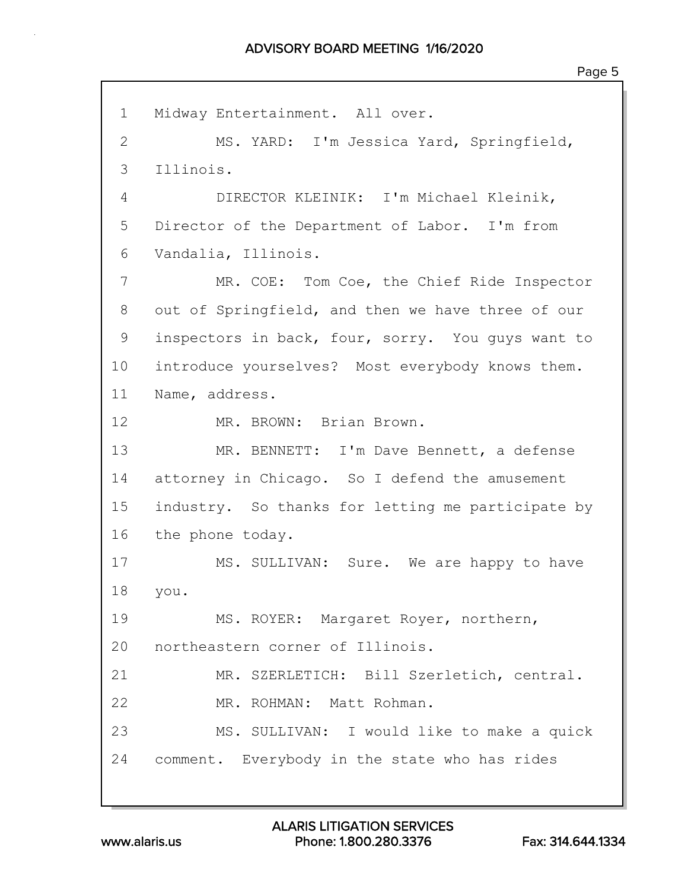1 Midway Entertainment. All over. 2 MS. YARD: I'm Jessica Yard, Springfield, 3 Illinois. 4 DIRECTOR KLEINIK: I'm Michael Kleinik, 5 Director of the Department of Labor. I'm from 6 Vandalia, Illinois. 7 MR. COE: Tom Coe, the Chief Ride Inspector 8 out of Springfield, and then we have three of our 9 inspectors in back, four, sorry. You guys want to 10 introduce yourselves? Most everybody knows them. 11 Name, address. 12 MR. BROWN: Brian Brown. 13 MR. BENNETT: I'm Dave Bennett, a defense 14 attorney in Chicago. So I defend the amusement 15 industry. So thanks for letting me participate by 16 the phone today. 17 MS. SULLIVAN: Sure. We are happy to have 18 you. 19 MS. ROYER: Margaret Royer, northern, 20 northeastern corner of Illinois. 21 MR. SZERLETICH: Bill Szerletich, central. 22 MR. ROHMAN: Matt Rohman. 23 MS. SULLIVAN: I would like to make a quick 24 comment. Everybody in the state who has rides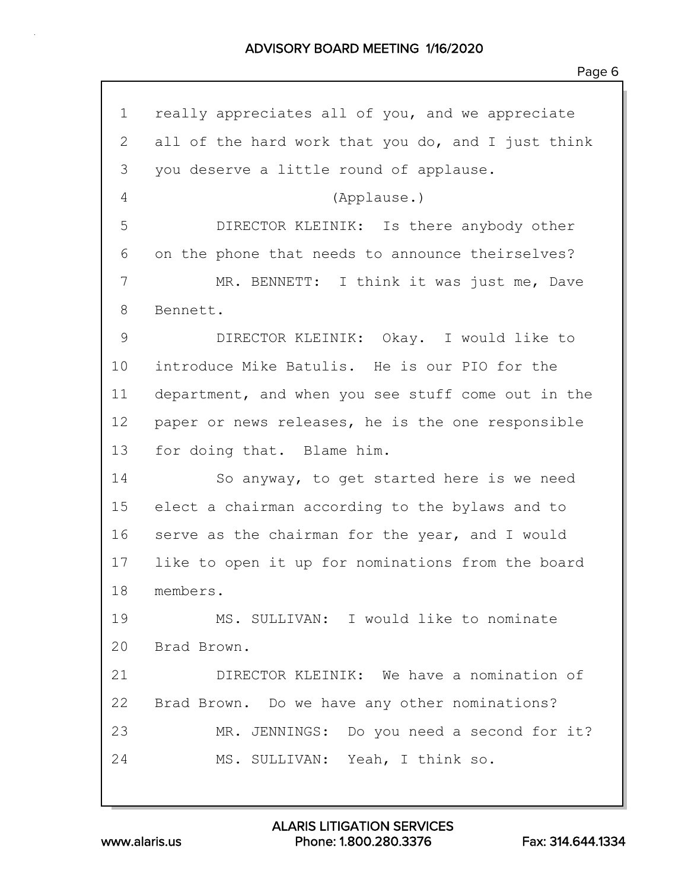1 really appreciates all of you, and we appreciate 2 all of the hard work that you do, and I just think 3 you deserve a little round of applause. 4 (Applause.) 5 DIRECTOR KLEINIK: Is there anybody other 6 on the phone that needs to announce theirselves? 7 MR. BENNETT: I think it was just me, Dave 8 Bennett. 9 DIRECTOR KLEINIK: Okay. I would like to 10 introduce Mike Batulis. He is our PIO for the 11 department, and when you see stuff come out in the 12 paper or news releases, he is the one responsible 13 for doing that. Blame him. 14 So anyway, to get started here is we need 15 elect a chairman according to the bylaws and to 16 serve as the chairman for the year, and I would 17 like to open it up for nominations from the board 18 members. 19 MS. SULLIVAN: I would like to nominate 20 Brad Brown. 21 DIRECTOR KLEINIK: We have a nomination of 22 Brad Brown. Do we have any other nominations? 23 MR. JENNINGS: Do you need a second for it? 24 MS. SULLIVAN: Yeah, I think so.

www.alaris.us Phone: 1.800.280.3376 Fax: 314.644.1334 ALARIS LITIGATION SERVICES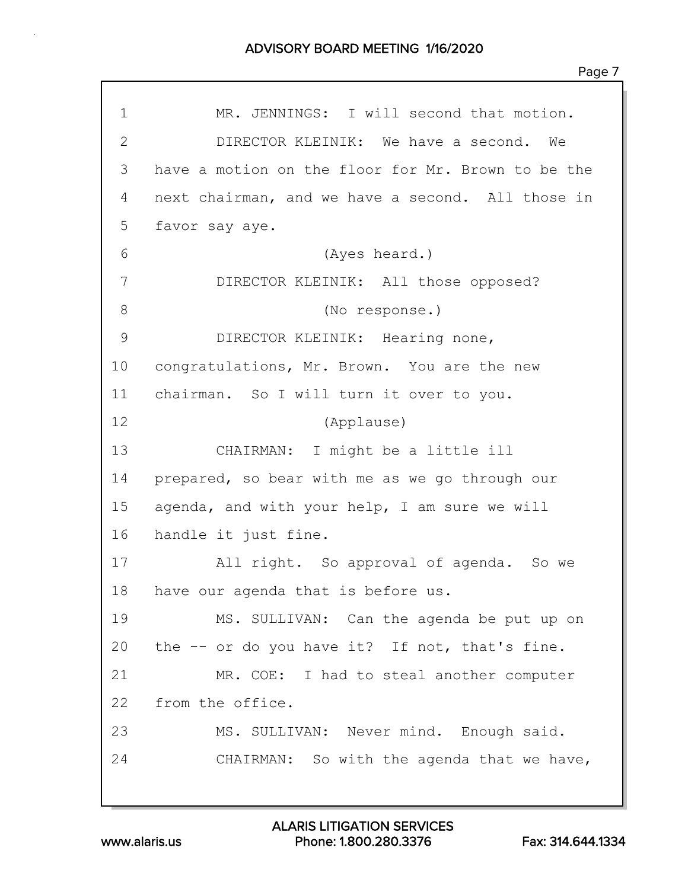1 MR. JENNINGS: I will second that motion. 2 DIRECTOR KLEINIK: We have a second. We 3 have a motion on the floor for Mr. Brown to be the 4 next chairman, and we have a second. All those in 5 favor say aye. 6 (Ayes heard.) 7 DIRECTOR KLEINIK: All those opposed? 8 (No response.) 9 DIRECTOR KLEINIK: Hearing none, 10 congratulations, Mr. Brown. You are the new 11 chairman. So I will turn it over to you. 12 (Applause) 13 CHAIRMAN: I might be a little ill 14 prepared, so bear with me as we go through our 15 agenda, and with your help, I am sure we will 16 handle it just fine. 17 All right. So approval of agenda. So we 18 have our agenda that is before us. 19 MS. SULLIVAN: Can the agenda be put up on 20 the -- or do you have it? If not, that's fine. 21 MR. COE: I had to steal another computer 22 from the office. 23 MS. SULLIVAN: Never mind. Enough said. 24 CHAIRMAN: So with the agenda that we have,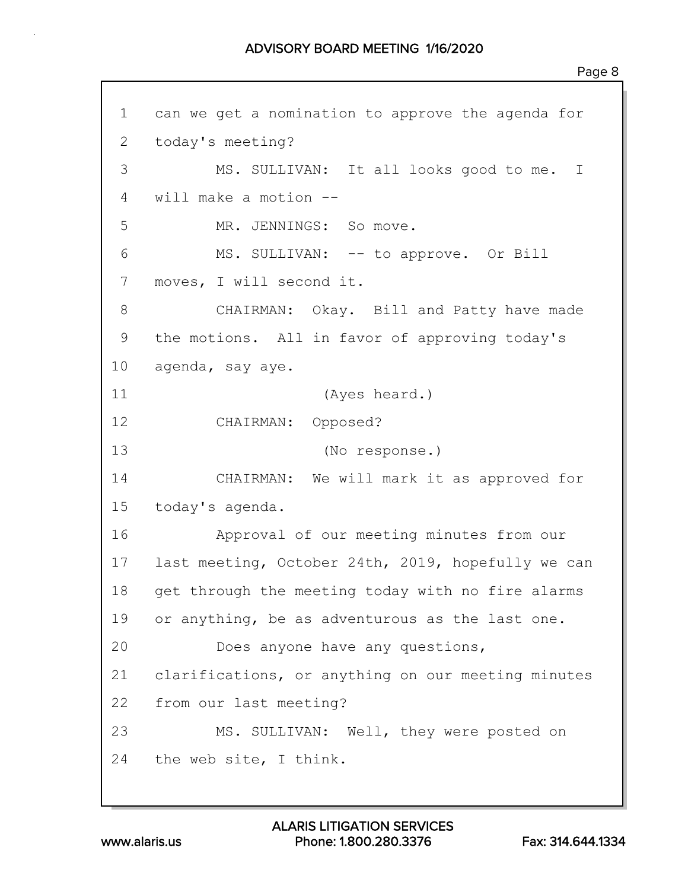1 can we get a nomination to approve the agenda for 2 today's meeting? 3 MS. SULLIVAN: It all looks good to me. I 4 will make a motion -- 5 MR. JENNINGS: So move. 6 MS. SULLIVAN: -- to approve. Or Bill 7 moves, I will second it. 8 CHAIRMAN: Okay. Bill and Patty have made 9 the motions. All in favor of approving today's 10 agenda, say aye. 11 (Ayes heard.) 12 CHAIRMAN: Opposed? 13 (No response.) 14 CHAIRMAN: We will mark it as approved for 15 today's agenda. 16 Approval of our meeting minutes from our 17 last meeting, October 24th, 2019, hopefully we can 18 get through the meeting today with no fire alarms 19 or anything, be as adventurous as the last one. 20 Does anyone have any questions, 21 clarifications, or anything on our meeting minutes 22 from our last meeting? 23 MS. SULLIVAN: Well, they were posted on 24 the web site, I think.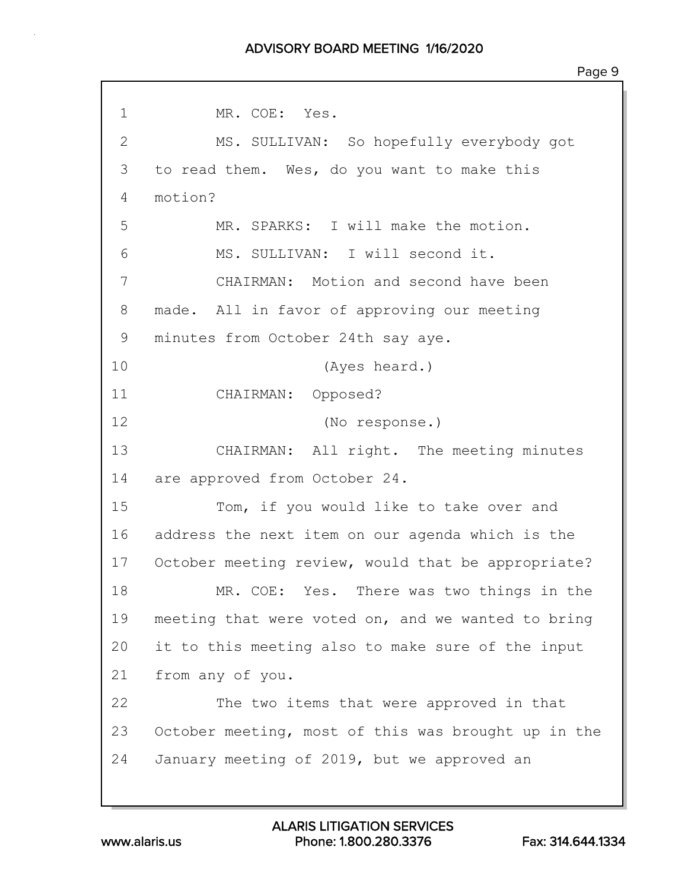1 MR. COE: Yes. 2 MS. SULLIVAN: So hopefully everybody got 3 to read them. Wes, do you want to make this 4 motion? 5 MR. SPARKS: I will make the motion. 6 MS. SULLIVAN: I will second it. 7 CHAIRMAN: Motion and second have been 8 made. All in favor of approving our meeting 9 minutes from October 24th say aye. 10 (Ayes heard.) 11 CHAIRMAN: Opposed? 12 (No response.) 13 CHAIRMAN: All right. The meeting minutes 14 are approved from October 24. 15 Tom, if you would like to take over and 16 address the next item on our agenda which is the 17 October meeting review, would that be appropriate? 18 MR. COE: Yes. There was two things in the 19 meeting that were voted on, and we wanted to bring 20 it to this meeting also to make sure of the input 21 from any of you. 22 The two items that were approved in that 23 October meeting, most of this was brought up in the 24 January meeting of 2019, but we approved an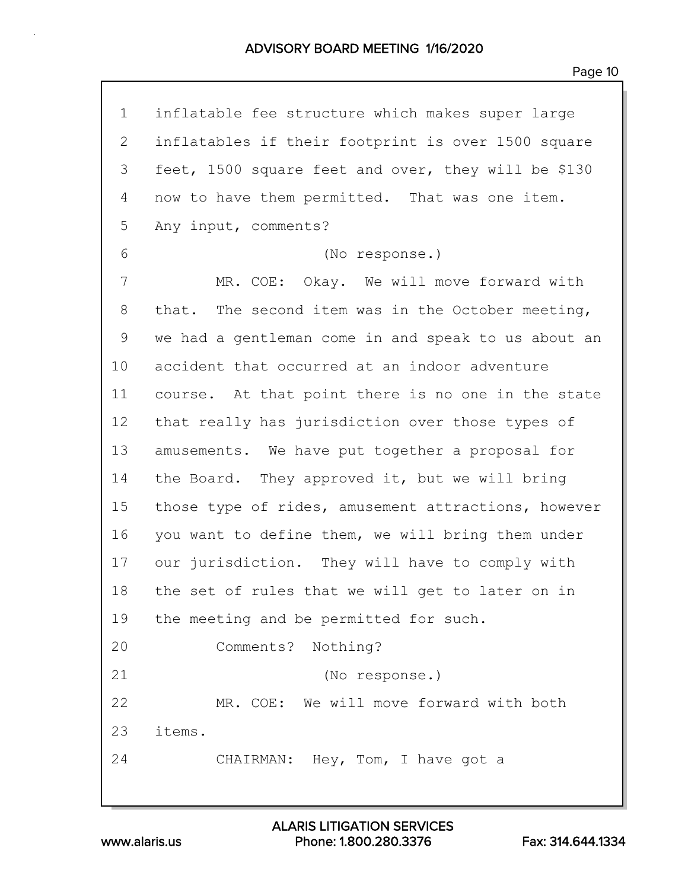| $\mathbf 1$     | inflatable fee structure which makes super large    |
|-----------------|-----------------------------------------------------|
| $\overline{2}$  | inflatables if their footprint is over 1500 square  |
| 3               | feet, 1500 square feet and over, they will be \$130 |
| 4               | now to have them permitted. That was one item.      |
| 5               | Any input, comments?                                |
| 6               | (No response.)                                      |
| 7               | MR. COE: Okay. We will move forward with            |
| 8               | that. The second item was in the October meeting,   |
| 9               | we had a gentleman come in and speak to us about an |
| 10 <sub>o</sub> | accident that occurred at an indoor adventure       |
| 11              | course. At that point there is no one in the state  |
| 12              | that really has jurisdiction over those types of    |
| 13              | amusements. We have put together a proposal for     |
| 14              | the Board. They approved it, but we will bring      |
| 15              | those type of rides, amusement attractions, however |
| 16              | you want to define them, we will bring them under   |
| 17              | our jurisdiction. They will have to comply with     |
| 18              | the set of rules that we will get to later on in    |
| 19              | the meeting and be permitted for such.              |
| 20              | Comments? Nothing?                                  |
| 21              | (No response.)                                      |
| 22              | MR. COE: We will move forward with both             |
| 23              | items.                                              |
| 24              | CHAIRMAN: Hey, Tom, I have got a                    |
|                 |                                                     |

www.alaris.us Phone: 1.800.280.3376 Fax: 314.644.1334 ALARIS LITIGATION SERVICES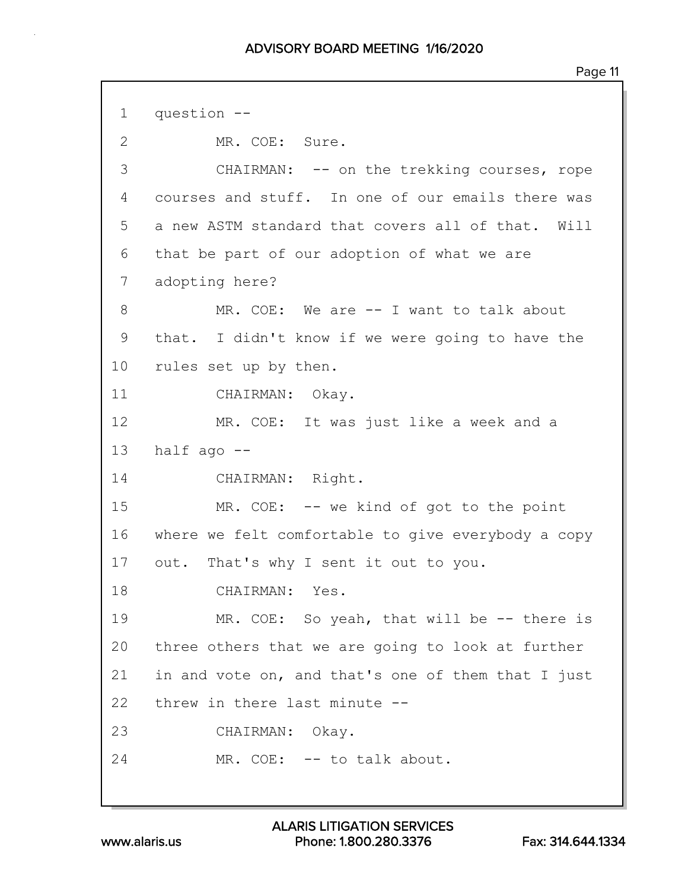1 question -- 2 MR. COE: Sure. 3 CHAIRMAN: -- on the trekking courses, rope 4 courses and stuff. In one of our emails there was 5 a new ASTM standard that covers all of that. Will 6 that be part of our adoption of what we are 7 adopting here? 8 MR. COE: We are -- I want to talk about 9 that. I didn't know if we were going to have the 10 rules set up by then. 11 CHAIRMAN: Okay. 12 MR. COE: It was just like a week and a 13 half ago -- 14 CHAIRMAN: Right. 15 MR. COE: -- we kind of got to the point 16 where we felt comfortable to give everybody a copy 17 out. That's why I sent it out to you. 18 CHAIRMAN: Yes. 19 MR. COE: So yeah, that will be -- there is 20 three others that we are going to look at further 21 in and vote on, and that's one of them that I just 22 threw in there last minute -- 23 CHAIRMAN: Okay. 24 MR. COE: -- to talk about.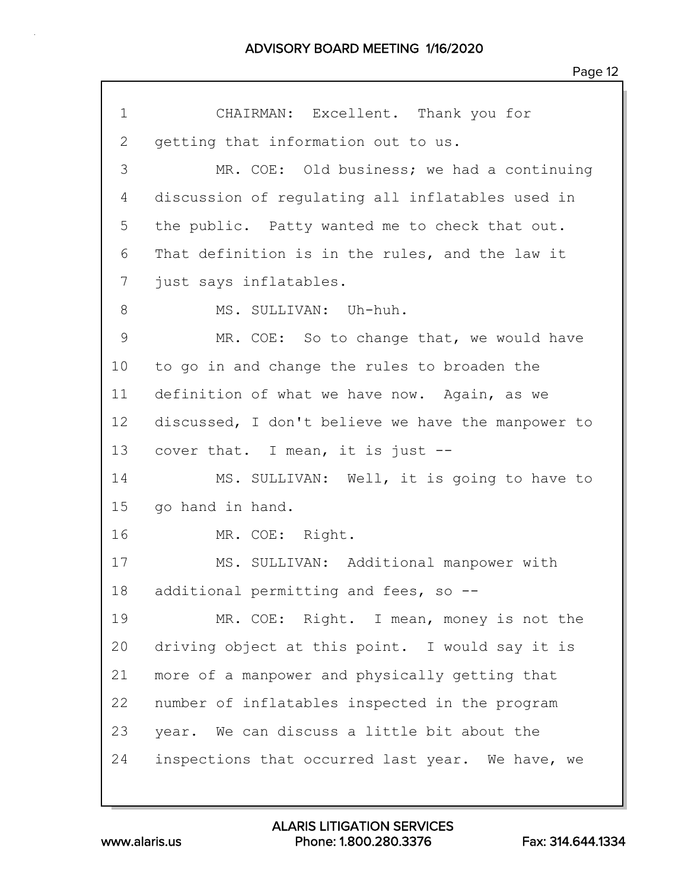1 CHAIRMAN: Excellent. Thank you for 2 getting that information out to us. 3 MR. COE: Old business; we had a continuing 4 discussion of regulating all inflatables used in 5 the public. Patty wanted me to check that out. 6 That definition is in the rules, and the law it 7 just says inflatables. 8 MS. SULLIVAN: Uh-huh. 9 MR. COE: So to change that, we would have 10 to go in and change the rules to broaden the 11 definition of what we have now. Again, as we 12 discussed, I don't believe we have the manpower to 13 cover that. I mean, it is just --14 MS. SULLIVAN: Well, it is going to have to 15 go hand in hand. 16 MR. COE: Right. 17 MS. SULLIVAN: Additional manpower with 18 additional permitting and fees, so -- 19 MR. COE: Right. I mean, money is not the 20 driving object at this point. I would say it is 21 more of a manpower and physically getting that 22 number of inflatables inspected in the program 23 year. We can discuss a little bit about the 24 inspections that occurred last year. We have, we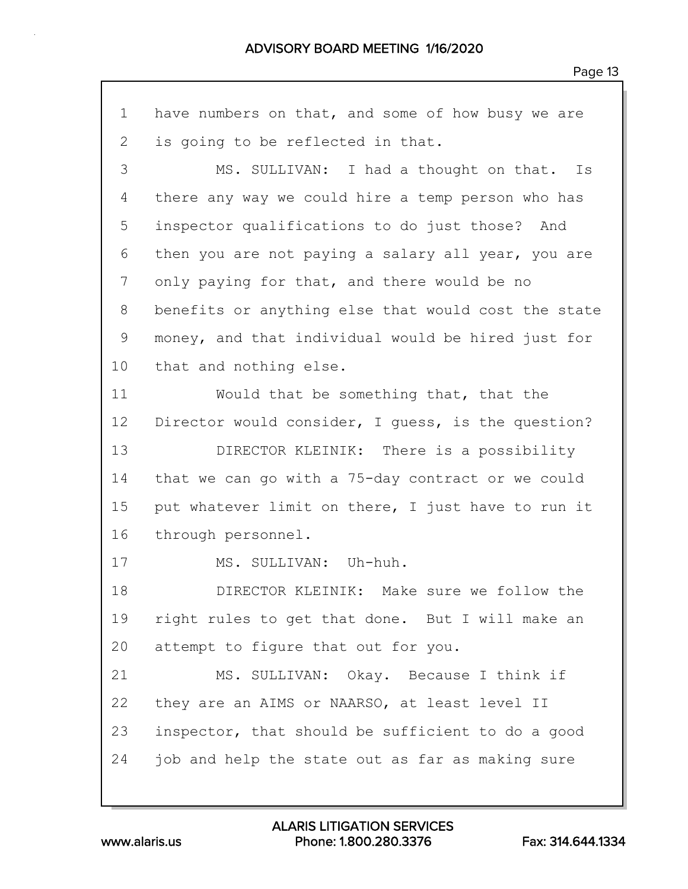1 have numbers on that, and some of how busy we are 2 is going to be reflected in that. 3 MS. SULLIVAN: I had a thought on that. Is 4 there any way we could hire a temp person who has 5 inspector qualifications to do just those? And 6 then you are not paying a salary all year, you are 7 only paying for that, and there would be no 8 benefits or anything else that would cost the state 9 money, and that individual would be hired just for 10 that and nothing else. 11 Would that be something that, that the 12 Director would consider, I guess, is the question? 13 DIRECTOR KLEINIK: There is a possibility 14 that we can go with a 75-day contract or we could 15 put whatever limit on there, I just have to run it 16 through personnel. 17 MS. SULLIVAN: Uh-huh. 18 DIRECTOR KLEINIK: Make sure we follow the 19 right rules to get that done. But I will make an 20 attempt to figure that out for you. 21 MS. SULLIVAN: Okay. Because I think if 22 they are an AIMS or NAARSO, at least level II 23 inspector, that should be sufficient to do a good 24 job and help the state out as far as making sure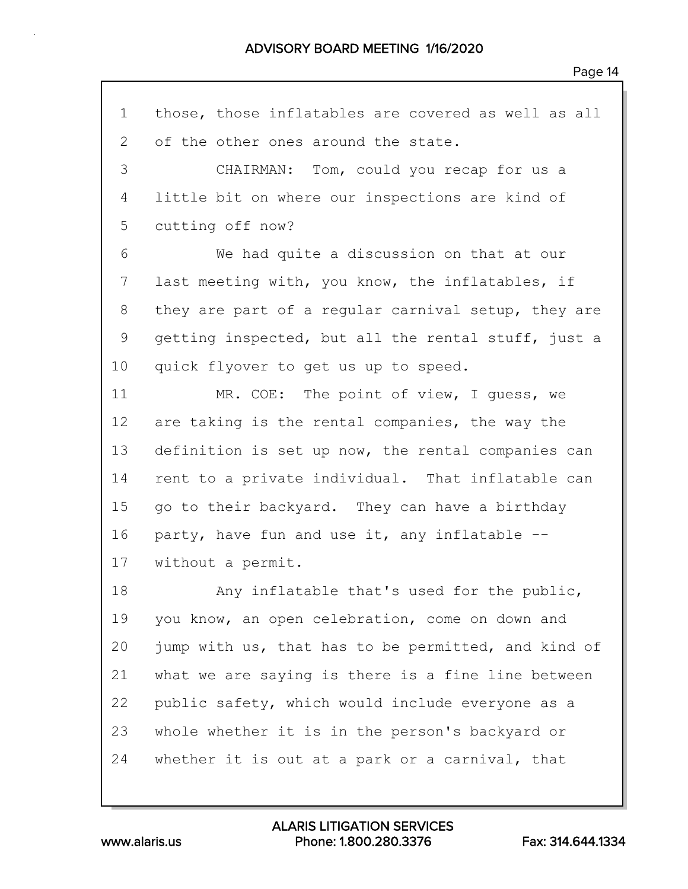1 those, those inflatables are covered as well as all 2 of the other ones around the state. 3 CHAIRMAN: Tom, could you recap for us a 4 little bit on where our inspections are kind of 5 cutting off now? 6 We had quite a discussion on that at our 7 last meeting with, you know, the inflatables, if 8 they are part of a regular carnival setup, they are 9 getting inspected, but all the rental stuff, just a 10 quick flyover to get us up to speed. 11 MR. COE: The point of view, I quess, we 12 are taking is the rental companies, the way the 13 definition is set up now, the rental companies can 14 rent to a private individual. That inflatable can 15 go to their backyard. They can have a birthday 16 party, have fun and use it, any inflatable -- 17 without a permit. 18 Any inflatable that's used for the public, 19 you know, an open celebration, come on down and 20 jump with us, that has to be permitted, and kind of 21 what we are saying is there is a fine line between 22 public safety, which would include everyone as a 23 whole whether it is in the person's backyard or 24 whether it is out at a park or a carnival, that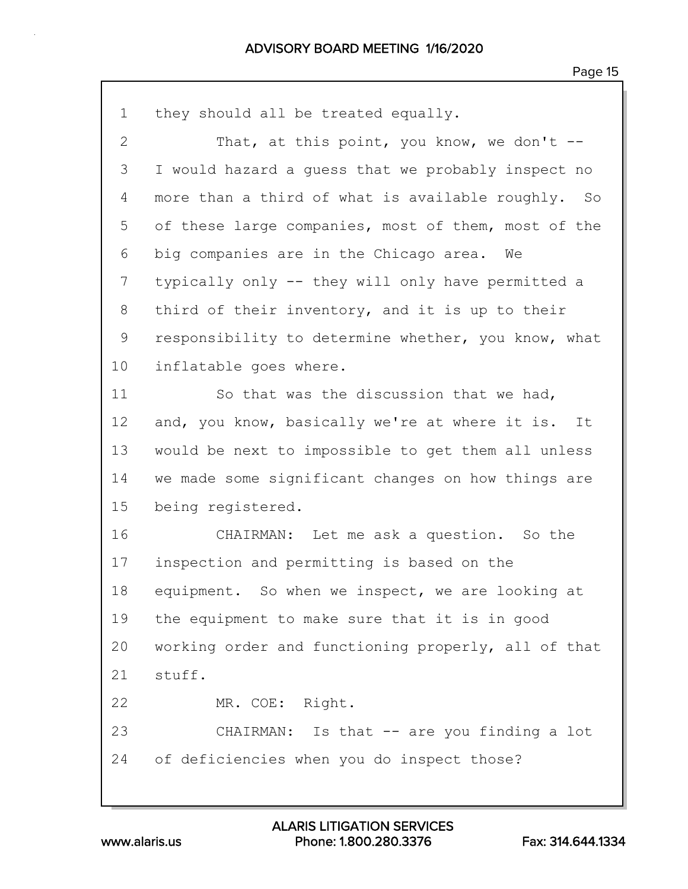| $\mathbf 1$    | they should all be treated equally.                 |
|----------------|-----------------------------------------------------|
| $\overline{2}$ | That, at this point, you know, we don't $-$         |
| 3              | I would hazard a guess that we probably inspect no  |
| 4              | more than a third of what is available roughly. So  |
| 5              | of these large companies, most of them, most of the |
| 6              | big companies are in the Chicago area. We           |
| 7              | typically only -- they will only have permitted a   |
| 8              | third of their inventory, and it is up to their     |
| 9              | responsibility to determine whether, you know, what |
| 10             | inflatable goes where.                              |
| 11             | So that was the discussion that we had,             |
| 12             | and, you know, basically we're at where it is. It   |
| 13             | would be next to impossible to get them all unless  |
| 14             | we made some significant changes on how things are  |
| 15             | being registered.                                   |
| 16             | CHAIRMAN: Let me ask a question. So the             |
| 17             | inspection and permitting is based on the           |
| 18             | equipment. So when we inspect, we are looking at    |
| 19             | the equipment to make sure that it is in good       |
| 20             | working order and functioning properly, all of that |
| 21             | stuff.                                              |
| 22             | MR. COE: Right.                                     |
| 23             | CHAIRMAN: Is that -- are you finding a lot          |
| 24             | of deficiencies when you do inspect those?          |
|                |                                                     |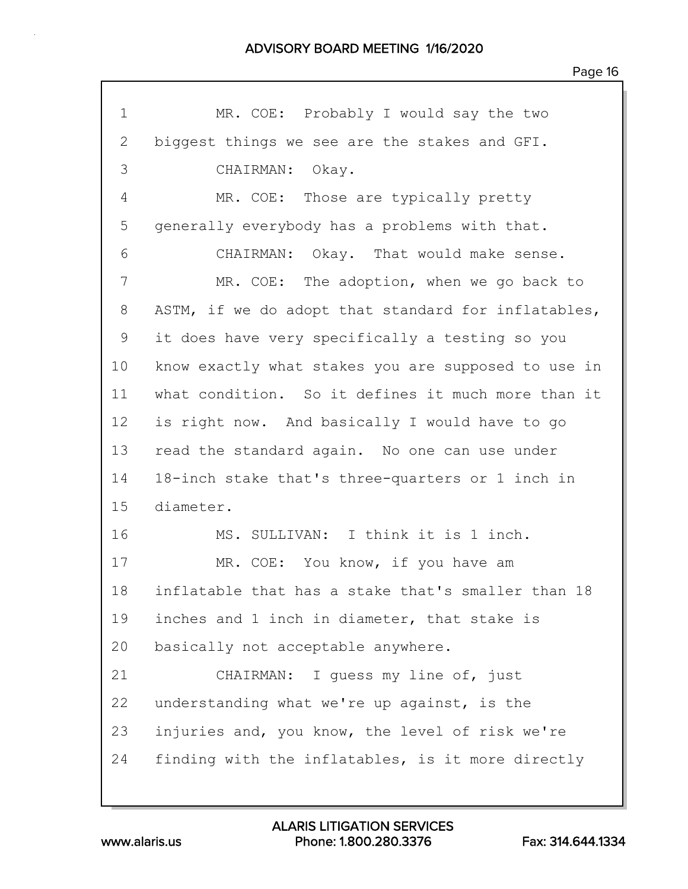| 1  | MR. COE: Probably I would say the two               |
|----|-----------------------------------------------------|
| 2  | biggest things we see are the stakes and GFI.       |
| 3  | CHAIRMAN: Okay.                                     |
| 4  | MR. COE: Those are typically pretty                 |
| 5  | generally everybody has a problems with that.       |
| 6  | CHAIRMAN: Okay. That would make sense.              |
| 7  | MR. COE: The adoption, when we go back to           |
| 8  | ASTM, if we do adopt that standard for inflatables, |
| 9  | it does have very specifically a testing so you     |
| 10 | know exactly what stakes you are supposed to use in |
| 11 | what condition. So it defines it much more than it  |
| 12 | is right now. And basically I would have to go      |
| 13 | read the standard again. No one can use under       |
| 14 | 18-inch stake that's three-quarters or 1 inch in    |
| 15 | diameter.                                           |
| 16 | MS. SULLIVAN: I think it is 1 inch.                 |
| 17 | MR. COE: You know, if you have am                   |
| 18 | inflatable that has a stake that's smaller than 18  |
| 19 | inches and 1 inch in diameter, that stake is        |
| 20 | basically not acceptable anywhere.                  |
| 21 | CHAIRMAN: I quess my line of, just                  |
| 22 | understanding what we're up against, is the         |
| 23 | injuries and, you know, the level of risk we're     |
| 24 | finding with the inflatables, is it more directly   |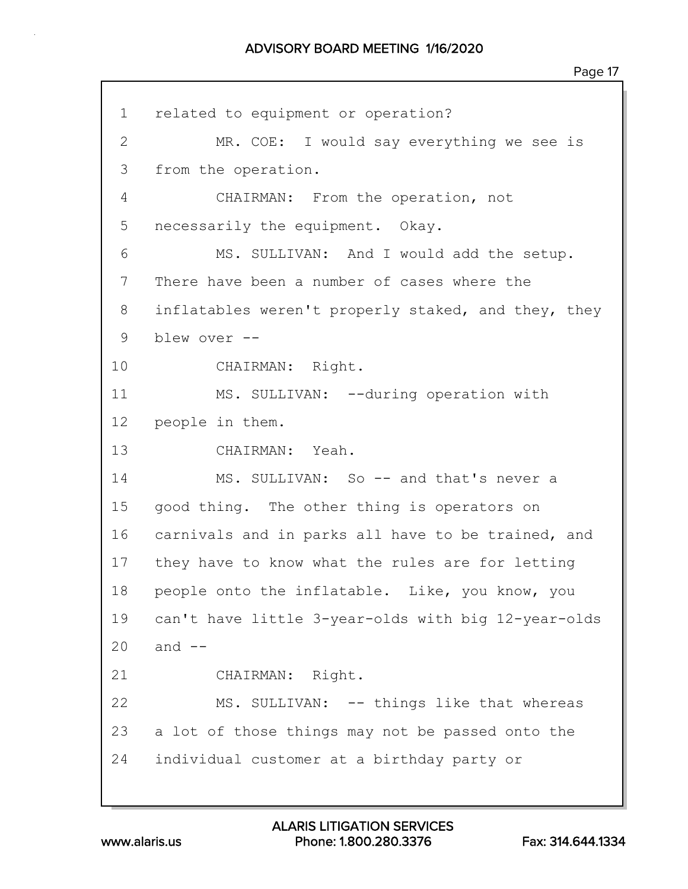| $\mathbf 1$    | related to equipment or operation?                  |
|----------------|-----------------------------------------------------|
| $\overline{2}$ | MR. COE: I would say everything we see is           |
| 3              | from the operation.                                 |
| 4              | CHAIRMAN: From the operation, not                   |
| 5              | necessarily the equipment. Okay.                    |
| 6              | MS. SULLIVAN: And I would add the setup.            |
|                |                                                     |
| 7              | There have been a number of cases where the         |
| 8              | inflatables weren't properly staked, and they, they |
| 9              | blew over --                                        |
| 10             | CHAIRMAN: Right.                                    |
| 11             | MS. SULLIVAN: --during operation with               |
| 12             | people in them.                                     |
| 13             | CHAIRMAN: Yeah.                                     |
| 14             | MS. SULLIVAN: So -- and that's never a              |
| 15             | good thing. The other thing is operators on         |
| 16             | carnivals and in parks all have to be trained, and  |
| 17             | they have to know what the rules are for letting    |
| 18             | people onto the inflatable. Like, you know, you     |
| 19             | can't have little 3-year-olds with big 12-year-olds |
| 20             | and $--$                                            |
| 21             | CHAIRMAN: Right.                                    |
| 22             | MS. SULLIVAN: -- things like that whereas           |
| 23             | a lot of those things may not be passed onto the    |
| 24             | individual customer at a birthday party or          |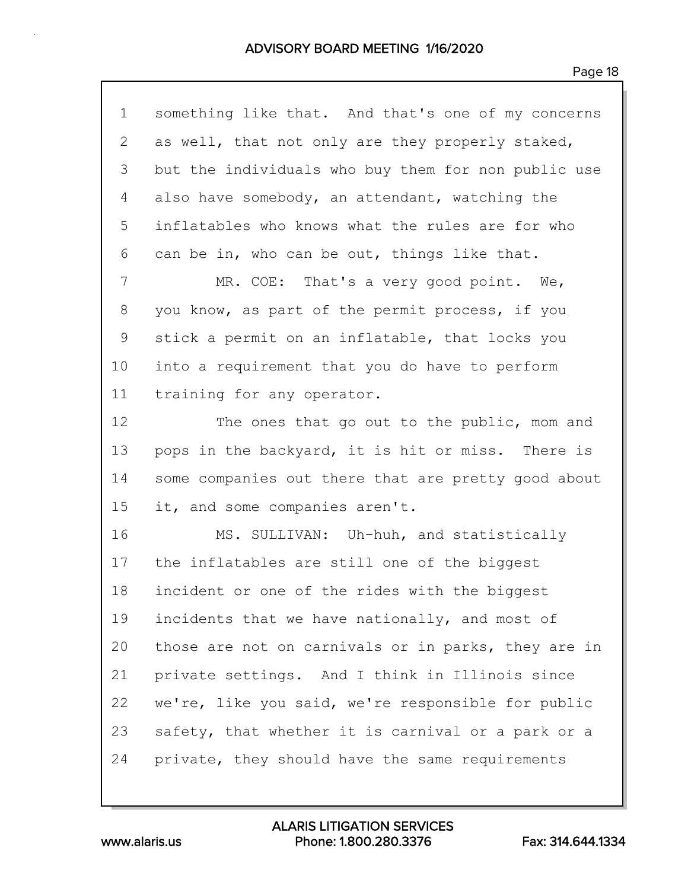| $\mathbf 1$ | something like that. And that's one of my concerns  |
|-------------|-----------------------------------------------------|
| 2           | as well, that not only are they properly staked,    |
| 3           | but the individuals who buy them for non public use |
| 4           | also have somebody, an attendant, watching the      |
| 5           | inflatables who knows what the rules are for who    |
| 6           | can be in, who can be out, things like that.        |
| 7           | MR. COE: That's a very good point. We,              |
| 8           | you know, as part of the permit process, if you     |
| $\mathsf 9$ | stick a permit on an inflatable, that locks you     |
| 10          | into a requirement that you do have to perform      |
| 11          | training for any operator.                          |
| 12          | The ones that go out to the public, mom and         |
| 13          | pops in the backyard, it is hit or miss. There is   |
| 14          | some companies out there that are pretty good about |
| 15          | it, and some companies aren't.                      |
| 16          | MS. SULLIVAN: Uh-huh, and statistically             |
| 17          | the inflatables are still one of the biggest        |
| 18          | incident or one of the rides with the biggest       |
| 19          | incidents that we have nationally, and most of      |
| 20          | those are not on carnivals or in parks, they are in |
| 21          | private settings. And I think in Illinois since     |
| 22          | we're, like you said, we're responsible for public  |
| 23          | safety, that whether it is carnival or a park or a  |
| 24          | private, they should have the same requirements     |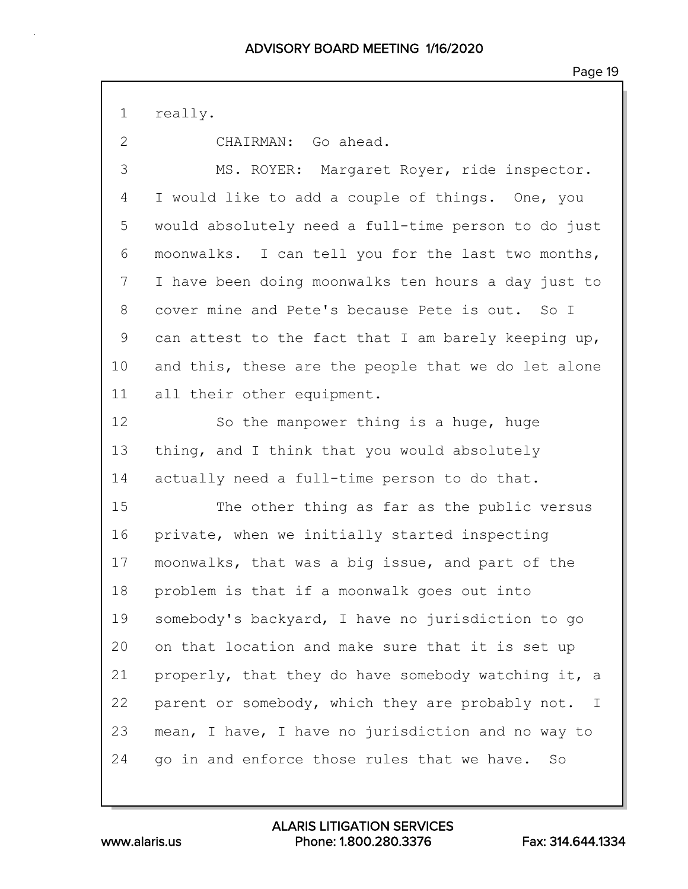1 really.

2 CHAIRMAN: Go ahead.

3 MS. ROYER: Margaret Royer, ride inspector. 4 I would like to add a couple of things. One, you 5 would absolutely need a full-time person to do just 6 moonwalks. I can tell you for the last two months, 7 I have been doing moonwalks ten hours a day just to 8 cover mine and Pete's because Pete is out. So I 9 can attest to the fact that I am barely keeping up, 10 and this, these are the people that we do let alone 11 all their other equipment.

12 So the manpower thing is a huge, huge 13 thing, and I think that you would absolutely 14 actually need a full-time person to do that.

15 The other thing as far as the public versus 16 private, when we initially started inspecting 17 moonwalks, that was a big issue, and part of the 18 problem is that if a moonwalk goes out into 19 somebody's backyard, I have no jurisdiction to go 20 on that location and make sure that it is set up 21 properly, that they do have somebody watching it, a 22 parent or somebody, which they are probably not. I 23 mean, I have, I have no jurisdiction and no way to 24 go in and enforce those rules that we have. So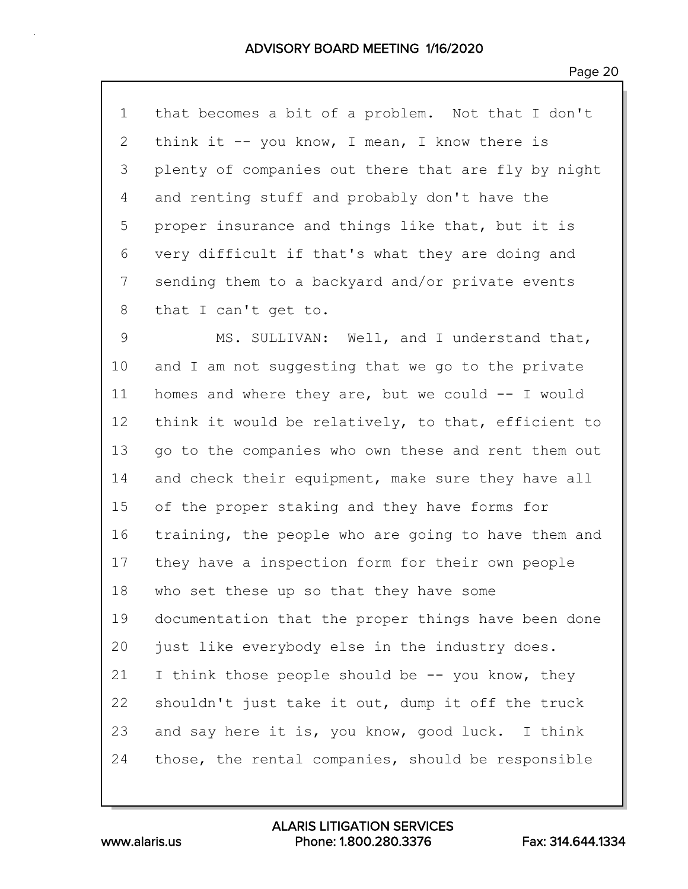1 that becomes a bit of a problem. Not that I don't 2 think it -- you know, I mean, I know there is 3 plenty of companies out there that are fly by night 4 and renting stuff and probably don't have the 5 proper insurance and things like that, but it is 6 very difficult if that's what they are doing and 7 sending them to a backyard and/or private events 8 that I can't get to.

9 MS. SULLIVAN: Well, and I understand that, 10 and I am not suggesting that we go to the private 11 homes and where they are, but we could -- I would 12 think it would be relatively, to that, efficient to 13 go to the companies who own these and rent them out 14 and check their equipment, make sure they have all 15 of the proper staking and they have forms for 16 training, the people who are going to have them and 17 they have a inspection form for their own people 18 who set these up so that they have some 19 documentation that the proper things have been done 20 just like everybody else in the industry does. 21 I think those people should be -- you know, they 22 shouldn't just take it out, dump it off the truck 23 and say here it is, you know, good luck. I think 24 those, the rental companies, should be responsible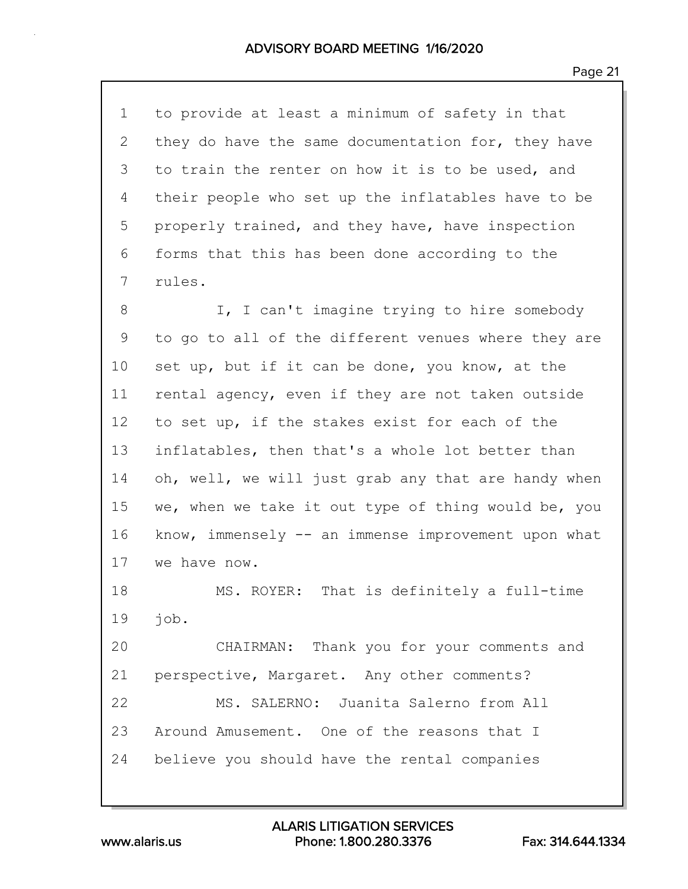| $\mathbf 1$    | to provide at least a minimum of safety in that     |
|----------------|-----------------------------------------------------|
| $\overline{2}$ | they do have the same documentation for, they have  |
| 3              | to train the renter on how it is to be used, and    |
| 4              | their people who set up the inflatables have to be  |
| 5              | properly trained, and they have, have inspection    |
| 6              | forms that this has been done according to the      |
| 7              | rules.                                              |
| 8              | I, I can't imagine trying to hire somebody          |
| 9              | to go to all of the different venues where they are |
| 10             | set up, but if it can be done, you know, at the     |
| 11             | rental agency, even if they are not taken outside   |
| 12             | to set up, if the stakes exist for each of the      |
| 13             | inflatables, then that's a whole lot better than    |
| 14             | oh, well, we will just grab any that are handy when |
| 15             | we, when we take it out type of thing would be, you |
| 16             | know, immensely -- an immense improvement upon what |
| 17             | we have now.                                        |
| 18             | That is definitely a full-time<br>MS. ROYER:        |
| 19             | job.                                                |
| 20             | CHAIRMAN: Thank you for your comments and           |
| 21             | perspective, Margaret. Any other comments?          |
| 22             | MS. SALERNO: Juanita Salerno from All               |
| 23             | Around Amusement. One of the reasons that I         |
| 24             | believe you should have the rental companies        |
|                |                                                     |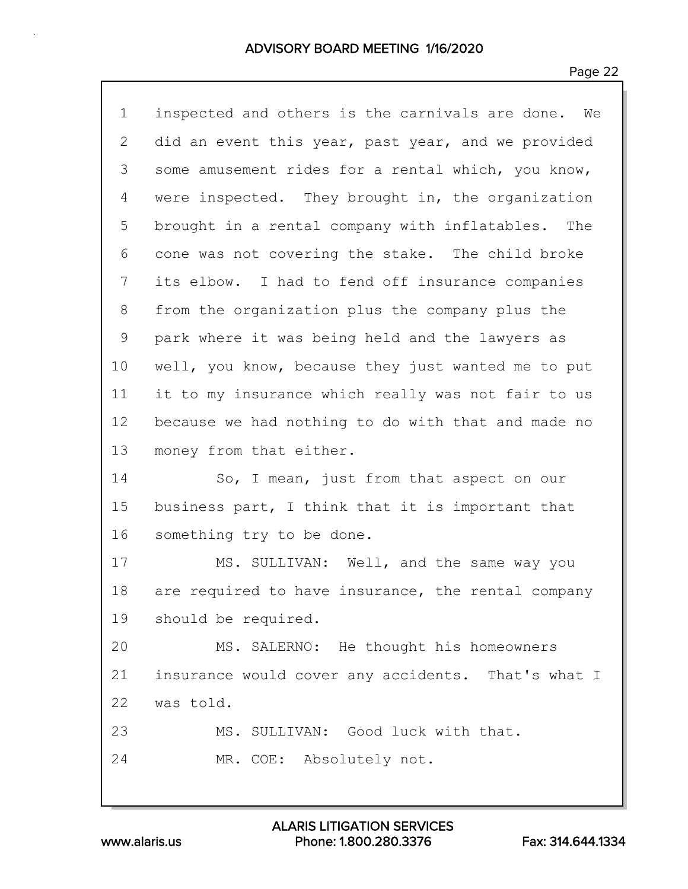| $\mathbf 1$ | inspected and others is the carnivals are done. We |
|-------------|----------------------------------------------------|
| 2           | did an event this year, past year, and we provided |
| 3           | some amusement rides for a rental which, you know, |
| 4           | were inspected. They brought in, the organization  |
| 5           | brought in a rental company with inflatables. The  |
| 6           | cone was not covering the stake. The child broke   |
| 7           | its elbow. I had to fend off insurance companies   |
| 8           | from the organization plus the company plus the    |
| 9           | park where it was being held and the lawyers as    |
| 10          | well, you know, because they just wanted me to put |
| 11          | it to my insurance which really was not fair to us |
| 12          | because we had nothing to do with that and made no |
| 13          | money from that either.                            |
| 14          | So, I mean, just from that aspect on our           |
| 15          | business part, I think that it is important that   |
| 16          | something try to be done.                          |
| 17          | MS. SULLIVAN: Well, and the same way you           |
| 18          | are required to have insurance, the rental company |
| 19          | should be required.                                |
| 20          | MS. SALERNO: He thought his homeowners             |
| 21          | insurance would cover any accidents. That's what I |
| 22          | was told.                                          |
| 23          | MS. SULLIVAN: Good luck with that.                 |
| 24          | MR. COE: Absolutely not.                           |
|             |                                                    |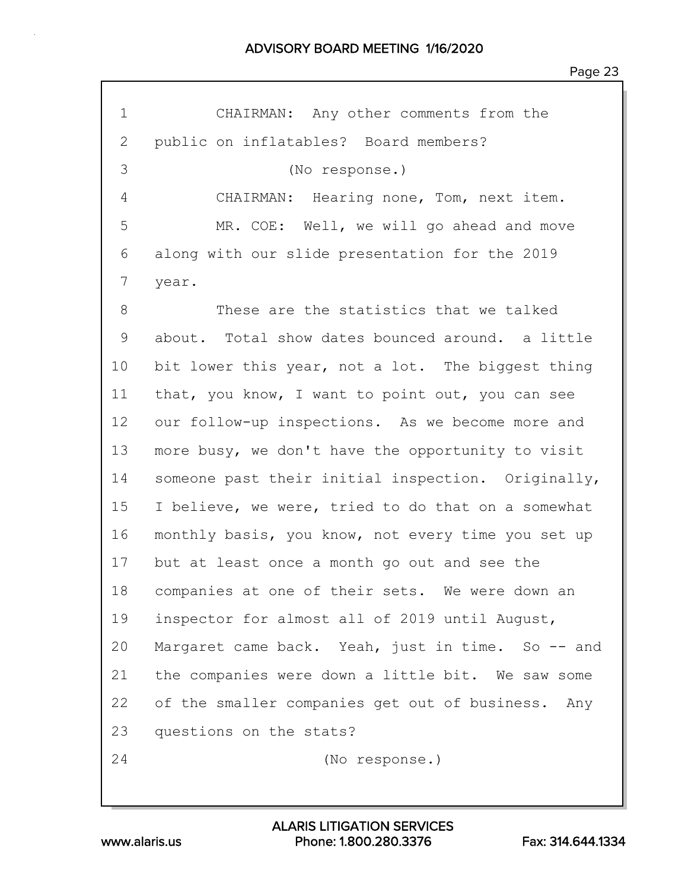| 1  | CHAIRMAN: Any other comments from the              |
|----|----------------------------------------------------|
| 2  | public on inflatables? Board members?              |
| 3  | (No response.)                                     |
| 4  | CHAIRMAN: Hearing none, Tom, next item.            |
| 5  | MR. COE: Well, we will go ahead and move           |
| 6  | along with our slide presentation for the 2019     |
| 7  | year.                                              |
| 8  | These are the statistics that we talked            |
| 9  | about. Total show dates bounced around. a little   |
| 10 | bit lower this year, not a lot. The biggest thing  |
| 11 | that, you know, I want to point out, you can see   |
| 12 | our follow-up inspections. As we become more and   |
| 13 | more busy, we don't have the opportunity to visit  |
| 14 | someone past their initial inspection. Originally, |
| 15 | I believe, we were, tried to do that on a somewhat |
| 16 | monthly basis, you know, not every time you set up |
| 17 | but at least once a month go out and see the       |
| 18 | companies at one of their sets. We were down an    |
| 19 | inspector for almost all of 2019 until August,     |
| 20 | Margaret came back. Yeah, just in time. So -- and  |
| 21 | the companies were down a little bit. We saw some  |
| 22 | of the smaller companies get out of business. Any  |
| 23 | questions on the stats?                            |
| 24 | (No response.)                                     |
|    |                                                    |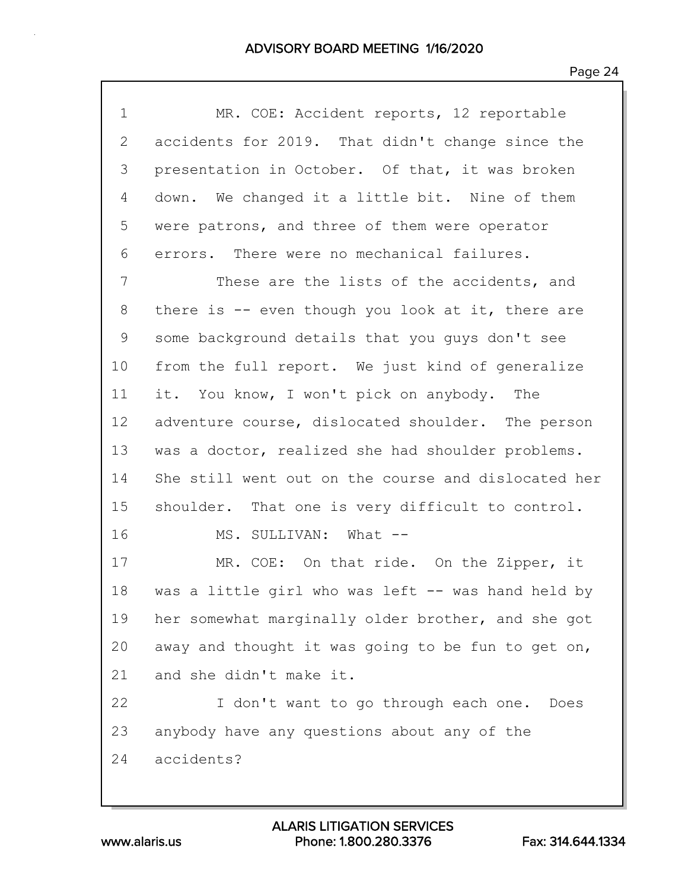| $\mathbf 1$       | MR. COE: Accident reports, 12 reportable            |
|-------------------|-----------------------------------------------------|
| 2                 | accidents for 2019. That didn't change since the    |
| 3                 | presentation in October. Of that, it was broken     |
| 4                 | down. We changed it a little bit. Nine of them      |
| 5                 | were patrons, and three of them were operator       |
| 6                 | errors. There were no mechanical failures.          |
| 7                 | These are the lists of the accidents, and           |
| 8                 | there is $-$ even though you look at it, there are  |
| 9                 | some background details that you guys don't see     |
| 10                | from the full report. We just kind of generalize    |
| 11                | it. You know, I won't pick on anybody. The          |
| $12 \overline{ }$ | adventure course, dislocated shoulder. The person   |
| 13                | was a doctor, realized she had shoulder problems.   |
| 14                | She still went out on the course and dislocated her |
| 15                | shoulder. That one is very difficult to control.    |
| 16                | MS. SULLIVAN: What --                               |
| 17                | MR. COE: On that ride. On the Zipper, it            |
| 18                | was a little girl who was left -- was hand held by  |
| 19                | her somewhat marginally older brother, and she got  |
| 20                | away and thought it was going to be fun to get on,  |
| 21                | and she didn't make it.                             |
| 22                | I don't want to go through each one.<br>Does        |
| 23                | anybody have any questions about any of the         |
| 24                | accidents?                                          |
|                   |                                                     |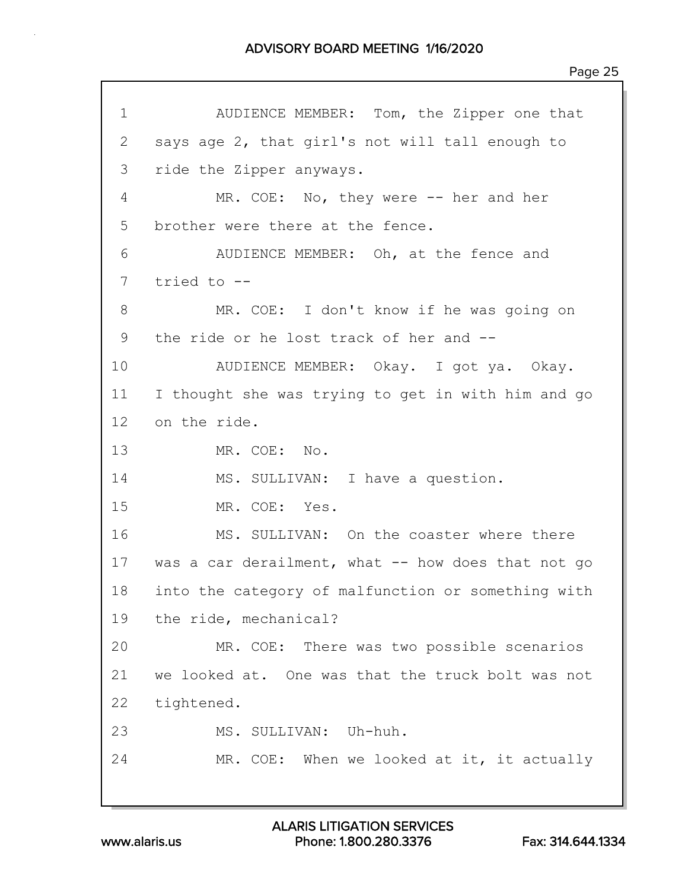| $\mathbf 1$ | AUDIENCE MEMBER: Tom, the Zipper one that          |
|-------------|----------------------------------------------------|
| 2           | says age 2, that girl's not will tall enough to    |
| 3           | ride the Zipper anyways.                           |
| 4           | MR. COE: No, they were $-$ her and her             |
| 5           | brother were there at the fence.                   |
| 6           | AUDIENCE MEMBER: Oh, at the fence and              |
| 7           | tried to --                                        |
| 8           | MR. COE: I don't know if he was going on           |
| 9           | the ride or he lost track of her and --            |
| 10          | AUDIENCE MEMBER: Okay. I got ya. Okay.             |
| 11          | I thought she was trying to get in with him and go |
| 12          | on the ride.                                       |
| 13          | MR. COE: No.                                       |
| 14          | MS. SULLIVAN: I have a question.                   |
| 15          | MR. COE: Yes.                                      |
| 16          | MS. SULLIVAN: On the coaster where there           |
| 17          | was a car derailment, what -- how does that not go |
| 18          | into the category of malfunction or something with |
| 19          | the ride, mechanical?                              |
| 20          | MR. COE: There was two possible scenarios          |
| 21          | we looked at. One was that the truck bolt was not  |
| 22          | tightened.                                         |
| 23          | MS. SULLIVAN: Uh-huh.                              |
| 24          | MR. COE: When we looked at it, it actually         |
|             |                                                    |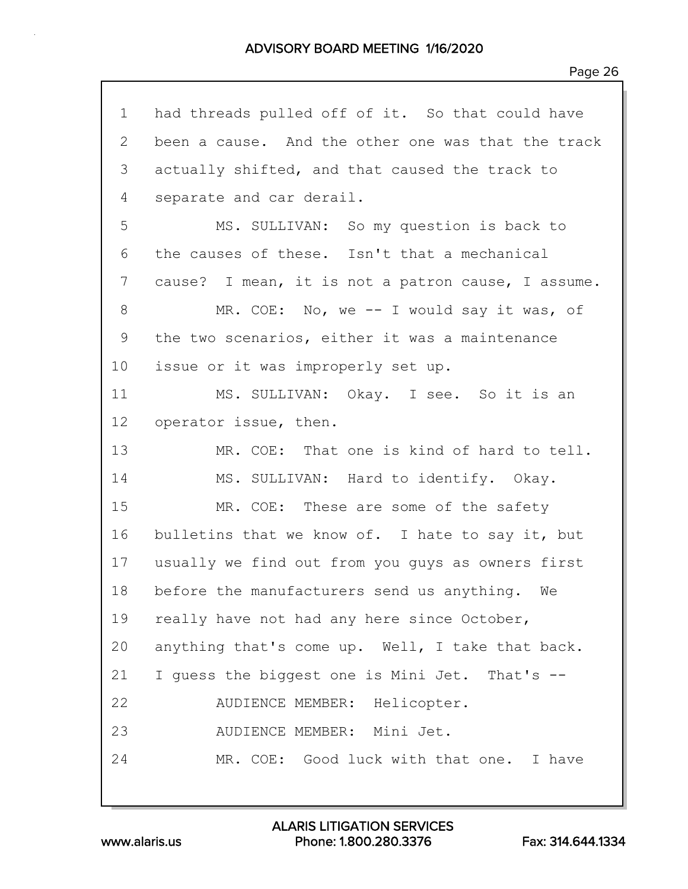| $\mathbf 1$ | had threads pulled off of it. So that could have   |
|-------------|----------------------------------------------------|
| 2           | been a cause. And the other one was that the track |
| 3           | actually shifted, and that caused the track to     |
| 4           | separate and car derail.                           |
| 5           | MS. SULLIVAN: So my question is back to            |
| 6           | the causes of these. Isn't that a mechanical       |
| 7           | cause? I mean, it is not a patron cause, I assume. |
| 8           | MR. COE: No, we -- I would say it was, of          |
| 9           | the two scenarios, either it was a maintenance     |
| 10          | issue or it was improperly set up.                 |
| 11          | MS. SULLIVAN: Okay. I see. So it is an             |
| 12          | operator issue, then.                              |
| 13          | MR. COE: That one is kind of hard to tell.         |
| 14          | MS. SULLIVAN: Hard to identify. Okay.              |
| 15          | MR. COE: These are some of the safety              |
| 16          | bulletins that we know of. I hate to say it, but   |
| 17          | usually we find out from you guys as owners first  |
| 18          | before the manufacturers send us anything. We      |
| 19          | really have not had any here since October,        |
| 20          | anything that's come up. Well, I take that back.   |
| 21          | I guess the biggest one is Mini Jet. That's --     |
| 22          | AUDIENCE MEMBER: Helicopter.                       |
| 23          | AUDIENCE MEMBER: Mini Jet.                         |
| 24          | MR. COE: Good luck with that one. I have           |
|             |                                                    |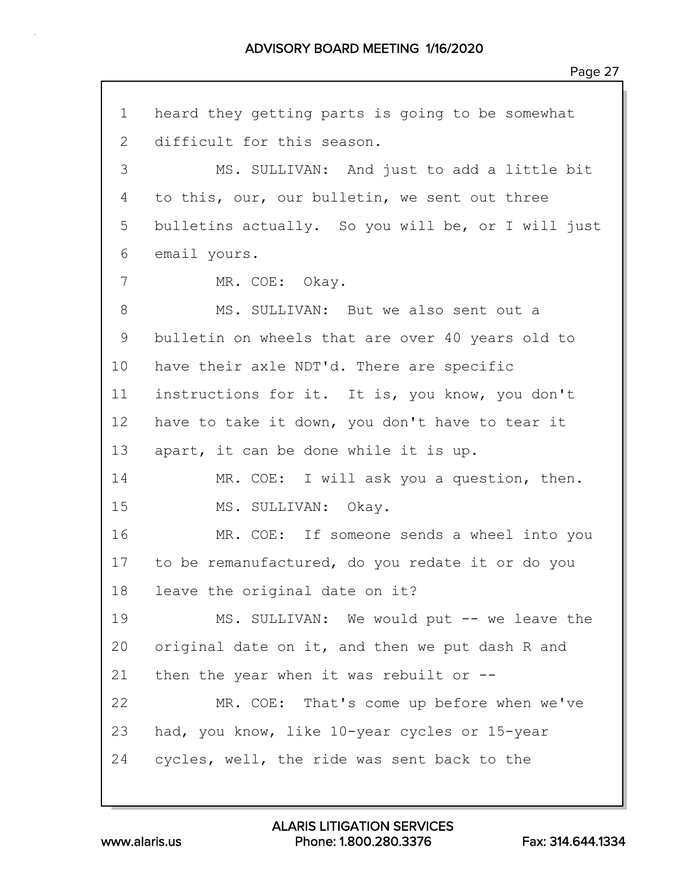1 heard they getting parts is going to be somewhat 2 difficult for this season. 3 MS. SULLIVAN: And just to add a little bit 4 to this, our, our bulletin, we sent out three 5 bulletins actually. So you will be, or I will just 6 email yours. 7 MR. COE: Okay. 8 MS. SULLIVAN: But we also sent out a 9 bulletin on wheels that are over 40 years old to 10 have their axle NDT'd. There are specific 11 instructions for it. It is, you know, you don't 12 have to take it down, you don't have to tear it 13 apart, it can be done while it is up. 14 MR. COE: I will ask you a question, then. 15 MS. SULLIVAN: Okay. 16 MR. COE: If someone sends a wheel into you 17 to be remanufactured, do you redate it or do you 18 leave the original date on it? 19 MS. SULLIVAN: We would put -- we leave the 20 original date on it, and then we put dash R and 21 then the year when it was rebuilt or  $-$ -22 MR. COE: That's come up before when we've 23 had, you know, like 10-year cycles or 15-year 24 cycles, well, the ride was sent back to the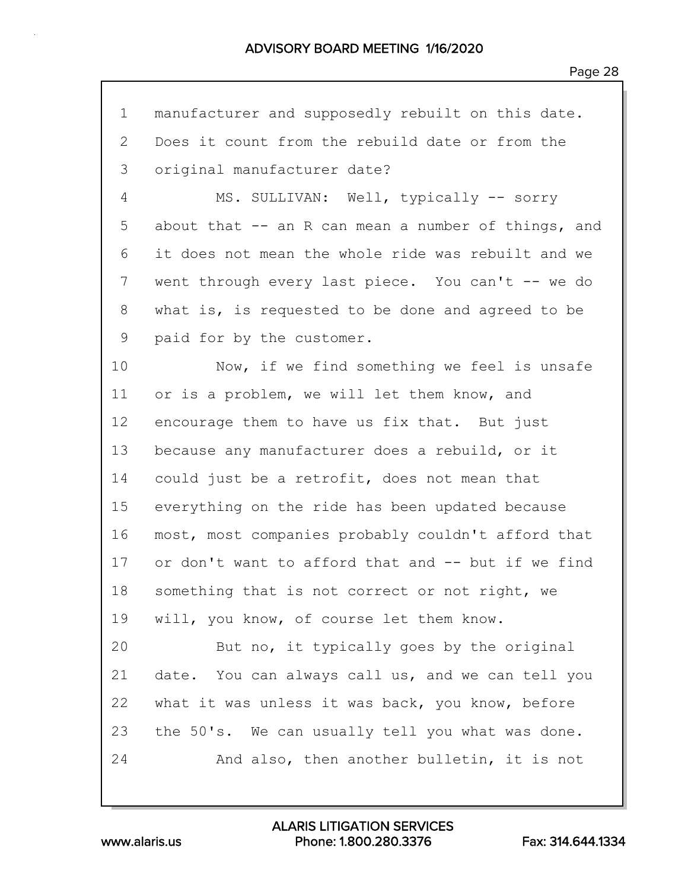| $\mathbf 1$  | manufacturer and supposedly rebuilt on this date.   |
|--------------|-----------------------------------------------------|
| $\mathbf{2}$ | Does it count from the rebuild date or from the     |
| 3            | original manufacturer date?                         |
| 4            | MS. SULLIVAN: Well, typically -- sorry              |
| 5            | about that -- an R can mean a number of things, and |
| 6            | it does not mean the whole ride was rebuilt and we  |
| 7            | went through every last piece. You can't -- we do   |
| 8            | what is, is requested to be done and agreed to be   |
| 9            | paid for by the customer.                           |
| 10           | Now, if we find something we feel is unsafe         |
| 11           | or is a problem, we will let them know, and         |
| 12           | encourage them to have us fix that. But just        |
| 13           | because any manufacturer does a rebuild, or it      |
| 14           | could just be a retrofit, does not mean that        |
| 15           | everything on the ride has been updated because     |
| 16           | most, most companies probably couldn't afford that  |
| 17           | or don't want to afford that and -- but if we find  |
| 18           | something that is not correct or not right, we      |
| 19           | will, you know, of course let them know.            |
| 20           | But no, it typically goes by the original           |
| 21           | date. You can always call us, and we can tell you   |
| 22           | what it was unless it was back, you know, before    |
| 23           | the 50's. We can usually tell you what was done.    |
| 24           | And also, then another bulletin, it is not          |
|              |                                                     |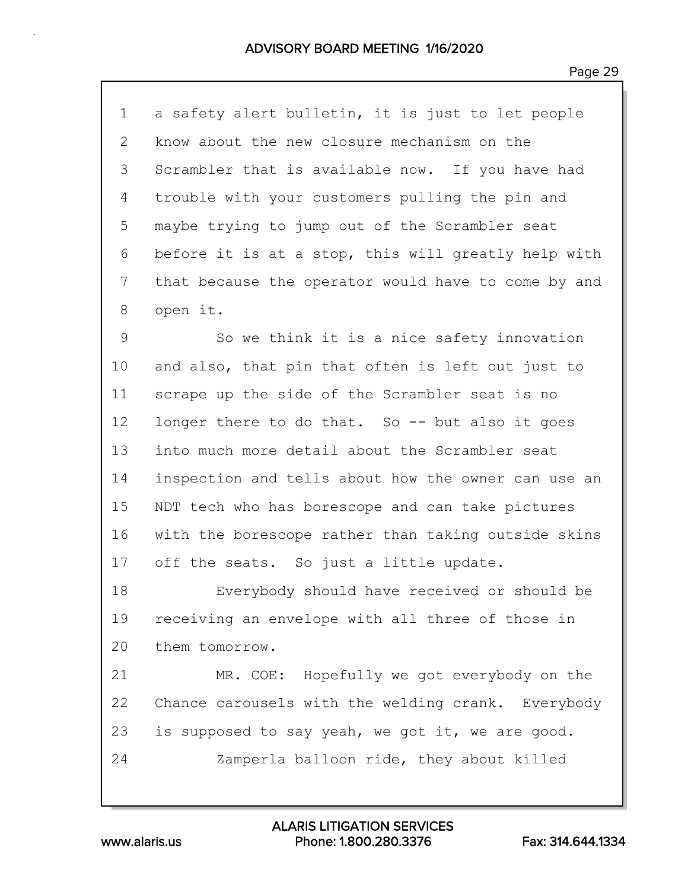1 a safety alert bulletin, it is just to let people 2 know about the new closure mechanism on the 3 Scrambler that is available now. If you have had 4 trouble with your customers pulling the pin and 5 maybe trying to jump out of the Scrambler seat 6 before it is at a stop, this will greatly help with 7 that because the operator would have to come by and 8 open it.

9 So we think it is a nice safety innovation 10 and also, that pin that often is left out just to 11 scrape up the side of the Scrambler seat is no 12 longer there to do that. So -- but also it goes 13 into much more detail about the Scrambler seat 14 inspection and tells about how the owner can use an 15 NDT tech who has borescope and can take pictures 16 with the borescope rather than taking outside skins 17 off the seats. So just a little update.

18 Everybody should have received or should be 19 receiving an envelope with all three of those in 20 them tomorrow.

21 MR. COE: Hopefully we got everybody on the 22 Chance carousels with the welding crank. Everybody 23 is supposed to say yeah, we got it, we are good. 24 Zamperla balloon ride, they about killed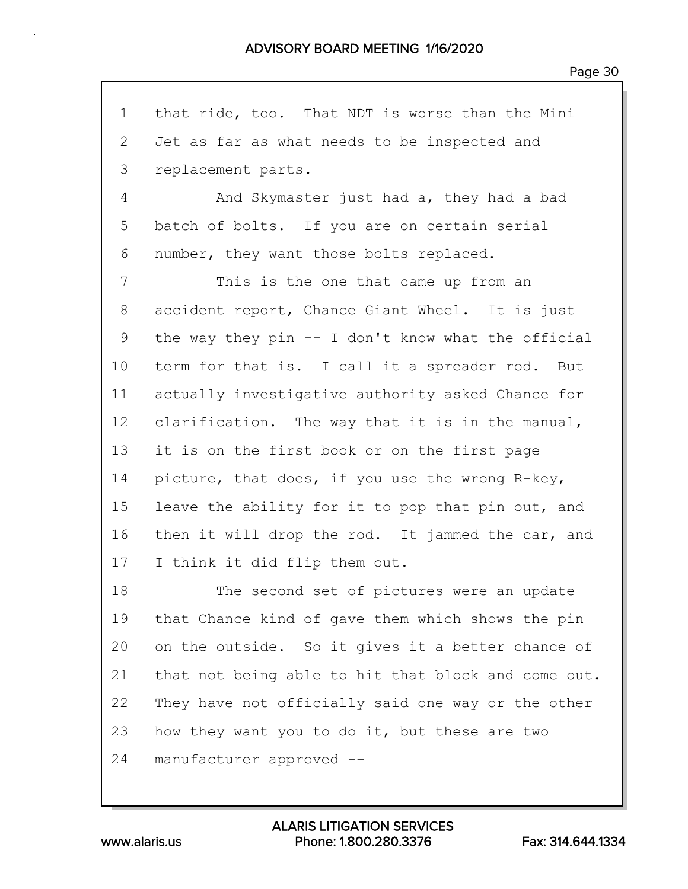1 that ride, too. That NDT is worse than the Mini 2 Jet as far as what needs to be inspected and 3 replacement parts. 4 And Skymaster just had a, they had a bad 5 batch of bolts. If you are on certain serial 6 number, they want those bolts replaced. 7 This is the one that came up from an 8 accident report, Chance Giant Wheel. It is just 9 the way they pin -- I don't know what the official 10 term for that is. I call it a spreader rod. But 11 actually investigative authority asked Chance for 12 clarification. The way that it is in the manual, 13 it is on the first book or on the first page 14 picture, that does, if you use the wrong R-key, 15 leave the ability for it to pop that pin out, and 16 then it will drop the rod. It jammed the car, and 17 I think it did flip them out. 18 The second set of pictures were an update 19 that Chance kind of gave them which shows the pin 20 on the outside. So it gives it a better chance of 21 that not being able to hit that block and come out. 22 They have not officially said one way or the other 23 how they want you to do it, but these are two 24 manufacturer approved --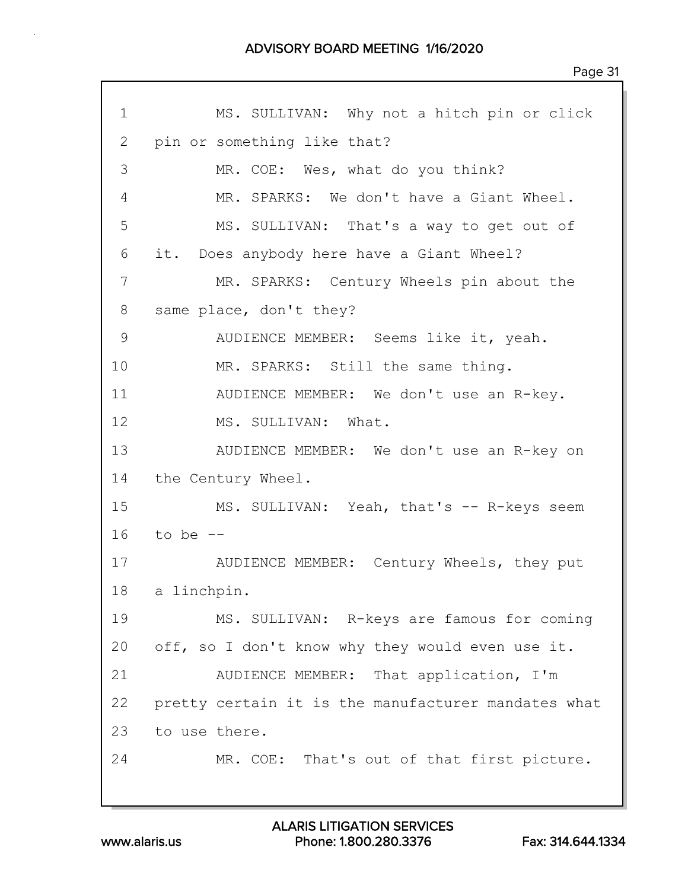| 1  | MS. SULLIVAN: Why not a hitch pin or click          |
|----|-----------------------------------------------------|
| 2  | pin or something like that?                         |
| 3  | MR. COE: Wes, what do you think?                    |
| 4  | MR. SPARKS: We don't have a Giant Wheel.            |
| 5  | MS. SULLIVAN: That's a way to get out of            |
| 6  | it. Does anybody here have a Giant Wheel?           |
| 7  | MR. SPARKS: Century Wheels pin about the            |
| 8  | same place, don't they?                             |
| 9  | AUDIENCE MEMBER: Seems like it, yeah.               |
| 10 | MR. SPARKS: Still the same thing.                   |
| 11 | AUDIENCE MEMBER: We don't use an R-key.             |
| 12 | MS. SULLIVAN: What.                                 |
| 13 | AUDIENCE MEMBER: We don't use an R-key on           |
| 14 | the Century Wheel.                                  |
| 15 | MS. SULLIVAN: Yeah, that's -- R-keys seem           |
| 16 | to be --                                            |
| 17 | AUDIENCE MEMBER: Century Wheels, they put           |
| 18 | a linchpin.                                         |
| 19 | MS. SULLIVAN: R-keys are famous for coming          |
| 20 | off, so I don't know why they would even use it.    |
| 21 | AUDIENCE MEMBER: That application, I'm              |
| 22 | pretty certain it is the manufacturer mandates what |
| 23 | to use there.                                       |
| 24 | MR. COE: That's out of that first picture.          |
|    |                                                     |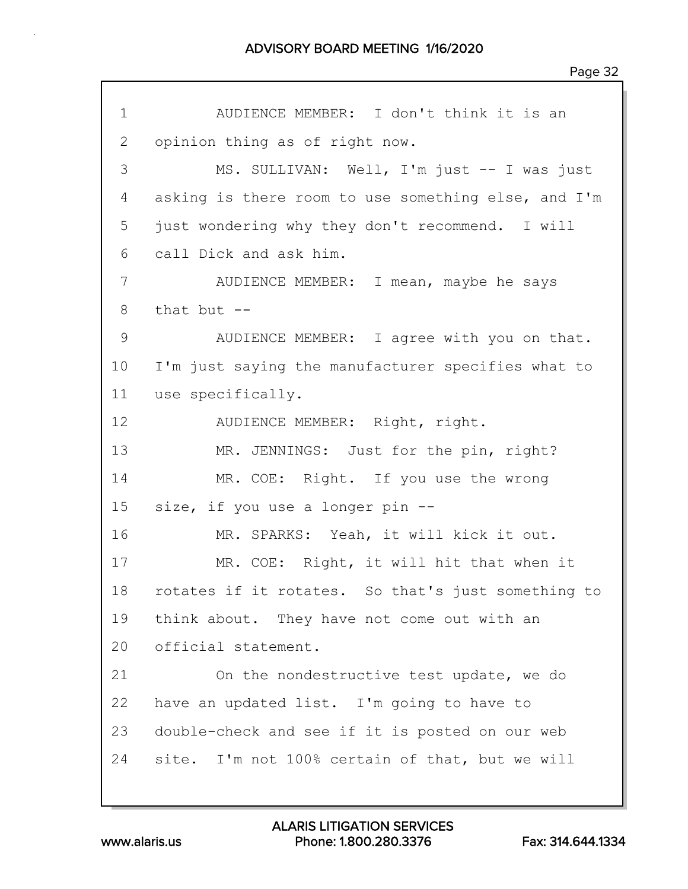1 AUDIENCE MEMBER: I don't think it is an 2 opinion thing as of right now. 3 MS. SULLIVAN: Well, I'm just -- I was just 4 asking is there room to use something else, and I'm 5 just wondering why they don't recommend. I will 6 call Dick and ask him. 7 AUDIENCE MEMBER: I mean, maybe he says  $8$  that but  $-$ 9 AUDIENCE MEMBER: I agree with you on that. 10 I'm just saying the manufacturer specifies what to 11 use specifically. 12 AUDIENCE MEMBER: Right, right. 13 MR. JENNINGS: Just for the pin, right? 14 MR. COE: Right. If you use the wrong 15 size, if you use a longer pin -- 16 MR. SPARKS: Yeah, it will kick it out. 17 MR. COE: Right, it will hit that when it 18 rotates if it rotates. So that's just something to 19 think about. They have not come out with an 20 official statement. 21 On the nondestructive test update, we do 22 have an updated list. I'm going to have to 23 double-check and see if it is posted on our web 24 site. I'm not 100% certain of that, but we will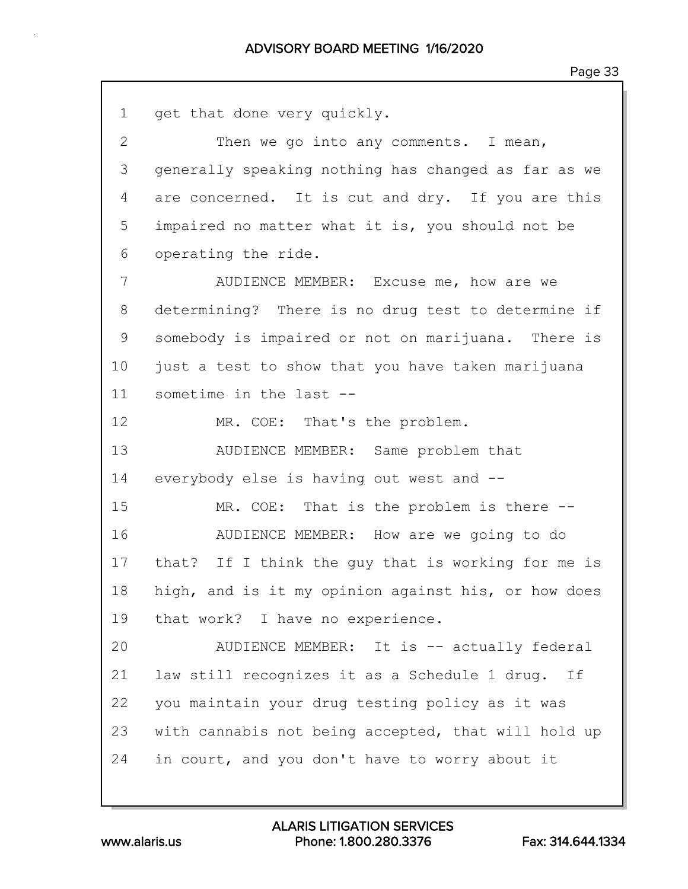| $\mathbf 1$  | get that done very quickly.                         |
|--------------|-----------------------------------------------------|
| $\mathbf{2}$ | Then we go into any comments. I mean,               |
| 3            | generally speaking nothing has changed as far as we |
| 4            | are concerned. It is cut and dry. If you are this   |
| 5            | impaired no matter what it is, you should not be    |
| 6            | operating the ride.                                 |
| 7            | AUDIENCE MEMBER: Excuse me, how are we              |
| 8            | determining? There is no drug test to determine if  |
| 9            | somebody is impaired or not on marijuana. There is  |
| 10           | just a test to show that you have taken marijuana   |
| 11           | sometime in the last --                             |
| 12           | MR. COE: That's the problem.                        |
| 13           | AUDIENCE MEMBER: Same problem that                  |
| 14           | everybody else is having out west and --            |
| 15           | MR. COE: That is the problem is there --            |
| 16           | AUDIENCE MEMBER: How are we going to do             |
| 17           | that? If I think the guy that is working for me is  |
| 18           | high, and is it my opinion against his, or how does |
| 19           | that work? I have no experience.                    |
| 20           | AUDIENCE MEMBER: It is -- actually federal          |
| 21           | law still recognizes it as a Schedule 1 drug. If    |
| 22           | you maintain your drug testing policy as it was     |
| 23           | with cannabis not being accepted, that will hold up |
| 24           | in court, and you don't have to worry about it      |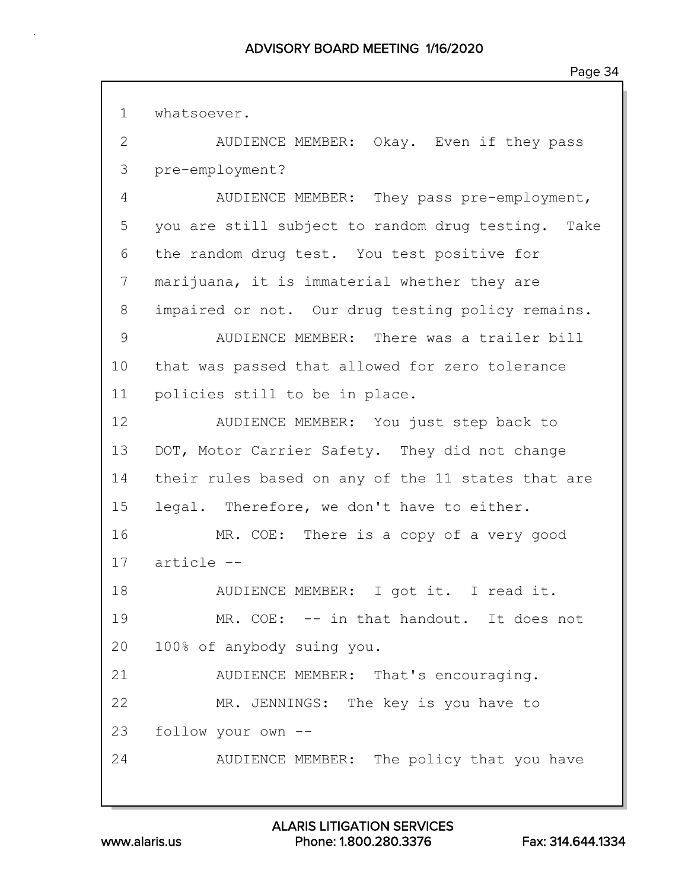1 whatsoever.

2 AUDIENCE MEMBER: Okay. Even if they pass 3 pre-employment? 4 AUDIENCE MEMBER: They pass pre-employment, 5 you are still subject to random drug testing. Take 6 the random drug test. You test positive for 7 marijuana, it is immaterial whether they are 8 impaired or not. Our drug testing policy remains. 9 AUDIENCE MEMBER: There was a trailer bill 10 that was passed that allowed for zero tolerance 11 policies still to be in place. 12 AUDIENCE MEMBER: You just step back to 13 DOT, Motor Carrier Safety. They did not change 14 their rules based on any of the 11 states that are 15 legal. Therefore, we don't have to either. 16 MR. COE: There is a copy of a very good 17 article -- 18 AUDIENCE MEMBER: I got it. I read it. 19 MR. COE: -- in that handout. It does not 20 100% of anybody suing you. 21 AUDIENCE MEMBER: That's encouraging. 22 MR. JENNINGS: The key is you have to 23 follow your own -- 24 AUDIENCE MEMBER: The policy that you have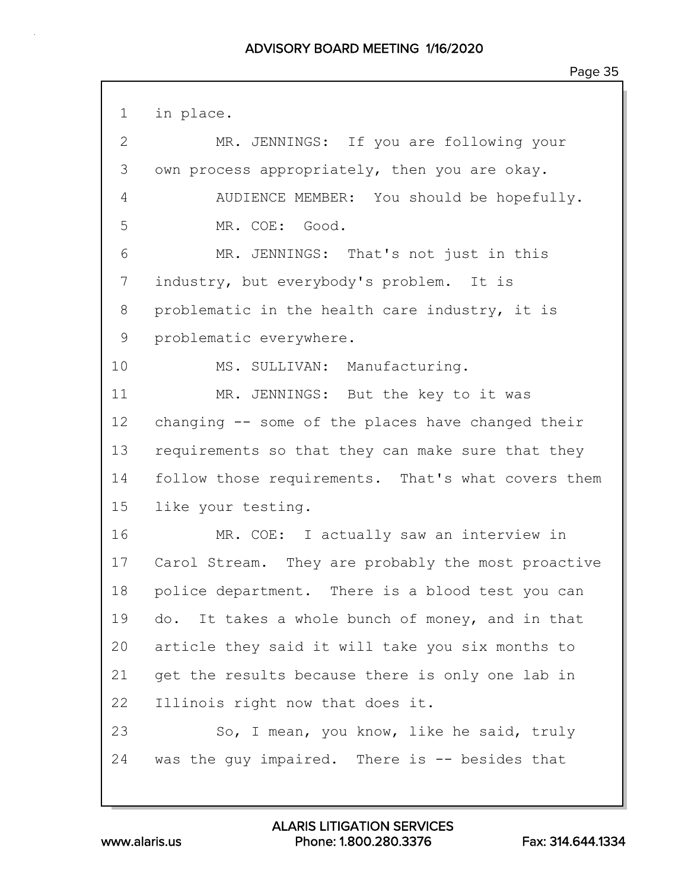1 in place. 2 MR. JENNINGS: If you are following your 3 own process appropriately, then you are okay. 4 AUDIENCE MEMBER: You should be hopefully. 5 MR. COE: Good. 6 MR. JENNINGS: That's not just in this 7 industry, but everybody's problem. It is 8 problematic in the health care industry, it is 9 problematic everywhere. 10 MS. SULLIVAN: Manufacturing. 11 MR. JENNINGS: But the key to it was 12 changing -- some of the places have changed their 13 requirements so that they can make sure that they 14 follow those requirements. That's what covers them 15 like your testing. 16 MR. COE: I actually saw an interview in 17 Carol Stream. They are probably the most proactive 18 police department. There is a blood test you can 19 do. It takes a whole bunch of money, and in that 20 article they said it will take you six months to 21 get the results because there is only one lab in 22 Illinois right now that does it. 23 So, I mean, you know, like he said, truly 24 was the guy impaired. There is -- besides that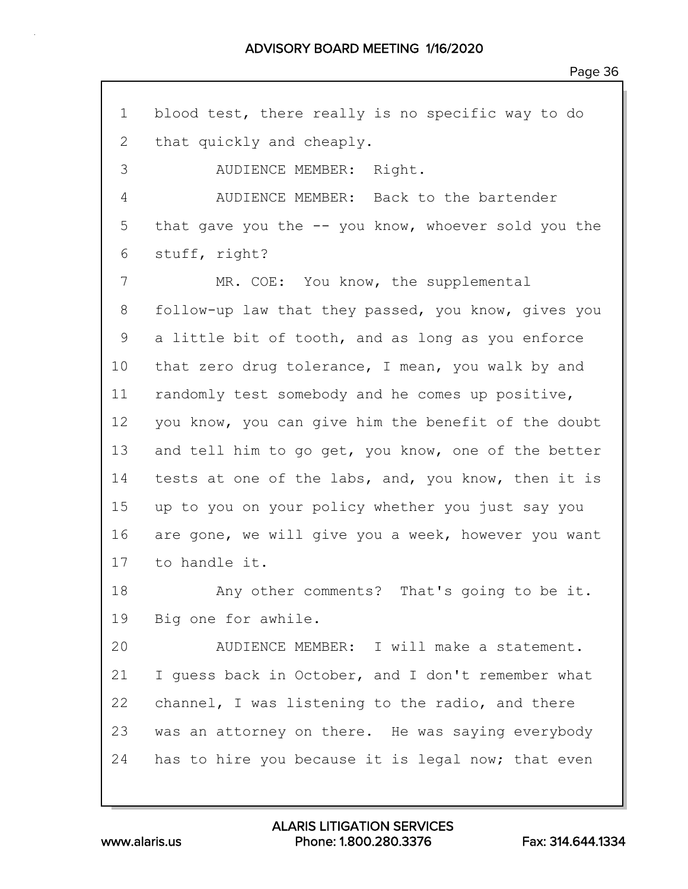1 blood test, there really is no specific way to do 2 that quickly and cheaply. 3 AUDIENCE MEMBER: Right. 4 AUDIENCE MEMBER: Back to the bartender 5 that gave you the -- you know, whoever sold you the 6 stuff, right? 7 MR. COE: You know, the supplemental 8 follow-up law that they passed, you know, gives you 9 a little bit of tooth, and as long as you enforce 10 that zero drug tolerance, I mean, you walk by and 11 randomly test somebody and he comes up positive, 12 you know, you can give him the benefit of the doubt 13 and tell him to go get, you know, one of the better 14 tests at one of the labs, and, you know, then it is 15 up to you on your policy whether you just say you 16 are gone, we will give you a week, however you want 17 to handle it. 18 Any other comments? That's going to be it. 19 Big one for awhile. 20 AUDIENCE MEMBER: I will make a statement. 21 I guess back in October, and I don't remember what 22 channel, I was listening to the radio, and there 23 was an attorney on there. He was saying everybody 24 has to hire you because it is legal now; that even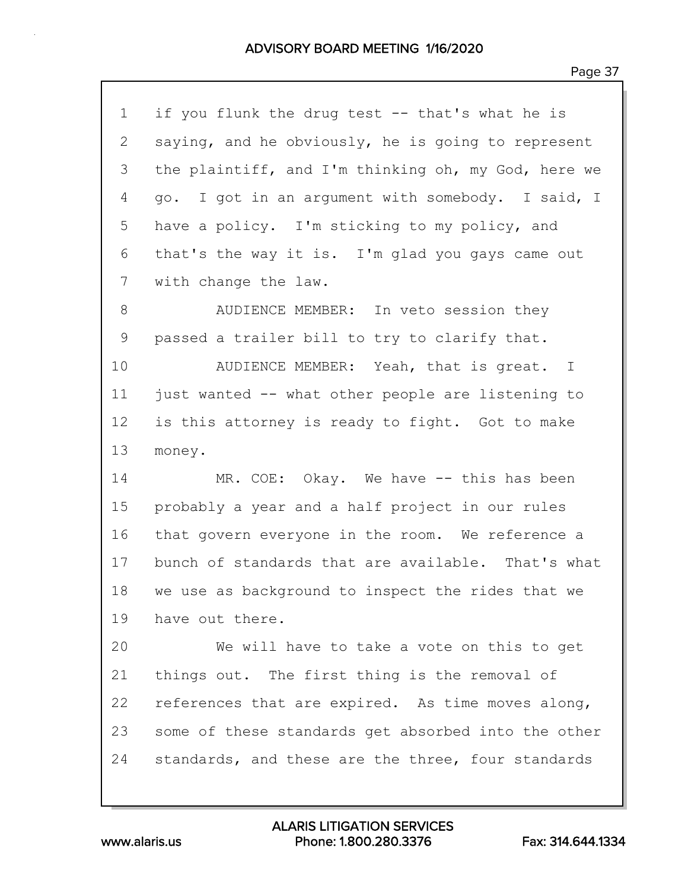| С<br>L<br>٠<br>◠ |  |
|------------------|--|
|------------------|--|

| $\mathbf 1$  | if you flunk the drug test -- that's what he is     |
|--------------|-----------------------------------------------------|
| $\mathbf{2}$ | saying, and he obviously, he is going to represent  |
| 3            | the plaintiff, and I'm thinking oh, my God, here we |
| 4            | go. I got in an argument with somebody. I said, I   |
| 5            | have a policy. I'm sticking to my policy, and       |
| 6            | that's the way it is. I'm glad you gays came out    |
| 7            | with change the law.                                |
| 8            | AUDIENCE MEMBER: In veto session they               |
| $\mathsf 9$  | passed a trailer bill to try to clarify that.       |
| 10           | AUDIENCE MEMBER: Yeah, that is great. I             |
| 11           | just wanted -- what other people are listening to   |
| 12           | is this attorney is ready to fight. Got to make     |
| 13           | money.                                              |
| 14           | MR. COE: Okay. We have -- this has been             |
| 15           | probably a year and a half project in our rules     |
| 16           | that govern everyone in the room. We reference a    |
| 17           | bunch of standards that are available. That's what  |
| 18           | we use as background to inspect the rides that we   |
| 19           | have out there.                                     |
| 20           | We will have to take a vote on this to get          |
| 21           | things out. The first thing is the removal of       |
| 22           | references that are expired. As time moves along,   |
| 23           | some of these standards get absorbed into the other |
| 24           | standards, and these are the three, four standards  |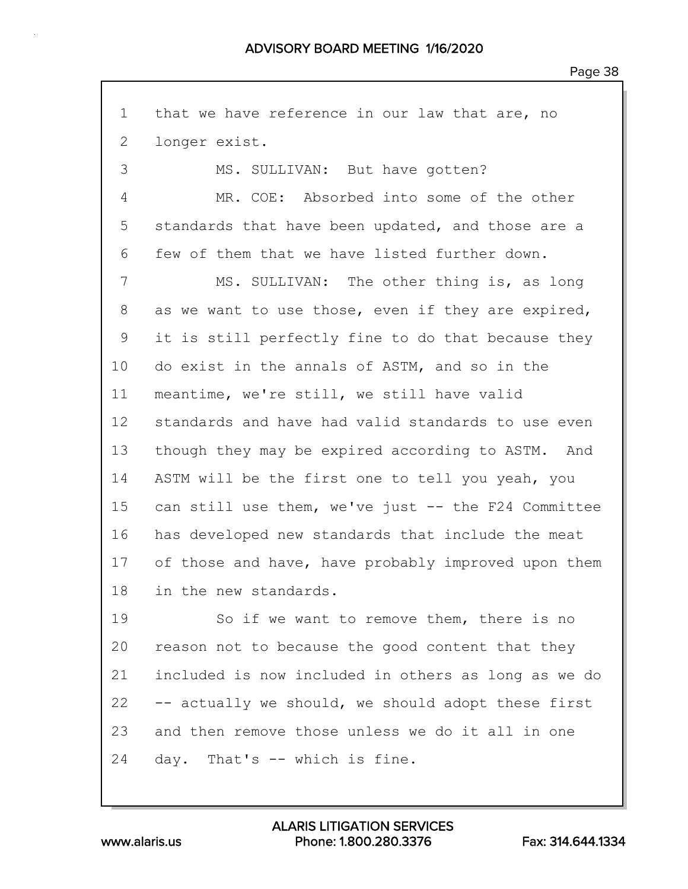1 that we have reference in our law that are, no 2 longer exist. 3 MS. SULLIVAN: But have gotten? 4 MR. COE: Absorbed into some of the other 5 standards that have been updated, and those are a 6 few of them that we have listed further down. 7 MS. SULLIVAN: The other thing is, as long 8 as we want to use those, even if they are expired, 9 it is still perfectly fine to do that because they 10 do exist in the annals of ASTM, and so in the 11 meantime, we're still, we still have valid 12 standards and have had valid standards to use even 13 though they may be expired according to ASTM. And 14 ASTM will be the first one to tell you yeah, you 15 can still use them, we've just -- the F24 Committee 16 has developed new standards that include the meat 17 of those and have, have probably improved upon them 18 in the new standards. 19 So if we want to remove them, there is no 20 reason not to because the good content that they 21 included is now included in others as long as we do 22 -- actually we should, we should adopt these first 23 and then remove those unless we do it all in one 24 day. That's -- which is fine.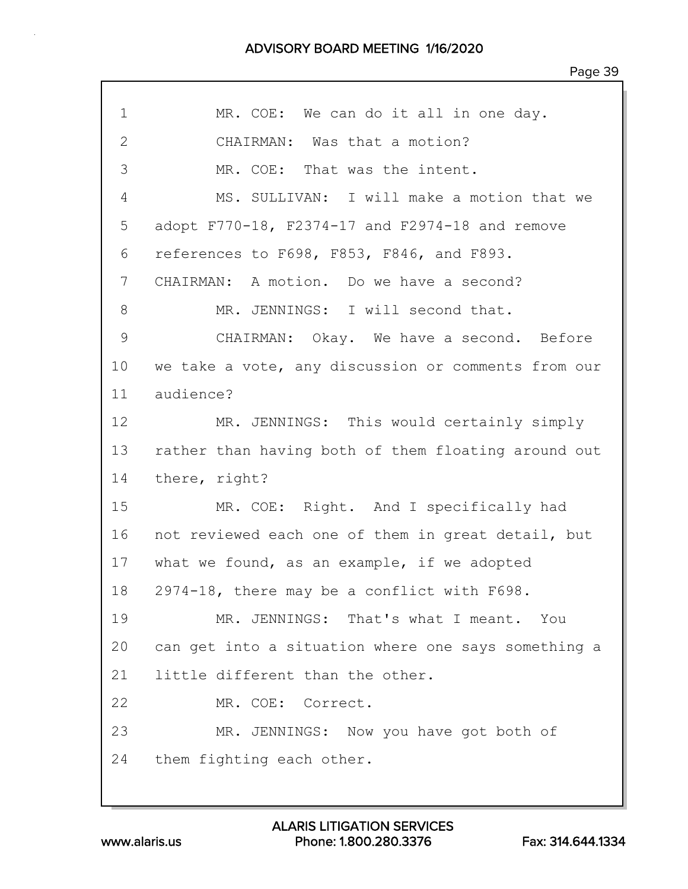| 1  | MR. COE: We can do it all in one day.               |
|----|-----------------------------------------------------|
| 2  | CHAIRMAN: Was that a motion?                        |
| 3  | MR. COE: That was the intent.                       |
| 4  | MS. SULLIVAN: I will make a motion that we          |
| 5  | adopt F770-18, F2374-17 and F2974-18 and remove     |
| 6  | references to F698, F853, F846, and F893.           |
| 7  | CHAIRMAN: A motion. Do we have a second?            |
| 8  | MR. JENNINGS: I will second that.                   |
| 9  | CHAIRMAN: Okay. We have a second. Before            |
| 10 | we take a vote, any discussion or comments from our |
| 11 | audience?                                           |
| 12 | MR. JENNINGS: This would certainly simply           |
| 13 | rather than having both of them floating around out |
| 14 | there, right?                                       |
| 15 | MR. COE: Right. And I specifically had              |
| 16 | not reviewed each one of them in great detail, but  |
| 17 | what we found, as an example, if we adopted         |
| 18 | 2974-18, there may be a conflict with F698.         |
| 19 | MR. JENNINGS: That's what I meant. You              |
| 20 | can get into a situation where one says something a |
| 21 | little different than the other.                    |
| 22 | MR. COE: Correct.                                   |
| 23 | MR. JENNINGS: Now you have got both of              |
| 24 | them fighting each other.                           |
|    |                                                     |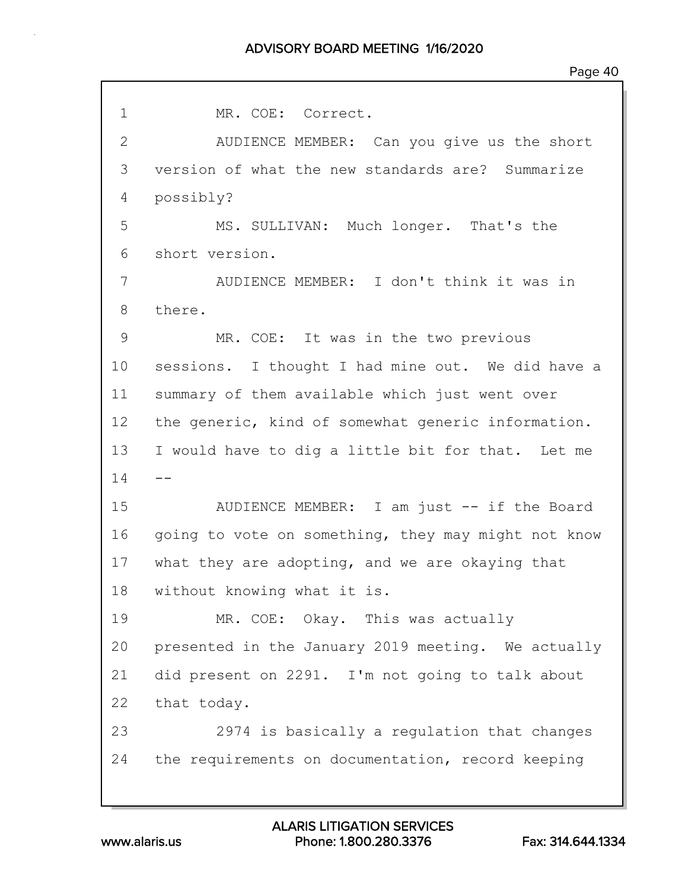1 MR. COE: Correct. 2 AUDIENCE MEMBER: Can you give us the short 3 version of what the new standards are? Summarize 4 possibly? 5 MS. SULLIVAN: Much longer. That's the 6 short version. 7 AUDIENCE MEMBER: I don't think it was in 8 there. 9 MR. COE: It was in the two previous 10 sessions. I thought I had mine out. We did have a 11 summary of them available which just went over 12 the generic, kind of somewhat generic information. 13 I would have to dig a little bit for that. Let me  $14 - -$ 15 AUDIENCE MEMBER: I am just -- if the Board 16 going to vote on something, they may might not know 17 what they are adopting, and we are okaying that 18 without knowing what it is. 19 MR. COE: Okay. This was actually 20 presented in the January 2019 meeting. We actually 21 did present on 2291. I'm not going to talk about 22 that today. 23 2974 is basically a regulation that changes 24 the requirements on documentation, record keeping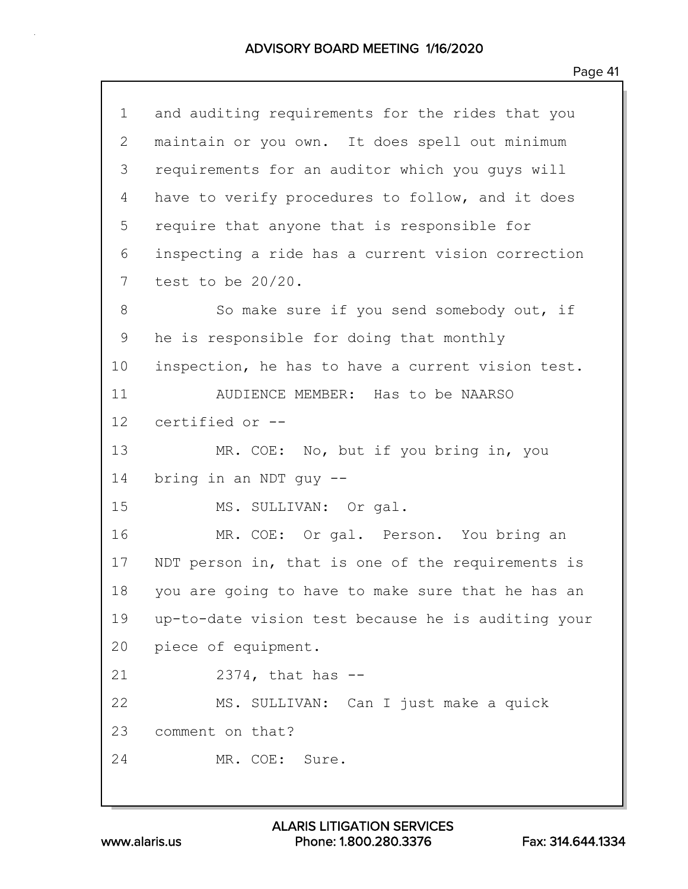| $\mathbf 1$     | and auditing requirements for the rides that you   |
|-----------------|----------------------------------------------------|
| 2               | maintain or you own. It does spell out minimum     |
| 3               | requirements for an auditor which you guys will    |
| 4               | have to verify procedures to follow, and it does   |
| 5               | require that anyone that is responsible for        |
| 6               | inspecting a ride has a current vision correction  |
| 7               | test to be $20/20$ .                               |
| 8               | So make sure if you send somebody out, if          |
| 9               | he is responsible for doing that monthly           |
| 10              | inspection, he has to have a current vision test.  |
| 11              | AUDIENCE MEMBER: Has to be NAARSO                  |
| 12 <sup>°</sup> | certified or --                                    |
| 13              | MR. COE: No, but if you bring in, you              |
| 14              | bring in an NDT guy --                             |
| 15              | MS. SULLIVAN: Or gal.                              |
| 16              | MR. COE: Or gal. Person. You bring an              |
| 17              | NDT person in, that is one of the requirements is  |
| 18              | you are going to have to make sure that he has an  |
| 19              | up-to-date vision test because he is auditing your |
| 20              | piece of equipment.                                |
| 21              | $2374$ , that has $-$                              |
| 22              | MS. SULLIVAN: Can I just make a quick              |
| 23              | comment on that?                                   |
| 24              | MR. COE: Sure.                                     |
|                 |                                                    |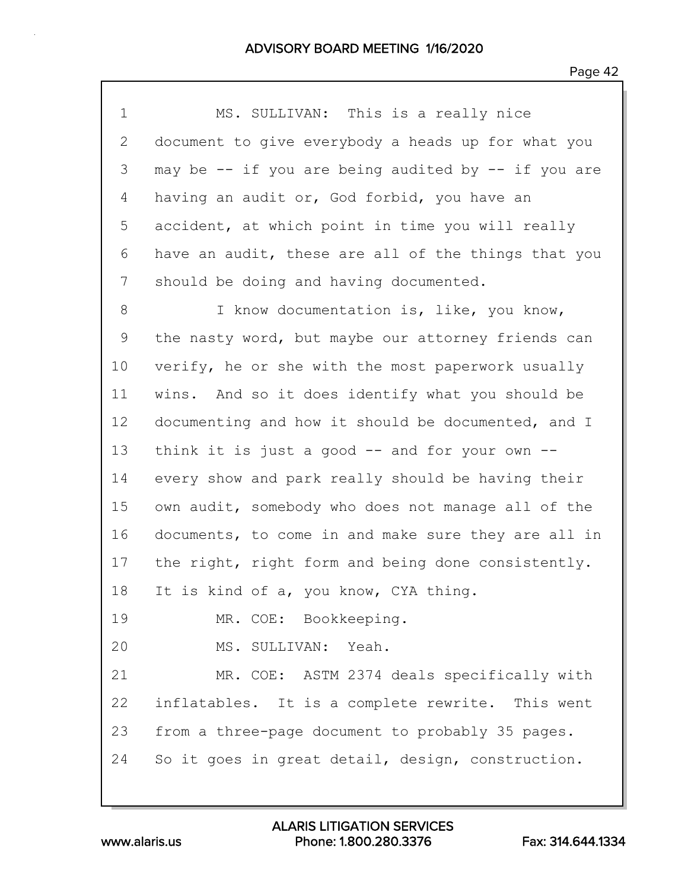| 1              | MS. SULLIVAN: This is a really nice                 |
|----------------|-----------------------------------------------------|
| 2              | document to give everybody a heads up for what you  |
| 3              | may be -- if you are being audited by -- if you are |
| $\overline{4}$ | having an audit or, God forbid, you have an         |
| 5              | accident, at which point in time you will really    |
| 6              | have an audit, these are all of the things that you |
| 7              | should be doing and having documented.              |
| 8              | I know documentation is, like, you know,            |
| 9              | the nasty word, but maybe our attorney friends can  |
| 10             | verify, he or she with the most paperwork usually   |
| 11             | wins. And so it does identify what you should be    |
| 12             | documenting and how it should be documented, and I  |
| 13             | think it is just a good $--$ and for your own $--$  |
| 14             | every show and park really should be having their   |
| 15             | own audit, somebody who does not manage all of the  |
| 16             | documents, to come in and make sure they are all in |
| 17             | the right, right form and being done consistently.  |
| 18             | It is kind of a, you know, CYA thing.               |
| 19             | MR. COE: Bookkeeping.                               |
| 20             | MS. SULLIVAN: Yeah.                                 |
| 21             | MR. COE: ASTM 2374 deals specifically with          |
| 22             | inflatables. It is a complete rewrite. This went    |
| 23             | from a three-page document to probably 35 pages.    |
| 24             | So it goes in great detail, design, construction.   |
|                |                                                     |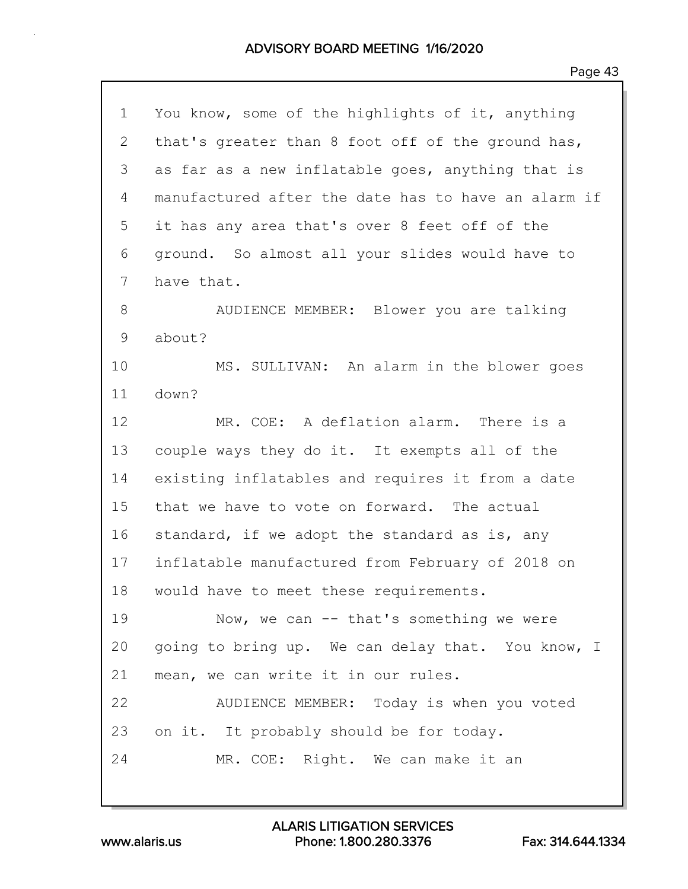| 1            | You know, some of the highlights of it, anything    |
|--------------|-----------------------------------------------------|
| $\mathbf{2}$ | that's greater than 8 foot off of the ground has,   |
| 3            | as far as a new inflatable goes, anything that is   |
| 4            | manufactured after the date has to have an alarm if |
| 5            | it has any area that's over 8 feet off of the       |
| 6            | ground. So almost all your slides would have to     |
| 7            | have that.                                          |
| 8            | AUDIENCE MEMBER: Blower you are talking             |
| 9            | about?                                              |
| 10           | MS. SULLIVAN: An alarm in the blower goes           |
| 11           | down?                                               |
| 12           | MR. COE: A deflation alarm. There is a              |
| 13           | couple ways they do it. It exempts all of the       |
| 14           | existing inflatables and requires it from a date    |
| 15           | that we have to vote on forward. The actual         |
| 16           | standard, if we adopt the standard as is, any       |
| 17           | inflatable manufactured from February of 2018 on    |
| 18           | would have to meet these requirements.              |
| 19           | Now, we can $--$ that's something we were           |
| 20           | going to bring up. We can delay that. You know, I   |
| 21           | mean, we can write it in our rules.                 |
| 22           | AUDIENCE MEMBER: Today is when you voted            |
| 23           | on it. It probably should be for today.             |
| 24           | MR. COE: Right. We can make it an                   |
|              |                                                     |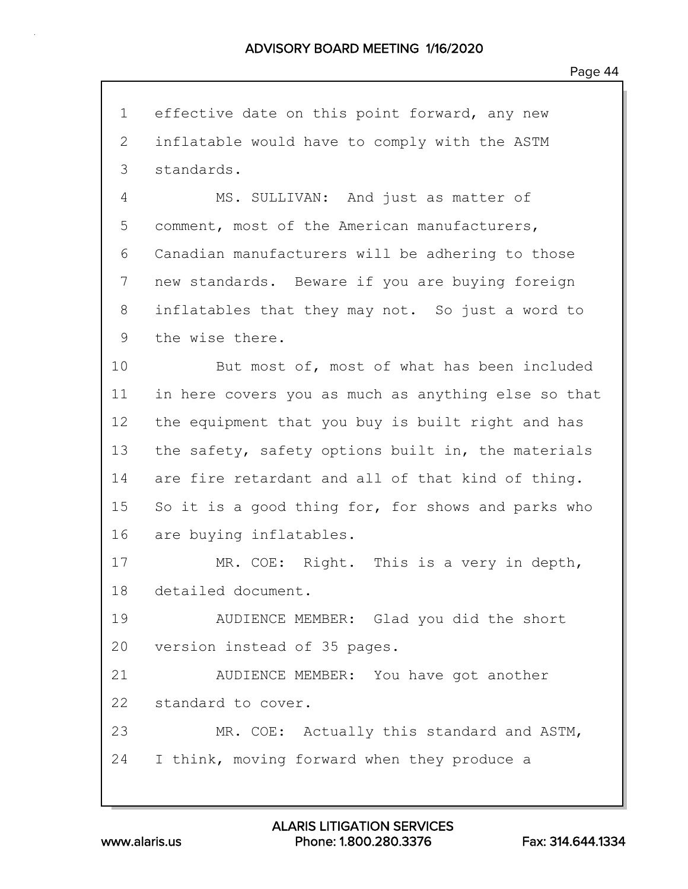1 effective date on this point forward, any new 2 inflatable would have to comply with the ASTM 3 standards. 4 MS. SULLIVAN: And just as matter of 5 comment, most of the American manufacturers, 6 Canadian manufacturers will be adhering to those 7 new standards. Beware if you are buying foreign 8 inflatables that they may not. So just a word to 9 the wise there. 10 But most of, most of what has been included 11 in here covers you as much as anything else so that 12 the equipment that you buy is built right and has 13 the safety, safety options built in, the materials 14 are fire retardant and all of that kind of thing. 15 So it is a good thing for, for shows and parks who 16 are buying inflatables. 17 MR. COE: Right. This is a very in depth, 18 detailed document. 19 AUDIENCE MEMBER: Glad you did the short 20 version instead of 35 pages. 21 AUDIENCE MEMBER: You have got another 22 standard to cover. 23 MR. COE: Actually this standard and ASTM, 24 I think, moving forward when they produce a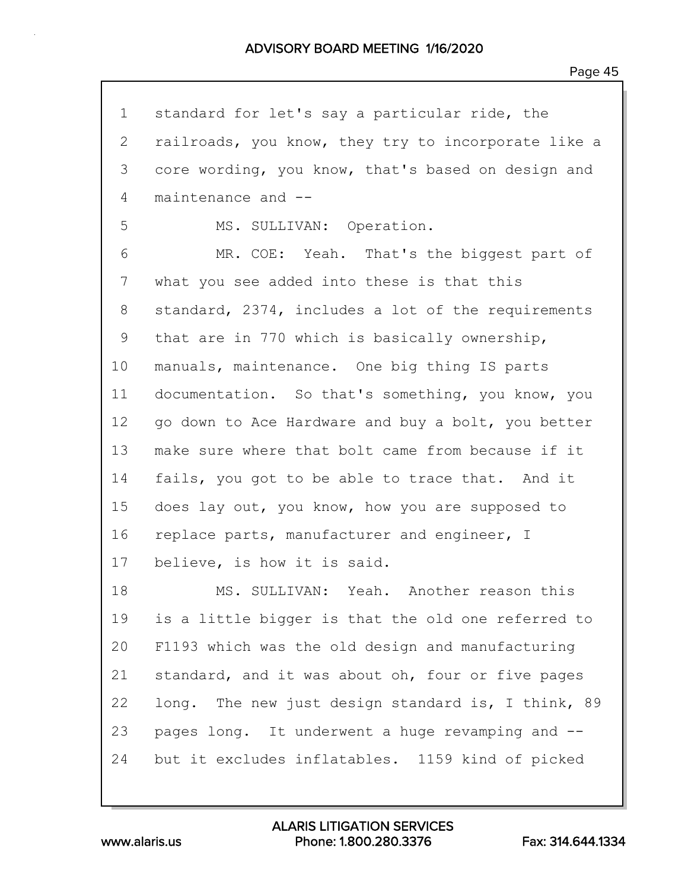| $\mathbf 1$ | standard for let's say a particular ride, the       |
|-------------|-----------------------------------------------------|
| 2           | railroads, you know, they try to incorporate like a |
| 3           | core wording, you know, that's based on design and  |
| 4           | maintenance and --                                  |
| 5           | MS. SULLIVAN: Operation.                            |
| 6           | MR. COE: Yeah. That's the biggest part of           |
| 7           | what you see added into these is that this          |
| 8           | standard, 2374, includes a lot of the requirements  |
| 9           | that are in 770 which is basically ownership,       |
| 10          | manuals, maintenance. One big thing IS parts        |
| 11          | documentation. So that's something, you know, you   |
| 12          | go down to Ace Hardware and buy a bolt, you better  |
| 13          | make sure where that bolt came from because if it   |
| 14          | fails, you got to be able to trace that. And it     |
| 15          | does lay out, you know, how you are supposed to     |
| 16          | replace parts, manufacturer and engineer, I         |
| 17          | believe, is how it is said.                         |
| 18          | MS. SULLIVAN: Yeah. Another reason this             |
| 19          | is a little bigger is that the old one referred to  |
| 20          | F1193 which was the old design and manufacturing    |
| 21          | standard, and it was about oh, four or five pages   |
| 22          | long. The new just design standard is, I think, 89  |
| 23          | pages long. It underwent a huge revamping and --    |
| 24          | but it excludes inflatables. 1159 kind of picked    |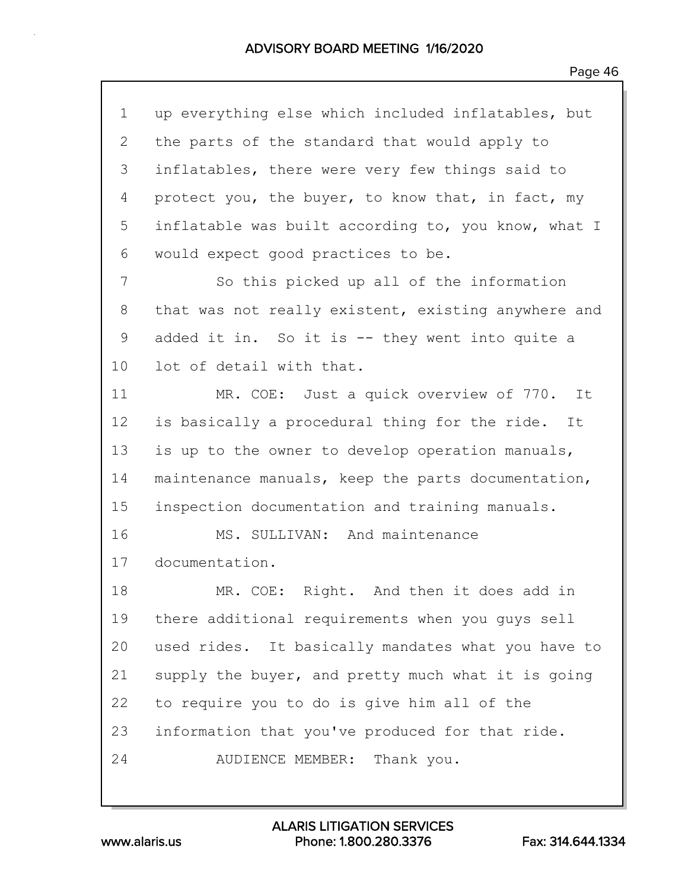| 1  | up everything else which included inflatables, but  |
|----|-----------------------------------------------------|
| 2  | the parts of the standard that would apply to       |
| 3  | inflatables, there were very few things said to     |
| 4  | protect you, the buyer, to know that, in fact, my   |
| 5  | inflatable was built according to, you know, what I |
| 6  | would expect good practices to be.                  |
| 7  | So this picked up all of the information            |
| 8  | that was not really existent, existing anywhere and |
| 9  | added it in. So it is -- they went into quite a     |
| 10 | lot of detail with that.                            |
| 11 | MR. COE: Just a quick overview of 770. It           |
| 12 | is basically a procedural thing for the ride. It    |
| 13 | is up to the owner to develop operation manuals,    |
| 14 | maintenance manuals, keep the parts documentation,  |
| 15 | inspection documentation and training manuals.      |
| 16 | MS. SULLIVAN: And maintenance                       |
| 17 | documentation.                                      |
| 18 | MR. COE: Right. And then it does add in             |
| 19 | there additional requirements when you guys sell    |
| 20 | used rides. It basically mandates what you have to  |
| 21 | supply the buyer, and pretty much what it is going  |
| 22 | to require you to do is give him all of the         |
| 23 | information that you've produced for that ride.     |
| 24 | AUDIENCE MEMBER: Thank you.                         |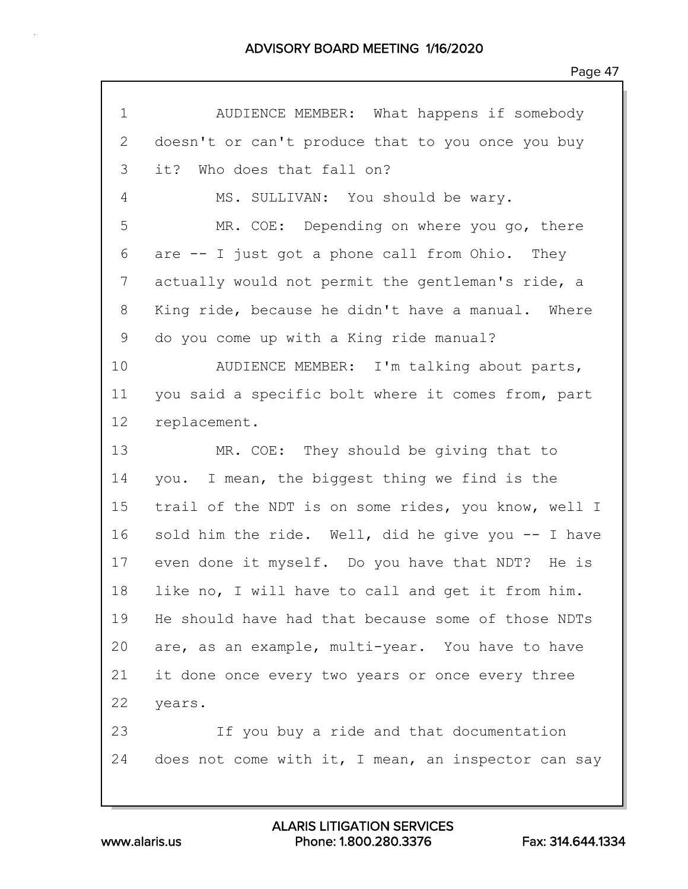| $\mathbf 1$ | AUDIENCE MEMBER: What happens if somebody           |
|-------------|-----------------------------------------------------|
| 2           | doesn't or can't produce that to you once you buy   |
| 3           | it? Who does that fall on?                          |
| 4           | MS. SULLIVAN: You should be wary.                   |
| 5           | MR. COE: Depending on where you go, there           |
| 6           | are -- I just got a phone call from Ohio. They      |
| 7           | actually would not permit the gentleman's ride, a   |
| 8           | King ride, because he didn't have a manual. Where   |
| 9           | do you come up with a King ride manual?             |
| 10          | AUDIENCE MEMBER: I'm talking about parts,           |
| 11          | you said a specific bolt where it comes from, part  |
| 12          | replacement.                                        |
| 13          | MR. COE: They should be giving that to              |
| 14          | you. I mean, the biggest thing we find is the       |
| 15          | trail of the NDT is on some rides, you know, well I |
| 16          | sold him the ride. Well, did he give you -- I have  |
| 17          | even done it myself. Do you have that NDT? He is    |
| 18          | like no, I will have to call and get it from him.   |
| 19          | He should have had that because some of those NDTs  |
| 20          | are, as an example, multi-year. You have to have    |
| 21          | it done once every two years or once every three    |
| 22          | years.                                              |
| 23          | If you buy a ride and that documentation            |
| 24          | does not come with it, I mean, an inspector can say |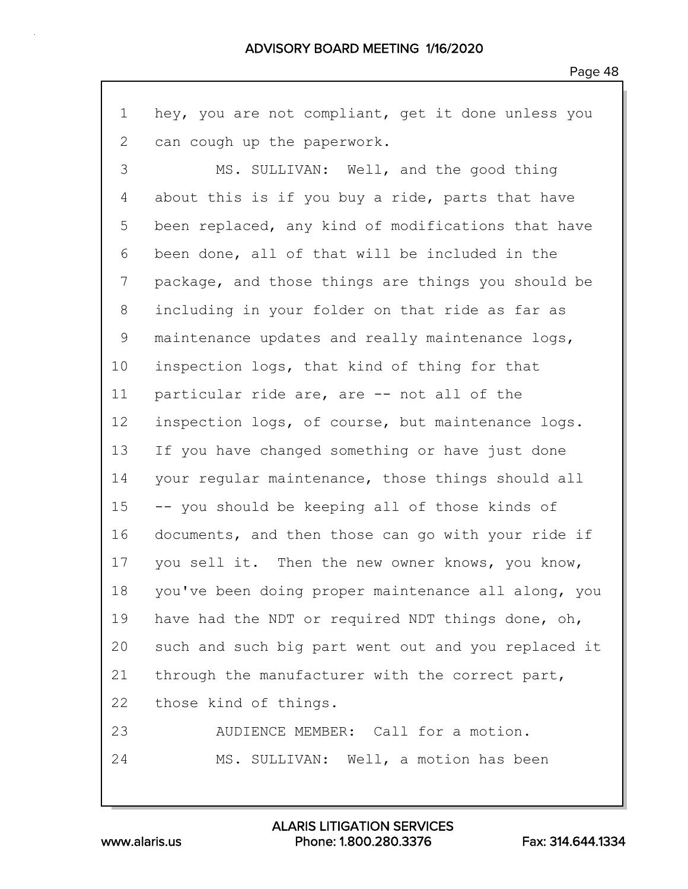1 hey, you are not compliant, get it done unless you 2 can cough up the paperwork.

3 MS. SULLIVAN: Well, and the good thing 4 about this is if you buy a ride, parts that have 5 been replaced, any kind of modifications that have 6 been done, all of that will be included in the 7 package, and those things are things you should be 8 including in your folder on that ride as far as 9 maintenance updates and really maintenance logs, 10 inspection logs, that kind of thing for that 11 particular ride are, are -- not all of the 12 inspection logs, of course, but maintenance logs. 13 If you have changed something or have just done 14 your regular maintenance, those things should all 15 -- you should be keeping all of those kinds of 16 documents, and then those can go with your ride if 17 you sell it. Then the new owner knows, you know, 18 you've been doing proper maintenance all along, you 19 have had the NDT or required NDT things done, oh, 20 such and such big part went out and you replaced it 21 through the manufacturer with the correct part, 22 those kind of things. 23 AUDIENCE MEMBER: Call for a motion.

24 MS. SULLIVAN: Well, a motion has been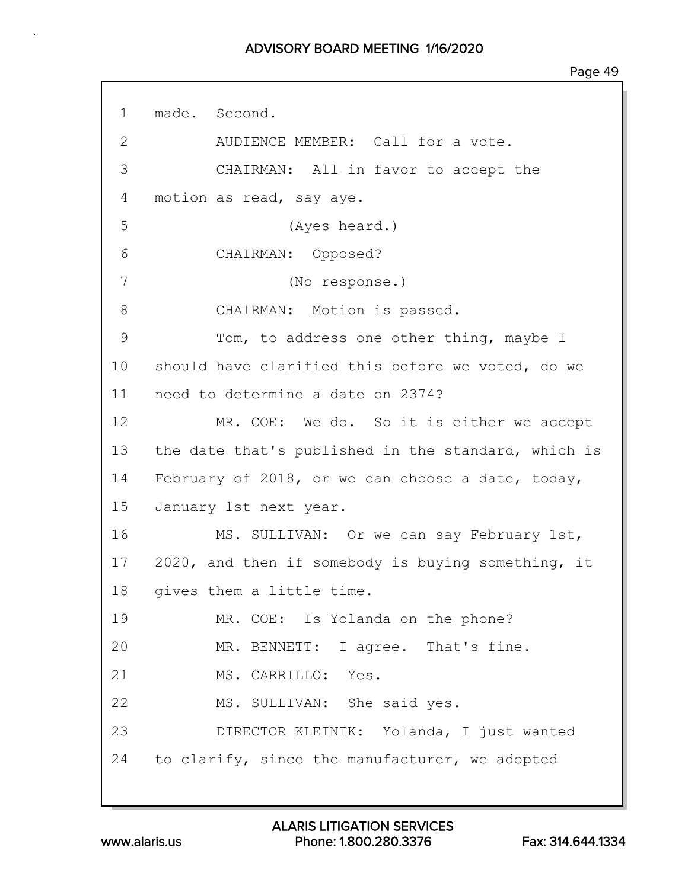1 made. Second. 2 AUDIENCE MEMBER: Call for a vote. 3 CHAIRMAN: All in favor to accept the 4 motion as read, say aye. 5 (Ayes heard.) 6 CHAIRMAN: Opposed? 7 (No response.) 8 CHAIRMAN: Motion is passed. 9 Tom, to address one other thing, maybe I 10 should have clarified this before we voted, do we 11 need to determine a date on 2374? 12 MR. COE: We do. So it is either we accept 13 the date that's published in the standard, which is 14 February of 2018, or we can choose a date, today, 15 January 1st next year. 16 MS. SULLIVAN: Or we can say February 1st, 17 2020, and then if somebody is buying something, it 18 gives them a little time. 19 MR. COE: Is Yolanda on the phone? 20 MR. BENNETT: I agree. That's fine. 21 MS. CARRILLO: Yes. 22 MS. SULLIVAN: She said yes. 23 DIRECTOR KLEINIK: Yolanda, I just wanted 24 to clarify, since the manufacturer, we adopted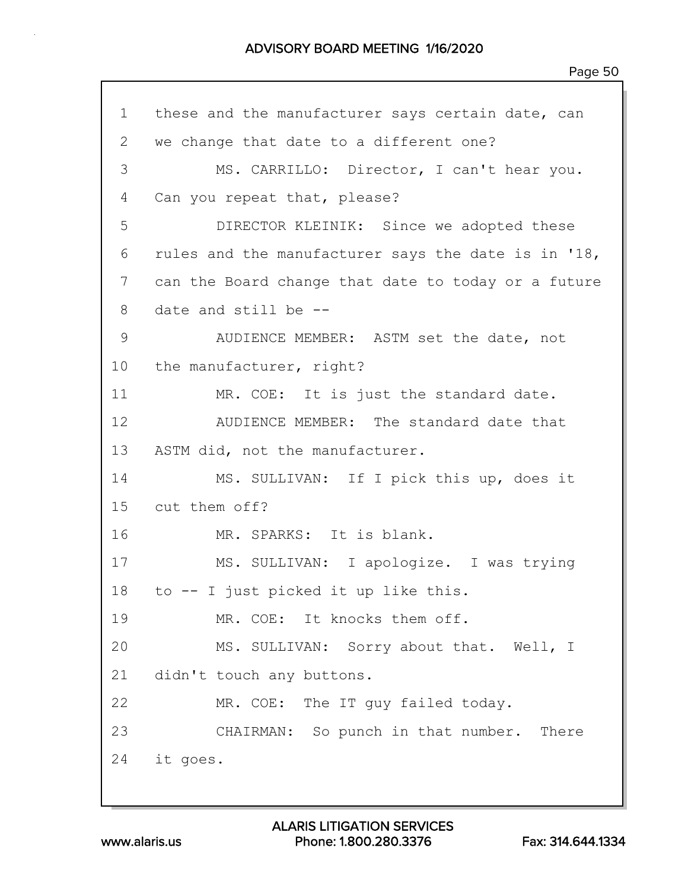1 these and the manufacturer says certain date, can 2 we change that date to a different one? 3 MS. CARRILLO: Director, I can't hear you. 4 Can you repeat that, please? 5 DIRECTOR KLEINIK: Since we adopted these 6 rules and the manufacturer says the date is in '18, 7 can the Board change that date to today or a future 8 date and still be -- 9 AUDIENCE MEMBER: ASTM set the date, not 10 the manufacturer, right? 11 MR. COE: It is just the standard date. 12 AUDIENCE MEMBER: The standard date that 13 ASTM did, not the manufacturer. 14 MS. SULLIVAN: If I pick this up, does it 15 cut them off? 16 MR. SPARKS: It is blank. 17 MS. SULLIVAN: I apologize. I was trying 18 to -- I just picked it up like this. 19 MR. COE: It knocks them off. 20 MS. SULLIVAN: Sorry about that. Well, I 21 didn't touch any buttons. 22 MR. COE: The IT guy failed today. 23 CHAIRMAN: So punch in that number. There 24 it goes.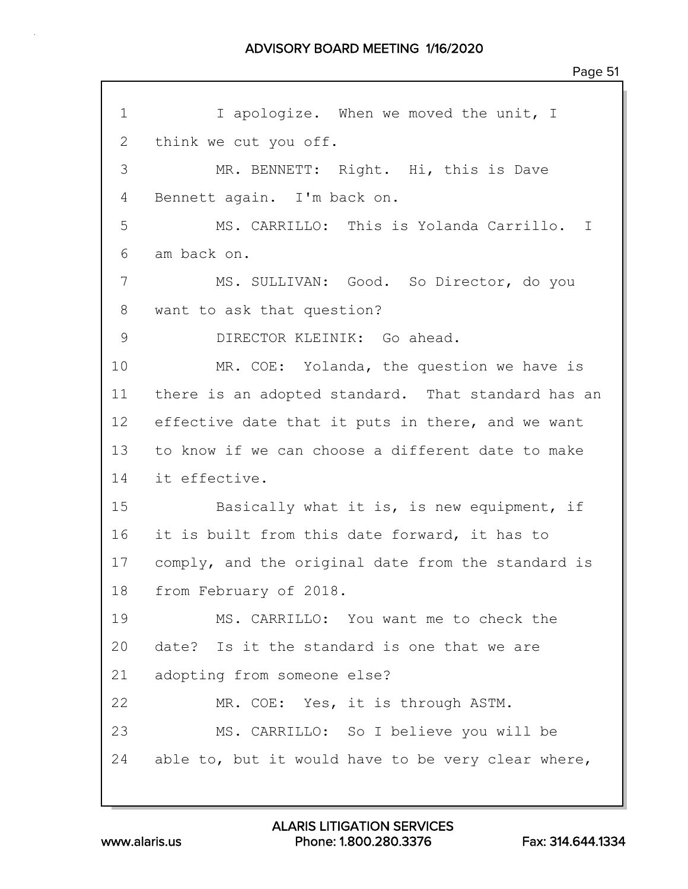1 I apologize. When we moved the unit, I 2 think we cut you off. 3 MR. BENNETT: Right. Hi, this is Dave 4 Bennett again. I'm back on. 5 MS. CARRILLO: This is Yolanda Carrillo. I 6 am back on. 7 MS. SULLIVAN: Good. So Director, do you 8 want to ask that question? 9 DIRECTOR KLEINIK: Go ahead. 10 MR. COE: Yolanda, the question we have is 11 there is an adopted standard. That standard has an 12 effective date that it puts in there, and we want 13 to know if we can choose a different date to make 14 it effective. 15 Basically what it is, is new equipment, if 16 it is built from this date forward, it has to 17 comply, and the original date from the standard is 18 from February of 2018. 19 MS. CARRILLO: You want me to check the 20 date? Is it the standard is one that we are 21 adopting from someone else? 22 MR. COE: Yes, it is through ASTM. 23 MS. CARRILLO: So I believe you will be 24 able to, but it would have to be very clear where,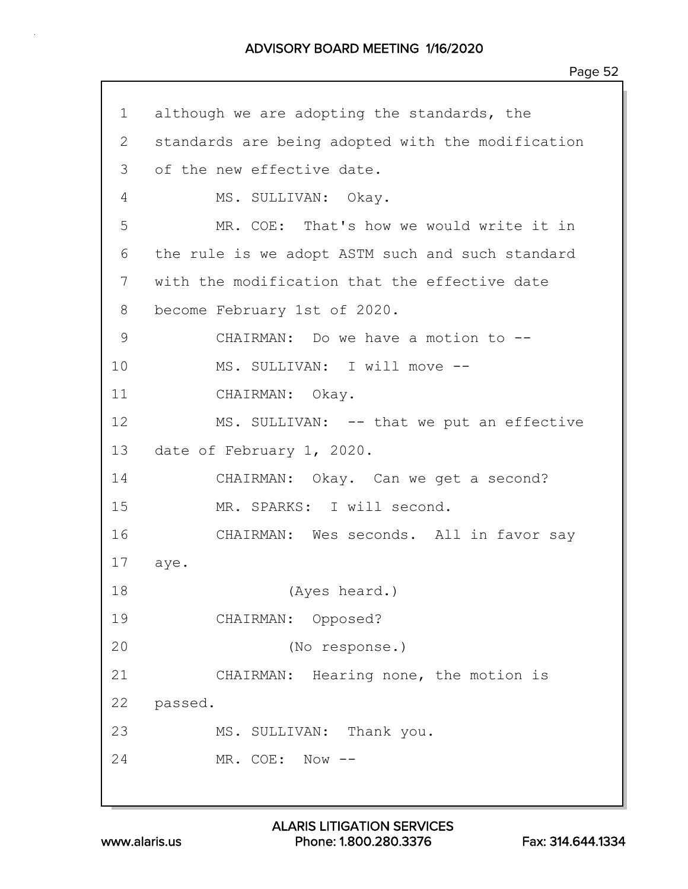1 although we are adopting the standards, the 2 standards are being adopted with the modification 3 of the new effective date. 4 MS. SULLIVAN: Okay. 5 MR. COE: That's how we would write it in 6 the rule is we adopt ASTM such and such standard 7 with the modification that the effective date 8 become February 1st of 2020. 9 CHAIRMAN: Do we have a motion to --10 MS. SULLIVAN: I will move --11 CHAIRMAN: Okay. 12 MS. SULLIVAN: -- that we put an effective 13 date of February 1, 2020. 14 CHAIRMAN: Okay. Can we get a second? 15 MR. SPARKS: I will second. 16 CHAIRMAN: Wes seconds. All in favor say 17 aye. 18 (Ayes heard.) 19 CHAIRMAN: Opposed? 20 (No response.) 21 CHAIRMAN: Hearing none, the motion is 22 passed. 23 MS. SULLIVAN: Thank you. 24 MR. COE: Now --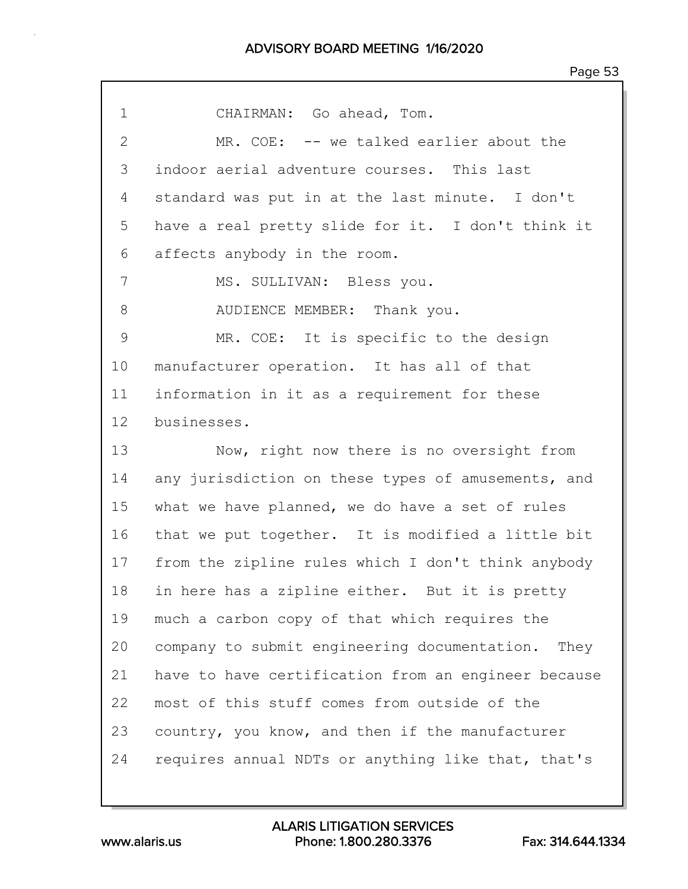| $\mathbf 1$   | CHAIRMAN: Go ahead, Tom.                            |
|---------------|-----------------------------------------------------|
| $\mathbf{2}$  | MR. COE: -- we talked earlier about the             |
| 3             | indoor aerial adventure courses. This last          |
| 4             | standard was put in at the last minute. I don't     |
| 5             | have a real pretty slide for it. I don't think it   |
| 6             | affects anybody in the room.                        |
| 7             | MS. SULLIVAN: Bless you.                            |
| 8             | AUDIENCE MEMBER: Thank you.                         |
| $\mathcal{G}$ | MR. COE: It is specific to the design               |
| 10            | manufacturer operation. It has all of that          |
| 11            | information in it as a requirement for these        |
| $12 \,$       | businesses.                                         |
| 13            | Now, right now there is no oversight from           |
| 14            | any jurisdiction on these types of amusements, and  |
| 15            | what we have planned, we do have a set of rules     |
| 16            | that we put together. It is modified a little bit   |
| 17            | from the zipline rules which I don't think anybody  |
| 18            | in here has a zipline either. But it is pretty      |
| 19            | much a carbon copy of that which requires the       |
| 20            | company to submit engineering documentation. They   |
| 21            | have to have certification from an engineer because |
| 22            | most of this stuff comes from outside of the        |
| 23            | country, you know, and then if the manufacturer     |
| 24            | requires annual NDTs or anything like that, that's  |
|               |                                                     |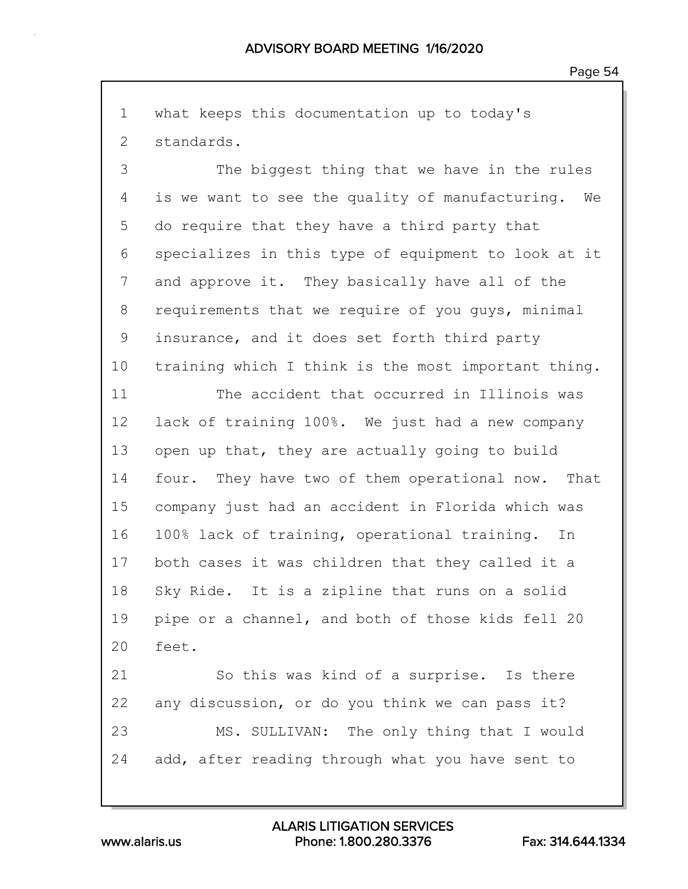1 what keeps this documentation up to today's 2 standards.

3 The biggest thing that we have in the rules 4 is we want to see the quality of manufacturing. We 5 do require that they have a third party that 6 specializes in this type of equipment to look at it 7 and approve it. They basically have all of the 8 requirements that we require of you guys, minimal 9 insurance, and it does set forth third party 10 training which I think is the most important thing.

11 The accident that occurred in Illinois was 12 lack of training 100%. We just had a new company 13 open up that, they are actually going to build 14 four. They have two of them operational now. That 15 company just had an accident in Florida which was 16 100% lack of training, operational training. In 17 both cases it was children that they called it a 18 Sky Ride. It is a zipline that runs on a solid 19 pipe or a channel, and both of those kids fell 20 20 feet.

21 So this was kind of a surprise. Is there 22 any discussion, or do you think we can pass it? 23 MS. SULLIVAN: The only thing that I would 24 add, after reading through what you have sent to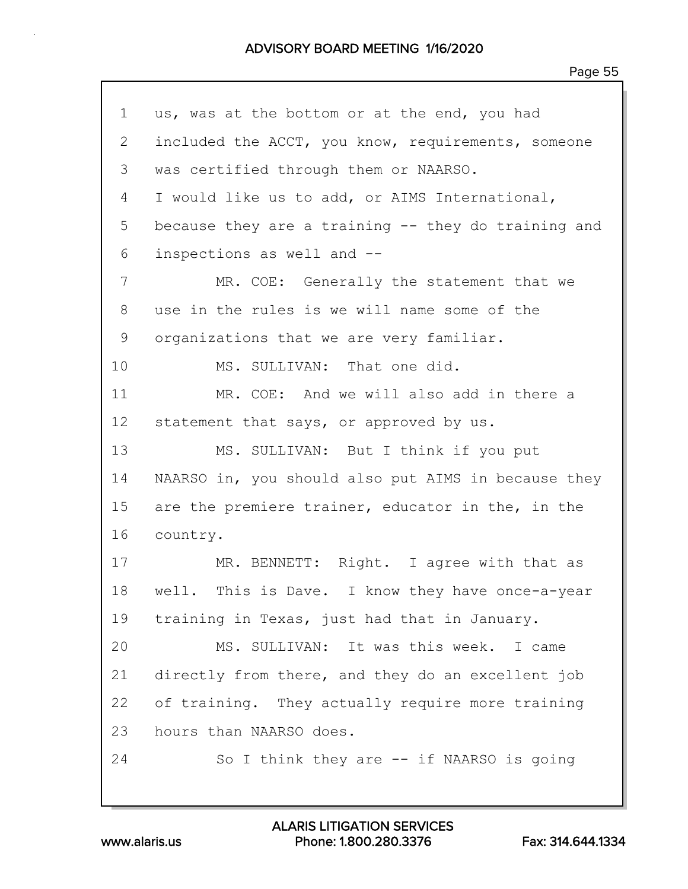| 1  | us, was at the bottom or at the end, you had        |
|----|-----------------------------------------------------|
| 2  | included the ACCT, you know, requirements, someone  |
| 3  | was certified through them or NAARSO.               |
| 4  | I would like us to add, or AIMS International,      |
| 5  | because they are a training -- they do training and |
| 6  | inspections as well and --                          |
| 7  | MR. COE: Generally the statement that we            |
| 8  | use in the rules is we will name some of the        |
| 9  | organizations that we are very familiar.            |
| 10 | MS. SULLIVAN: That one did.                         |
| 11 | MR. COE: And we will also add in there a            |
| 12 | statement that says, or approved by us.             |
| 13 | MS. SULLIVAN: But I think if you put                |
| 14 | NAARSO in, you should also put AIMS in because they |
| 15 | are the premiere trainer, educator in the, in the   |
| 16 | country.                                            |
| 17 | MR. BENNETT: Right. I agree with that as            |
| 18 | well. This is Dave. I know they have once-a-year    |
| 19 | training in Texas, just had that in January.        |
| 20 | MS. SULLIVAN: It was this week. I came              |
| 21 | directly from there, and they do an excellent job   |
| 22 | of training. They actually require more training    |
| 23 | hours than NAARSO does.                             |
| 24 | So I think they are $--$ if NAARSO is going         |
|    |                                                     |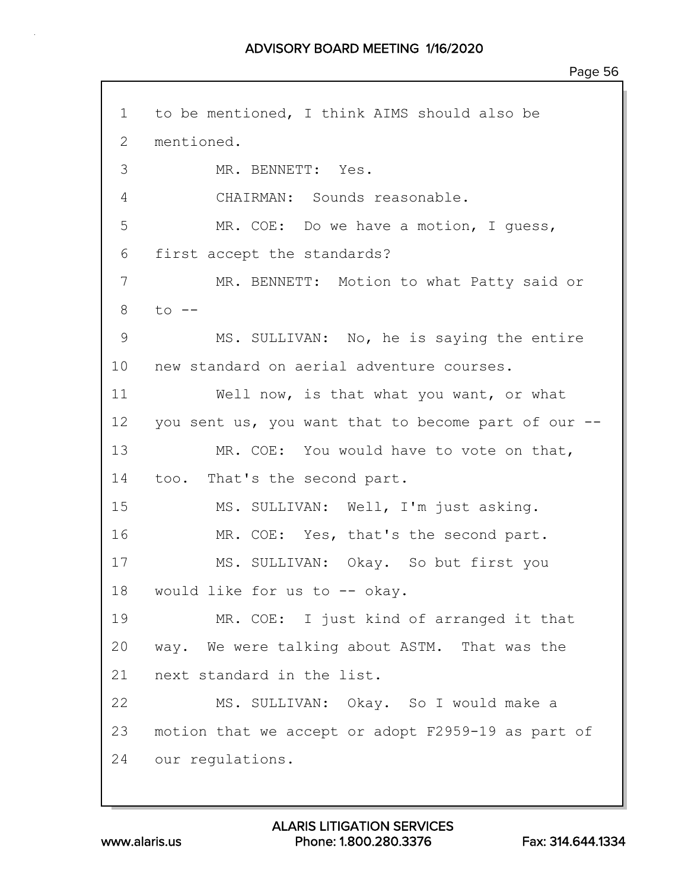1 to be mentioned, I think AIMS should also be 2 mentioned. 3 MR. BENNETT: Yes. 4 CHAIRMAN: Sounds reasonable. 5 MR. COE: Do we have a motion, I guess, 6 first accept the standards? 7 MR. BENNETT: Motion to what Patty said or  $8$  to  $-$ 9 MS. SULLIVAN: No, he is saying the entire 10 new standard on aerial adventure courses. 11 Well now, is that what you want, or what 12 you sent us, you want that to become part of our -- 13 MR. COE: You would have to vote on that, 14 too. That's the second part. 15 MS. SULLIVAN: Well, I'm just asking. 16 MR. COE: Yes, that's the second part. 17 MS. SULLIVAN: Okay. So but first you 18 would like for us to -- okay. 19 MR. COE: I just kind of arranged it that 20 way. We were talking about ASTM. That was the 21 next standard in the list. 22 MS. SULLIVAN: Okay. So I would make a 23 motion that we accept or adopt F2959-19 as part of 24 our regulations.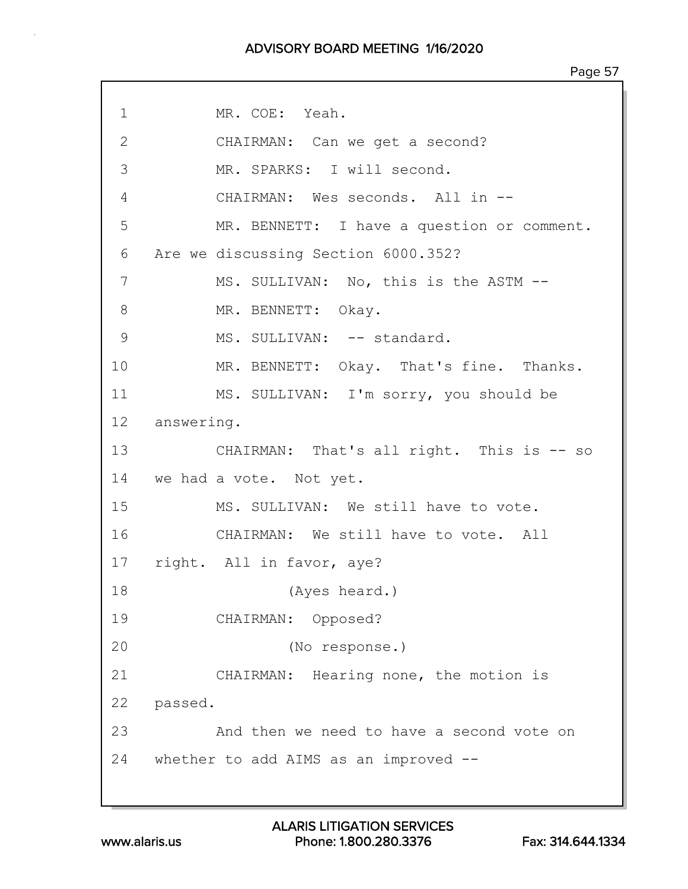## ADVISORY BOARD MEETING 1/16/2020

1 MR. COE: Yeah. 2 CHAIRMAN: Can we get a second? 3 MR. SPARKS: I will second. 4 CHAIRMAN: Wes seconds. All in -- 5 MR. BENNETT: I have a question or comment. 6 Are we discussing Section 6000.352? 7 MS. SULLIVAN: No, this is the ASTM -- 8 MR. BENNETT: Okay. 9 MS. SULLIVAN: -- standard. 10 MR. BENNETT: Okay. That's fine. Thanks. 11 MS. SULLIVAN: I'm sorry, you should be 12 answering. 13 CHAIRMAN: That's all right. This is -- so 14 we had a vote. Not yet. 15 MS. SULLIVAN: We still have to vote. 16 CHAIRMAN: We still have to vote. All 17 right. All in favor, aye? 18 (Ayes heard.) 19 CHAIRMAN: Opposed? 20 (No response.) 21 CHAIRMAN: Hearing none, the motion is 22 passed. 23 And then we need to have a second vote on 24 whether to add AIMS as an improved --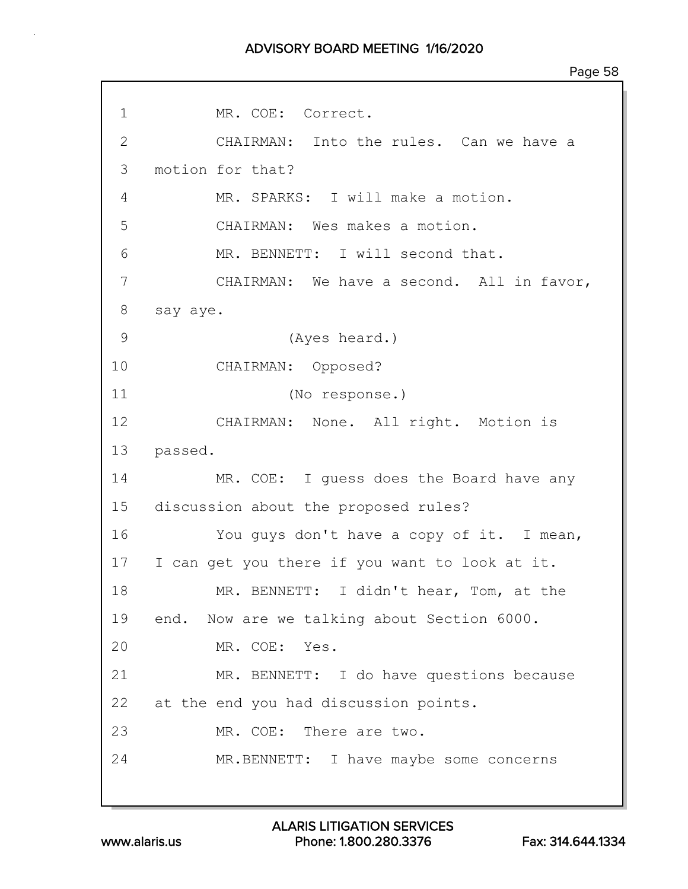## ADVISORY BOARD MEETING 1/16/2020

| 1            | MR. COE: Correct.                              |
|--------------|------------------------------------------------|
| $\mathbf{2}$ | CHAIRMAN: Into the rules. Can we have a        |
| 3            | motion for that?                               |
| 4            | MR. SPARKS: I will make a motion.              |
| 5            | CHAIRMAN: Wes makes a motion.                  |
| 6            | MR. BENNETT: I will second that.               |
| 7            | CHAIRMAN: We have a second. All in favor,      |
| 8            | say aye.                                       |
| 9            | (Ayes heard.)                                  |
| 10           | CHAIRMAN: Opposed?                             |
| 11           | (No response.)                                 |
| 12           | CHAIRMAN: None. All right. Motion is           |
| 13           | passed.                                        |
| 14           | MR. COE: I guess does the Board have any       |
| 15           | discussion about the proposed rules?           |
| 16           | You guys don't have a copy of it. I mean,      |
| 17           | I can get you there if you want to look at it. |
| 18           | MR. BENNETT: I didn't hear, Tom, at the        |
| 19           | end. Now are we talking about Section 6000.    |
| 20           | MR. COE: Yes.                                  |
| 21           | MR. BENNETT: I do have questions because       |
| 22           | at the end you had discussion points.          |
| 23           | MR. COE: There are two.                        |
| 24           | MR.BENNETT: I have maybe some concerns         |
|              |                                                |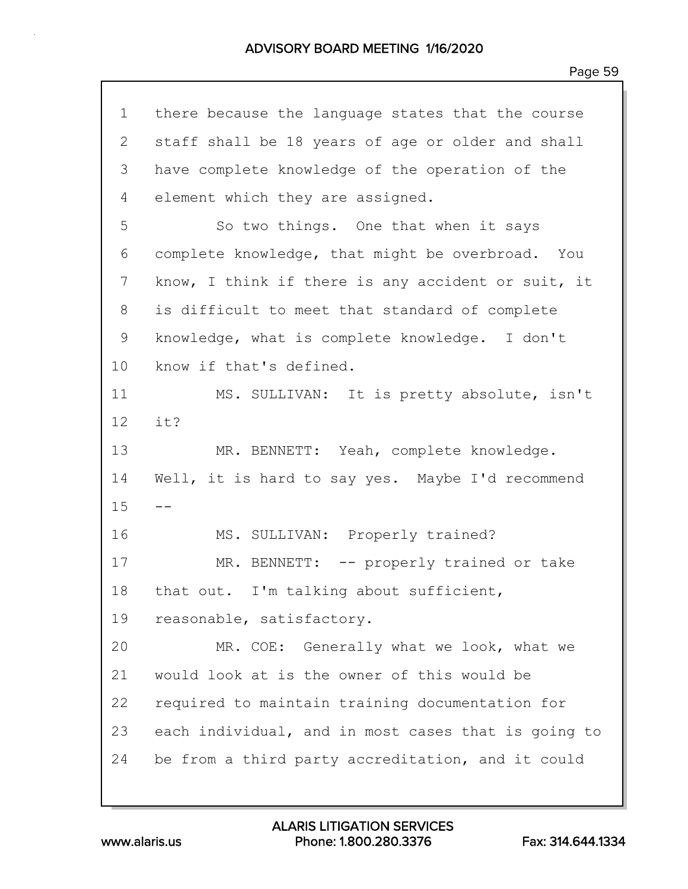| $\mathbf 1$    | there because the language states that the course   |
|----------------|-----------------------------------------------------|
| $\overline{2}$ | staff shall be 18 years of age or older and shall   |
| 3              | have complete knowledge of the operation of the     |
| 4              | element which they are assigned.                    |
| 5              | So two things. One that when it says                |
| 6              | complete knowledge, that might be overbroad. You    |
| 7              | know, I think if there is any accident or suit, it  |
| 8              | is difficult to meet that standard of complete      |
| 9              | knowledge, what is complete knowledge. I don't      |
| 10             | know if that's defined.                             |
| 11             | MS. SULLIVAN: It is pretty absolute, isn't          |
| 12             | it?                                                 |
| 13             | MR. BENNETT: Yeah, complete knowledge.              |
| 14             | Well, it is hard to say yes. Maybe I'd recommend    |
| 15             | --                                                  |
| 16             | MS. SULLIVAN: Properly trained?                     |
| 17             | MR. BENNETT: -- properly trained or take            |
| 18             | that out. I'm talking about sufficient,             |
| 19             | reasonable, satisfactory.                           |
| 20             | MR. COE: Generally what we look, what we            |
| 21             | would look at is the owner of this would be         |
| 22             | required to maintain training documentation for     |
| 23             | each individual, and in most cases that is going to |
| 24             | be from a third party accreditation, and it could   |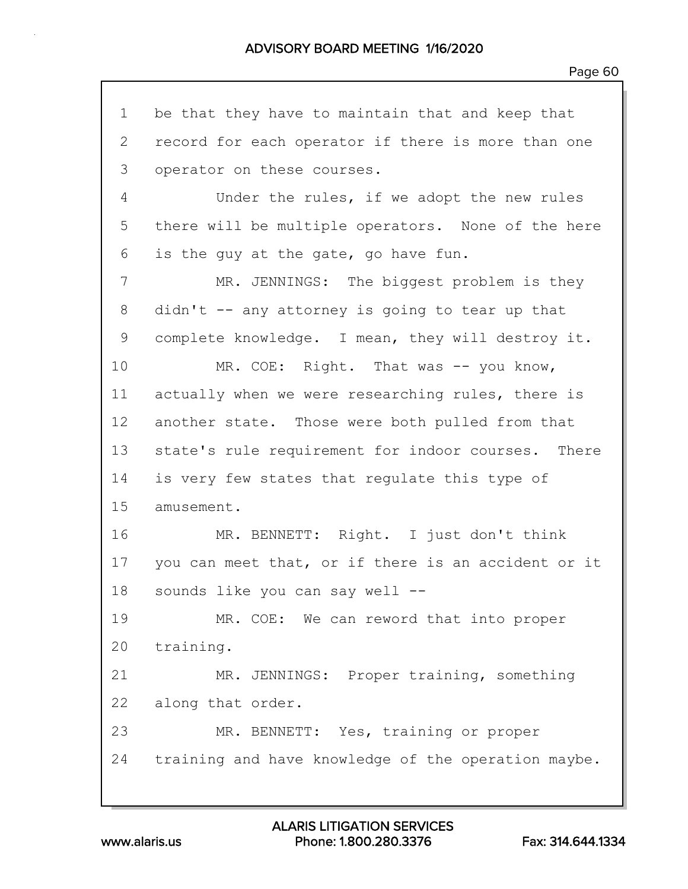1 be that they have to maintain that and keep that 2 record for each operator if there is more than one 3 operator on these courses. 4 Under the rules, if we adopt the new rules 5 there will be multiple operators. None of the here 6 is the guy at the gate, go have fun. 7 MR. JENNINGS: The biggest problem is they 8 didn't -- any attorney is going to tear up that 9 complete knowledge. I mean, they will destroy it. 10 MR. COE: Right. That was -- you know, 11 actually when we were researching rules, there is 12 another state. Those were both pulled from that 13 state's rule requirement for indoor courses. There 14 is very few states that regulate this type of 15 amusement. 16 MR. BENNETT: Right. I just don't think 17 you can meet that, or if there is an accident or it 18 sounds like you can say well -- 19 MR. COE: We can reword that into proper 20 training. 21 MR. JENNINGS: Proper training, something 22 along that order. 23 MR. BENNETT: Yes, training or proper 24 training and have knowledge of the operation maybe.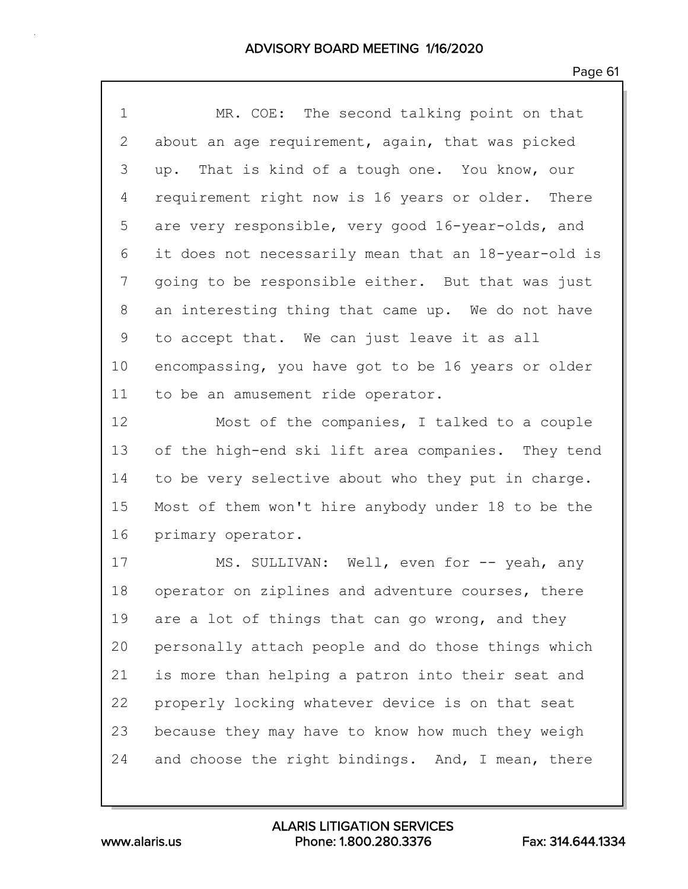| $\mathbf 1$ | MR. COE: The second talking point on that           |
|-------------|-----------------------------------------------------|
| 2           | about an age requirement, again, that was picked    |
| 3           | up. That is kind of a tough one. You know, our      |
| 4           | requirement right now is 16 years or older. There   |
| 5           | are very responsible, very good 16-year-olds, and   |
| 6           | it does not necessarily mean that an 18-year-old is |
| 7           | going to be responsible either. But that was just   |
| 8           | an interesting thing that came up. We do not have   |
| 9           | to accept that. We can just leave it as all         |
| 10          | encompassing, you have got to be 16 years or older  |
| 11          | to be an amusement ride operator.                   |
| 12          | Most of the companies, I talked to a couple         |
|             |                                                     |
| 13          | of the high-end ski lift area companies. They tend  |
| 14          | to be very selective about who they put in charge.  |
| 15          | Most of them won't hire anybody under 18 to be the  |
| 16          | primary operator.                                   |
| 17          | MS. SULLIVAN: Well, even for -- yeah, any           |
| 18          | operator on ziplines and adventure courses, there   |
| 19          | are a lot of things that can go wrong, and they     |
| 20          | personally attach people and do those things which  |
| 21          | is more than helping a patron into their seat and   |
| 22          | properly locking whatever device is on that seat    |
| 23          | because they may have to know how much they weigh   |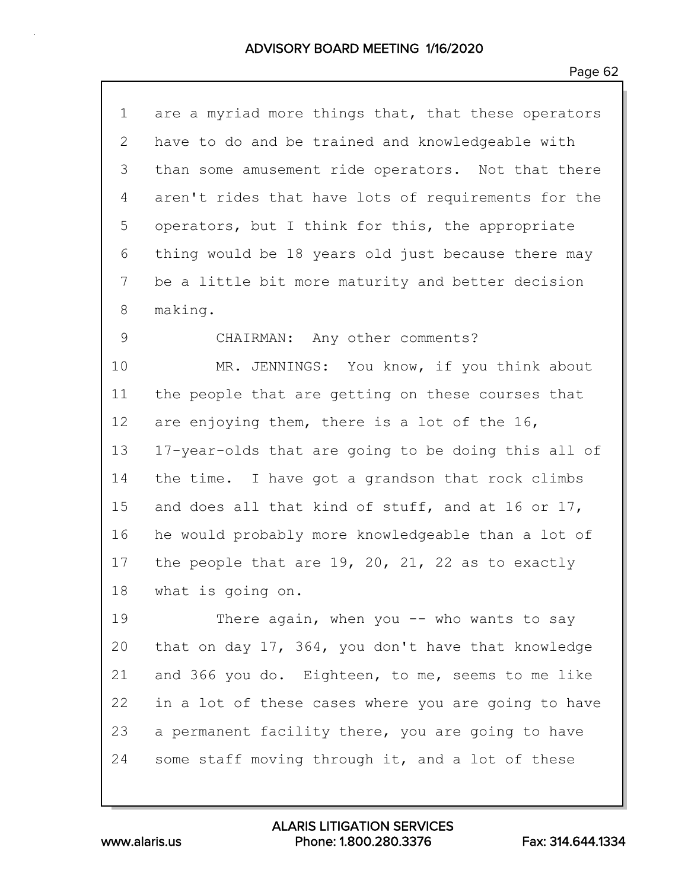| $\mathbf 1$ | are a myriad more things that, that these operators |
|-------------|-----------------------------------------------------|
| 2           | have to do and be trained and knowledgeable with    |
| 3           | than some amusement ride operators. Not that there  |
| 4           | aren't rides that have lots of requirements for the |
| 5           | operators, but I think for this, the appropriate    |
| 6           | thing would be 18 years old just because there may  |
| 7           | be a little bit more maturity and better decision   |
| 8           | making.                                             |
| 9           | CHAIRMAN: Any other comments?                       |
| 10          | MR. JENNINGS: You know, if you think about          |
| 11          | the people that are getting on these courses that   |
| 12          | are enjoying them, there is a lot of the 16,        |
| 13          | 17-year-olds that are going to be doing this all of |
| 14          | the time. I have got a grandson that rock climbs    |
| 15          | and does all that kind of stuff, and at 16 or 17,   |
| 16          | he would probably more knowledgeable than a lot of  |
| 17          | the people that are 19, 20, 21, 22 as to exactly    |
| 18          | what is going on.                                   |
| 19          | There again, when you -- who wants to say           |
| 20          | that on day 17, 364, you don't have that knowledge  |
| 21          | and 366 you do. Eighteen, to me, seems to me like   |
| 22          | in a lot of these cases where you are going to have |
| 23          | a permanent facility there, you are going to have   |
| 24          | some staff moving through it, and a lot of these    |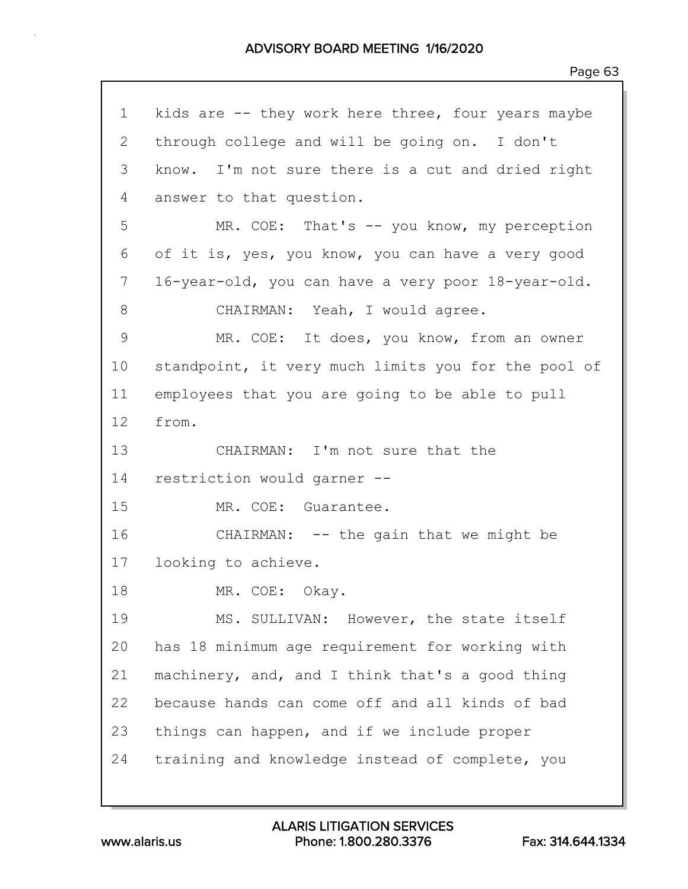| $\mathbf 1$     | kids are -- they work here three, four years maybe  |
|-----------------|-----------------------------------------------------|
| $\mathbf{2}$    | through college and will be going on. I don't       |
| 3               | know. I'm not sure there is a cut and dried right   |
| 4               | answer to that question.                            |
| 5               | MR. COE: That's -- you know, my perception          |
| 6               | of it is, yes, you know, you can have a very good   |
| 7               | 16-year-old, you can have a very poor 18-year-old.  |
| 8               | CHAIRMAN: Yeah, I would agree.                      |
| 9               | MR. COE: It does, you know, from an owner           |
| 10              | standpoint, it very much limits you for the pool of |
| 11              | employees that you are going to be able to pull     |
| 12 <sup>°</sup> | from.                                               |
| 13              | CHAIRMAN: I'm not sure that the                     |
| 14              | restriction would garner --                         |
| 15              | MR. COE: Guarantee.                                 |
| 16              | CHAIRMAN: -- the gain that we might be              |
| 17              | looking to achieve.                                 |
| 18              | MR. COE: Okay.                                      |
| 19              | MS. SULLIVAN: However, the state itself             |
| 20              | has 18 minimum age requirement for working with     |
| 21              | machinery, and, and I think that's a good thing     |
| 22              | because hands can come off and all kinds of bad     |
| 23              | things can happen, and if we include proper         |
| 24              | training and knowledge instead of complete, you     |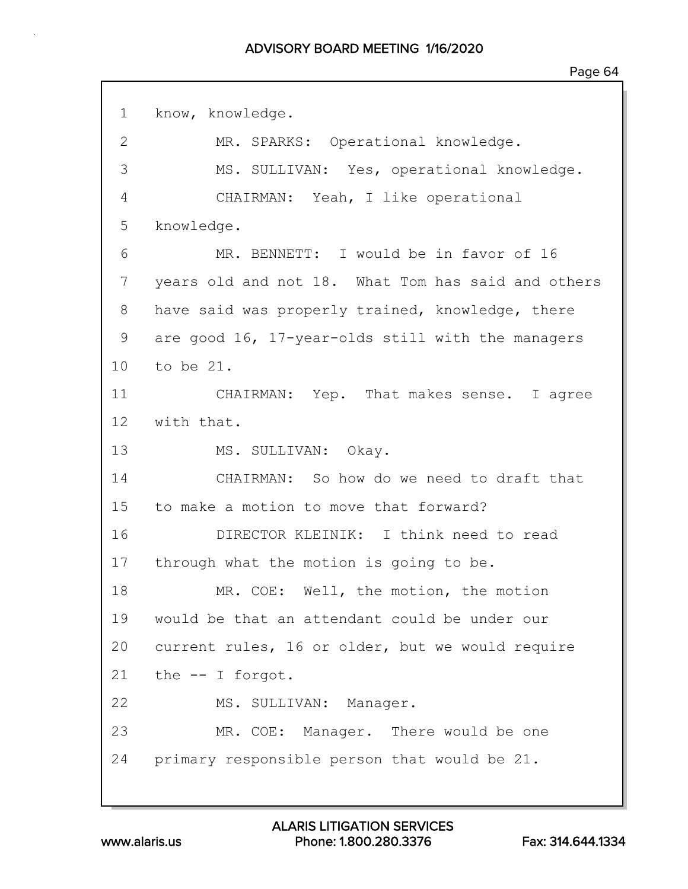1 know, knowledge. 2 MR. SPARKS: Operational knowledge. 3 MS. SULLIVAN: Yes, operational knowledge. 4 CHAIRMAN: Yeah, I like operational 5 knowledge. 6 MR. BENNETT: I would be in favor of 16 7 years old and not 18. What Tom has said and others 8 have said was properly trained, knowledge, there 9 are good 16, 17-year-olds still with the managers 10 to be 21. 11 CHAIRMAN: Yep. That makes sense. I agree 12 with that. 13 MS. SULLIVAN: Okay. 14 CHAIRMAN: So how do we need to draft that 15 to make a motion to move that forward? 16 DIRECTOR KLEINIK: I think need to read 17 through what the motion is going to be. 18 MR. COE: Well, the motion, the motion 19 would be that an attendant could be under our 20 current rules, 16 or older, but we would require 21 the -- I forgot. 22 MS. SULLIVAN: Manager. 23 MR. COE: Manager. There would be one 24 primary responsible person that would be 21.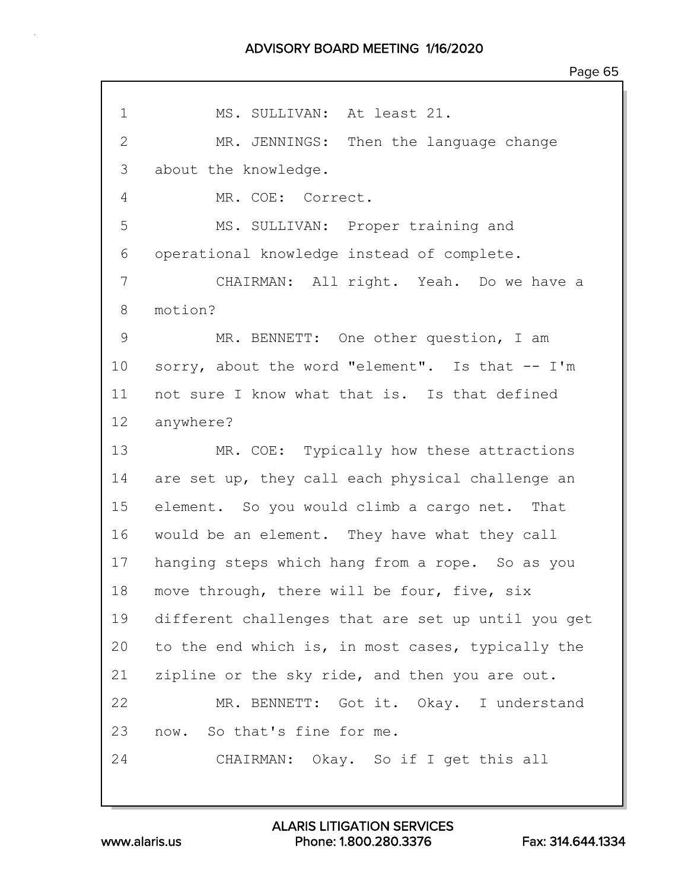## ADVISORY BOARD MEETING 1/16/2020

| $\mathbf 1$  | MS. SULLIVAN: At least 21.                         |
|--------------|----------------------------------------------------|
| $\mathbf{2}$ | MR. JENNINGS: Then the language change             |
| 3            | about the knowledge.                               |
| 4            | MR. COE: Correct.                                  |
| 5            | MS. SULLIVAN: Proper training and                  |
| 6            | operational knowledge instead of complete.         |
| 7            | CHAIRMAN: All right. Yeah. Do we have a            |
| 8            | motion?                                            |
| 9            | MR. BENNETT: One other question, I am              |
| 10           | sorry, about the word "element". Is that -- I'm    |
| 11           | not sure I know what that is. Is that defined      |
| 12           | anywhere?                                          |
| 13           | MR. COE: Typically how these attractions           |
| 14           | are set up, they call each physical challenge an   |
| 15           | element. So you would climb a cargo net. That      |
| 16           | would be an element. They have what they call      |
| 17           | hanging steps which hang from a rope. So as you    |
| 18           | move through, there will be four, five, six        |
| 19           | different challenges that are set up until you get |
| 20           | to the end which is, in most cases, typically the  |
| 21           | zipline or the sky ride, and then you are out.     |
| 22           | MR. BENNETT: Got it. Okay. I understand            |
| 23           | now. So that's fine for me.                        |
| 24           | CHAIRMAN: Okay. So if I get this all               |
|              |                                                    |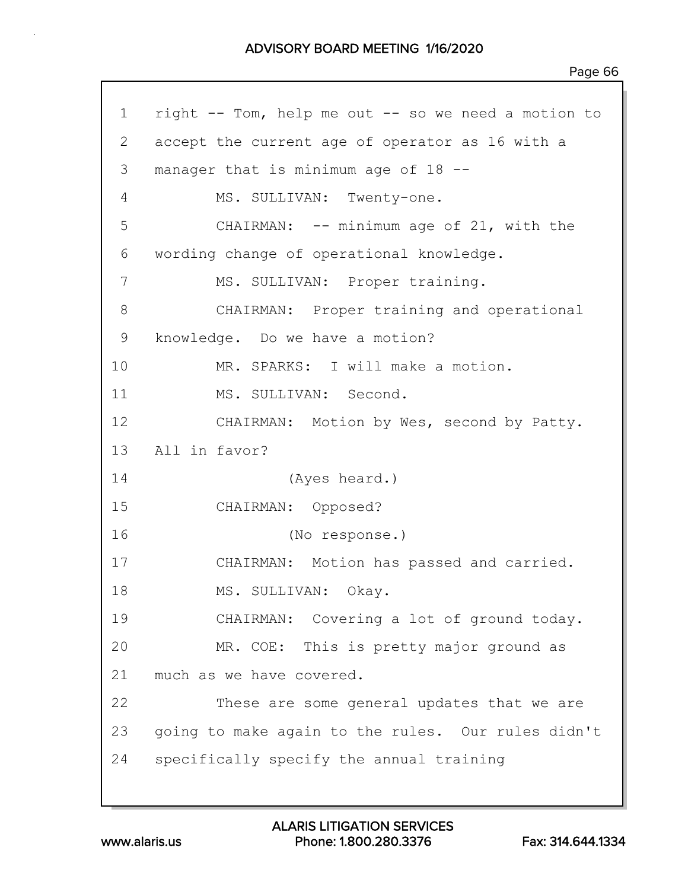1 right -- Tom, help me out -- so we need a motion to 2 accept the current age of operator as 16 with a 3 manager that is minimum age of 18 -- 4 MS. SULLIVAN: Twenty-one. 5 CHAIRMAN: -- minimum age of 21, with the 6 wording change of operational knowledge. 7 MS. SULLIVAN: Proper training. 8 CHAIRMAN: Proper training and operational 9 knowledge. Do we have a motion? 10 MR. SPARKS: I will make a motion. 11 MS. SULLIVAN: Second. 12 CHAIRMAN: Motion by Wes, second by Patty. 13 All in favor? 14 (Ayes heard.) 15 CHAIRMAN: Opposed? 16 (No response.) 17 CHAIRMAN: Motion has passed and carried. 18 MS. SULLIVAN: Okay. 19 CHAIRMAN: Covering a lot of ground today. 20 MR. COE: This is pretty major ground as 21 much as we have covered. 22 These are some general updates that we are 23 going to make again to the rules. Our rules didn't 24 specifically specify the annual training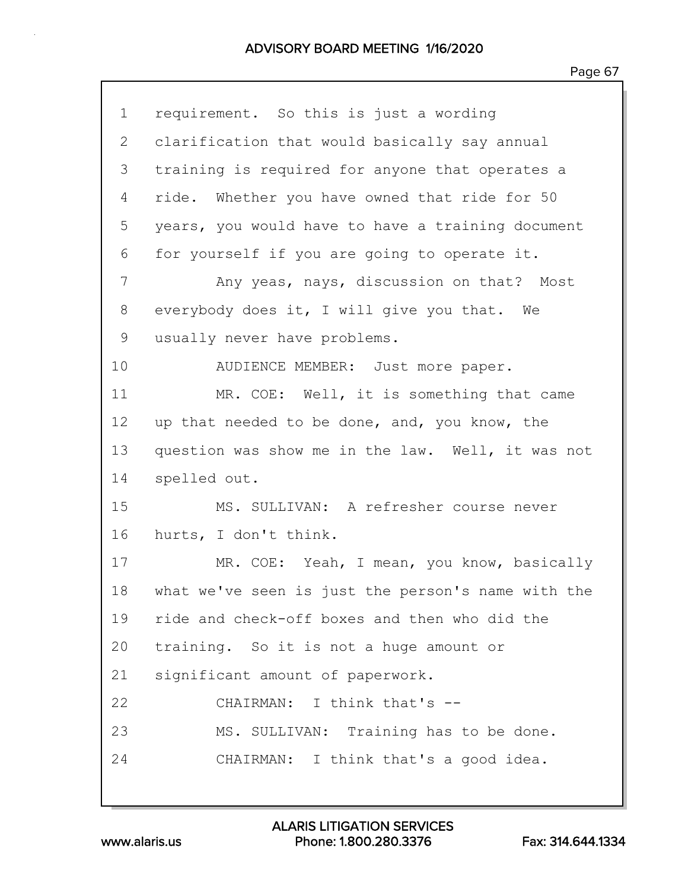| $\mathbf 1$  | requirement. So this is just a wording             |
|--------------|----------------------------------------------------|
| $\mathbf{2}$ | clarification that would basically say annual      |
| 3            | training is required for anyone that operates a    |
| 4            | ride. Whether you have owned that ride for 50      |
| 5            | years, you would have to have a training document  |
| 6            | for yourself if you are going to operate it.       |
| 7            | Any yeas, nays, discussion on that? Most           |
| 8            | everybody does it, I will give you that. We        |
| 9            | usually never have problems.                       |
| 10           | AUDIENCE MEMBER: Just more paper.                  |
| 11           | MR. COE: Well, it is something that came           |
| 12           | up that needed to be done, and, you know, the      |
| 13           | question was show me in the law. Well, it was not  |
| 14           | spelled out.                                       |
| 15           | MS. SULLIVAN: A refresher course never             |
| 16           | hurts, I don't think.                              |
| 17           | MR. COE: Yeah, I mean, you know, basically         |
| 18           | what we've seen is just the person's name with the |
| 19           | ride and check-off boxes and then who did the      |
| 20           | training. So it is not a huge amount or            |
| 21           | significant amount of paperwork.                   |
| 22           | CHAIRMAN: I think that's --                        |
| 23           | MS. SULLIVAN: Training has to be done.             |
| 24           | CHAIRMAN: I think that's a good idea.              |
|              |                                                    |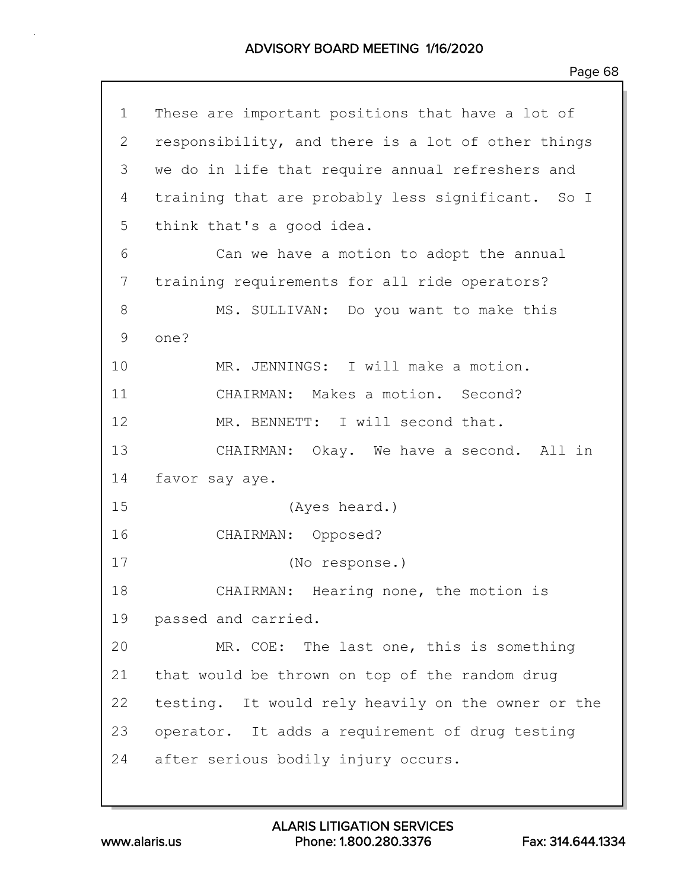| $\mathbf 1$  | These are important positions that have a lot of   |
|--------------|----------------------------------------------------|
| $\mathbf{2}$ | responsibility, and there is a lot of other things |
| 3            | we do in life that require annual refreshers and   |
| 4            | training that are probably less significant. So I  |
| 5            | think that's a good idea.                          |
| 6            | Can we have a motion to adopt the annual           |
| 7            | training requirements for all ride operators?      |
| 8            | MS. SULLIVAN: Do you want to make this             |
| 9            | one?                                               |
| 10           | MR. JENNINGS: I will make a motion.                |
| 11           | CHAIRMAN: Makes a motion. Second?                  |
| 12           | MR. BENNETT: I will second that.                   |
| 13           | CHAIRMAN: Okay. We have a second. All in           |
| 14           | favor say aye.                                     |
| 15           | (Ayes heard.)                                      |
| 16           | CHAIRMAN: Opposed?                                 |
| 17           | (No response.)                                     |
| 18           | CHAIRMAN: Hearing none, the motion is              |
| 19           | passed and carried.                                |
| 20           | MR. COE: The last one, this is something           |
| 21           | that would be thrown on top of the random drug     |
| 22           | testing. It would rely heavily on the owner or the |
| 23           | operator. It adds a requirement of drug testing    |
| 24           | after serious bodily injury occurs.                |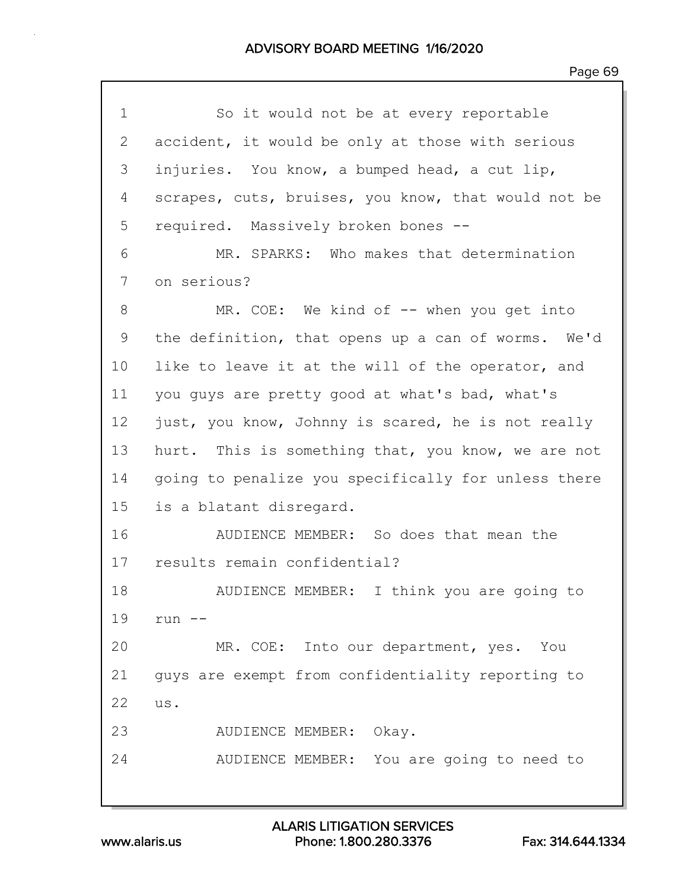| 1              | So it would not be at every reportable              |
|----------------|-----------------------------------------------------|
| $\overline{2}$ | accident, it would be only at those with serious    |
| 3              | injuries. You know, a bumped head, a cut lip,       |
| 4              | scrapes, cuts, bruises, you know, that would not be |
| 5              | required. Massively broken bones --                 |
| 6              | MR. SPARKS: Who makes that determination            |
| 7              | on serious?                                         |
| 8              | MR. COE: We kind of $--$ when you get into          |
| 9              | the definition, that opens up a can of worms. We'd  |
| 10             | like to leave it at the will of the operator, and   |
| 11             | you guys are pretty good at what's bad, what's      |
| 12             | just, you know, Johnny is scared, he is not really  |
| 13             | hurt. This is something that, you know, we are not  |
| 14             | going to penalize you specifically for unless there |
| 15             | is a blatant disregard.                             |
| 16             | AUDIENCE MEMBER: So does that mean the              |
| 17             | results remain confidential?                        |
| 18             | AUDIENCE MEMBER: I think you are going to           |
| 19             | $run$ --                                            |
| 20             | MR. COE: Into our department, yes.<br>You           |
| 21             | guys are exempt from confidentiality reporting to   |
| 22             | us.                                                 |
| 23             | AUDIENCE MEMBER: Okay.                              |
| 24             | AUDIENCE MEMBER: You are going to need to           |
|                |                                                     |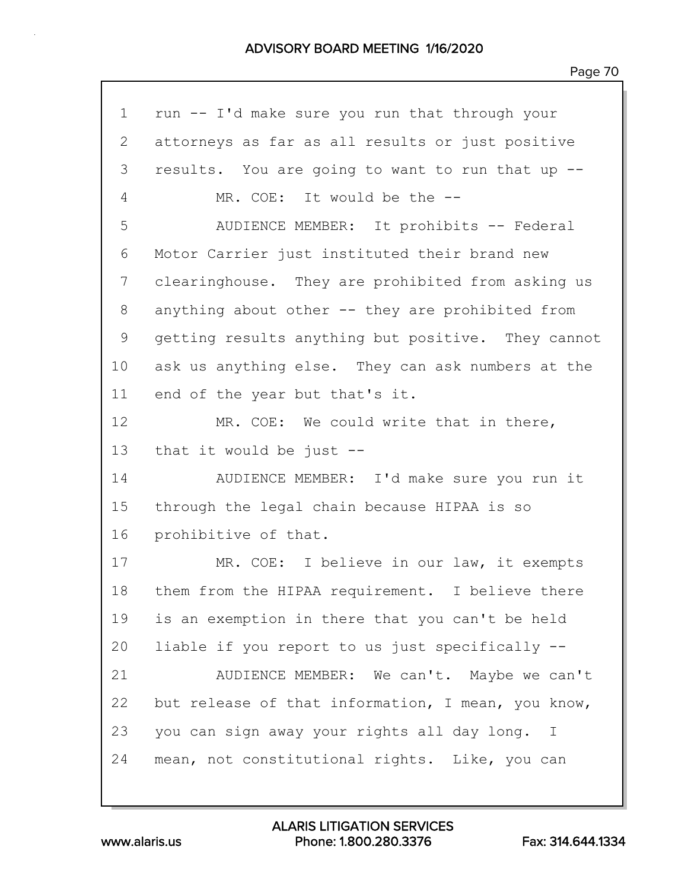| $\mathbf 1$ | run -- I'd make sure you run that through your     |
|-------------|----------------------------------------------------|
| 2           | attorneys as far as all results or just positive   |
| 3           | results. You are going to want to run that up --   |
| 4           | MR. COE: It would be the --                        |
| 5           | AUDIENCE MEMBER: It prohibits -- Federal           |
| 6           | Motor Carrier just instituted their brand new      |
| 7           | clearinghouse. They are prohibited from asking us  |
| 8           | anything about other -- they are prohibited from   |
| 9           | getting results anything but positive. They cannot |
| 10          | ask us anything else. They can ask numbers at the  |
| 11          | end of the year but that's it.                     |
| 12          | MR. COE: We could write that in there,             |
| 13          | that it would be just $-$ -                        |
| 14          | AUDIENCE MEMBER: I'd make sure you run it          |
| 15          | through the legal chain because HIPAA is so        |
| 16          | prohibitive of that.                               |
| 17          | MR. COE: I believe in our law, it exempts          |
| 18          | them from the HIPAA requirement. I believe there   |
| 19          | is an exemption in there that you can't be held    |
| 20          | liable if you report to us just specifically --    |
| 21          | AUDIENCE MEMBER: We can't. Maybe we can't          |
| 22          | but release of that information, I mean, you know, |
| 23          | you can sign away your rights all day long. I      |
| 24          | mean, not constitutional rights. Like, you can     |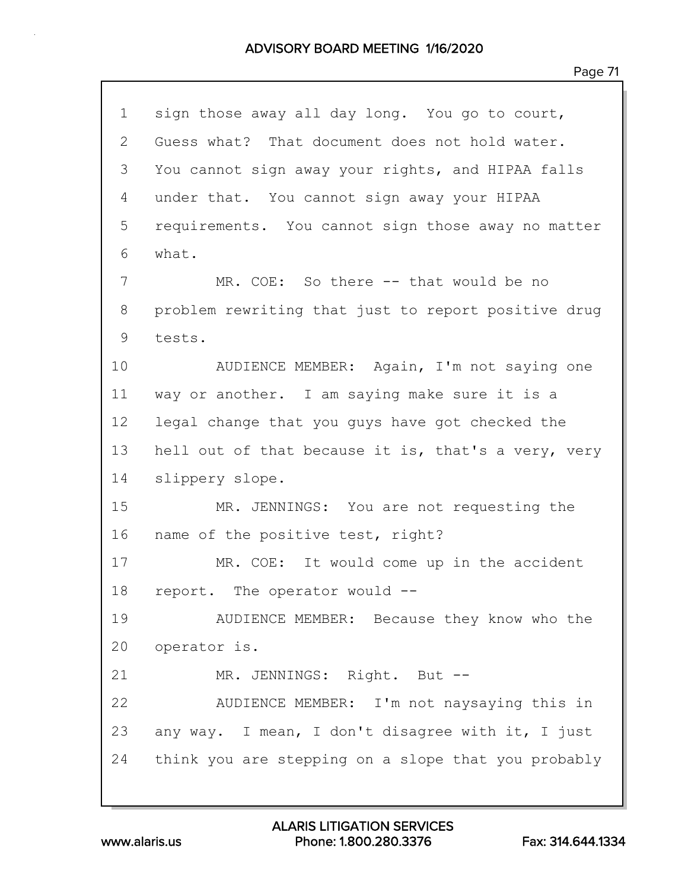| $\mathbf 1$  | sign those away all day long. You go to court,      |
|--------------|-----------------------------------------------------|
| $\mathbf{2}$ | Guess what? That document does not hold water.      |
| 3            | You cannot sign away your rights, and HIPAA falls   |
| 4            | under that. You cannot sign away your HIPAA         |
| 5            | requirements. You cannot sign those away no matter  |
| 6            | what.                                               |
| 7            | MR. COE: So there -- that would be no               |
| 8            | problem rewriting that just to report positive drug |
| 9            | tests.                                              |
| 10           | AUDIENCE MEMBER: Again, I'm not saying one          |
| 11           | way or another. I am saying make sure it is a       |
| 12           | legal change that you guys have got checked the     |
| 13           | hell out of that because it is, that's a very, very |
| 14           | slippery slope.                                     |
| 15           | MR. JENNINGS: You are not requesting the            |
| 16           | name of the positive test, right?                   |
| 17           | MR. COE: It would come up in the accident           |
| 18           | report. The operator would --                       |
| 19           | AUDIENCE MEMBER: Because they know who the          |
| 20           | operator is.                                        |
| 21           | MR. JENNINGS: Right. But --                         |
| 22           | AUDIENCE MEMBER: I'm not naysaying this in          |
| 23           | any way. I mean, I don't disagree with it, I just   |
| 24           | think you are stepping on a slope that you probably |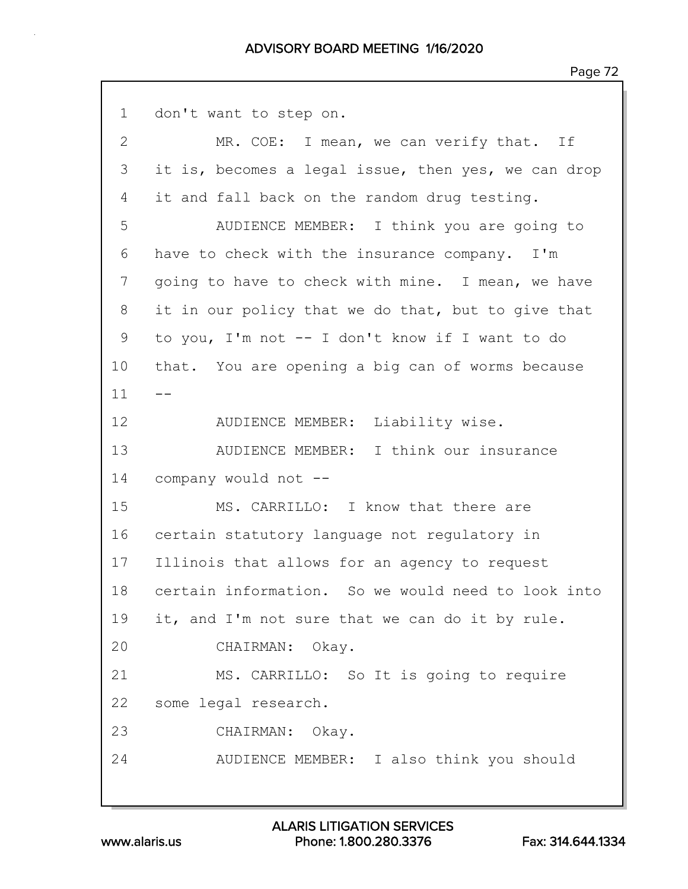| $\mathbf 1$  | don't want to step on.                              |
|--------------|-----------------------------------------------------|
| $\mathbf{2}$ | MR. COE: I mean, we can verify that. If             |
| 3            | it is, becomes a legal issue, then yes, we can drop |
| 4            | it and fall back on the random drug testing.        |
| 5            | AUDIENCE MEMBER: I think you are going to           |
| 6            | have to check with the insurance company. I'm       |
| 7            | going to have to check with mine. I mean, we have   |
| 8            | it in our policy that we do that, but to give that  |
| 9            | to you, I'm not -- I don't know if I want to do     |
| 10           | that. You are opening a big can of worms because    |
| 11           |                                                     |
| 12           | AUDIENCE MEMBER: Liability wise.                    |
| 13           | AUDIENCE MEMBER: I think our insurance              |
| 14           | company would not --                                |
| 15           | MS. CARRILLO: I know that there are                 |
| 16           | certain statutory language not regulatory in        |
| 17           | Illinois that allows for an agency to request       |
| 18           | certain information. So we would need to look into  |
| 19           | it, and I'm not sure that we can do it by rule.     |
| 20           | CHAIRMAN: Okay.                                     |
| 21           | MS. CARRILLO: So It is going to require             |
| 22           | some legal research.                                |
| 23           | CHAIRMAN: Okay.                                     |
| 24           | AUDIENCE MEMBER: I also think you should            |
|              |                                                     |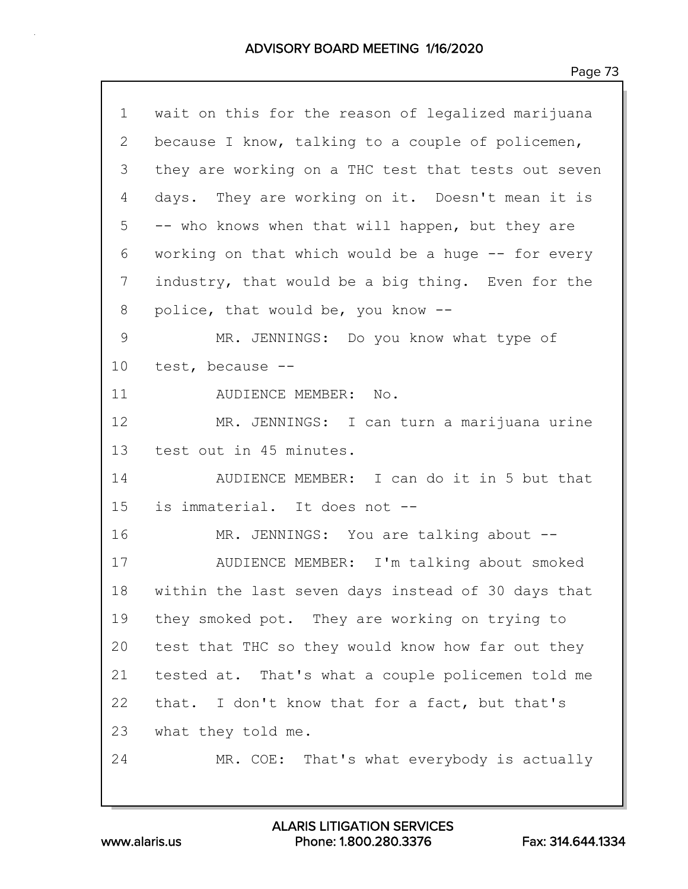| $\mathbf 1$     | wait on this for the reason of legalized marijuana  |  |  |  |  |  |
|-----------------|-----------------------------------------------------|--|--|--|--|--|
| 2               | because I know, talking to a couple of policemen,   |  |  |  |  |  |
| 3               | they are working on a THC test that tests out seven |  |  |  |  |  |
| 4               | days. They are working on it. Doesn't mean it is    |  |  |  |  |  |
| 5               | -- who knows when that will happen, but they are    |  |  |  |  |  |
| 6               | working on that which would be a huge -- for every  |  |  |  |  |  |
| 7               | industry, that would be a big thing. Even for the   |  |  |  |  |  |
| 8               | police, that would be, you know --                  |  |  |  |  |  |
| 9               | MR. JENNINGS: Do you know what type of              |  |  |  |  |  |
| 10              | test, because --                                    |  |  |  |  |  |
| 11              | AUDIENCE MEMBER: No.                                |  |  |  |  |  |
| 12 <sup>°</sup> | MR. JENNINGS: I can turn a marijuana urine          |  |  |  |  |  |
| 13              | test out in 45 minutes.                             |  |  |  |  |  |
| 14              | AUDIENCE MEMBER: I can do it in 5 but that          |  |  |  |  |  |
| 15              | is immaterial. It does not --                       |  |  |  |  |  |
| 16              | MR. JENNINGS: You are talking about --              |  |  |  |  |  |
| 17              | AUDIENCE MEMBER: I'm talking about smoked           |  |  |  |  |  |
| 18              | within the last seven days instead of 30 days that  |  |  |  |  |  |
| 19              | they smoked pot. They are working on trying to      |  |  |  |  |  |
| 20              | test that THC so they would know how far out they   |  |  |  |  |  |
| 21              | tested at. That's what a couple policemen told me   |  |  |  |  |  |
| 22              | that. I don't know that for a fact, but that's      |  |  |  |  |  |
| 23              | what they told me.                                  |  |  |  |  |  |
| 24              | MR. COE: That's what everybody is actually          |  |  |  |  |  |
|                 |                                                     |  |  |  |  |  |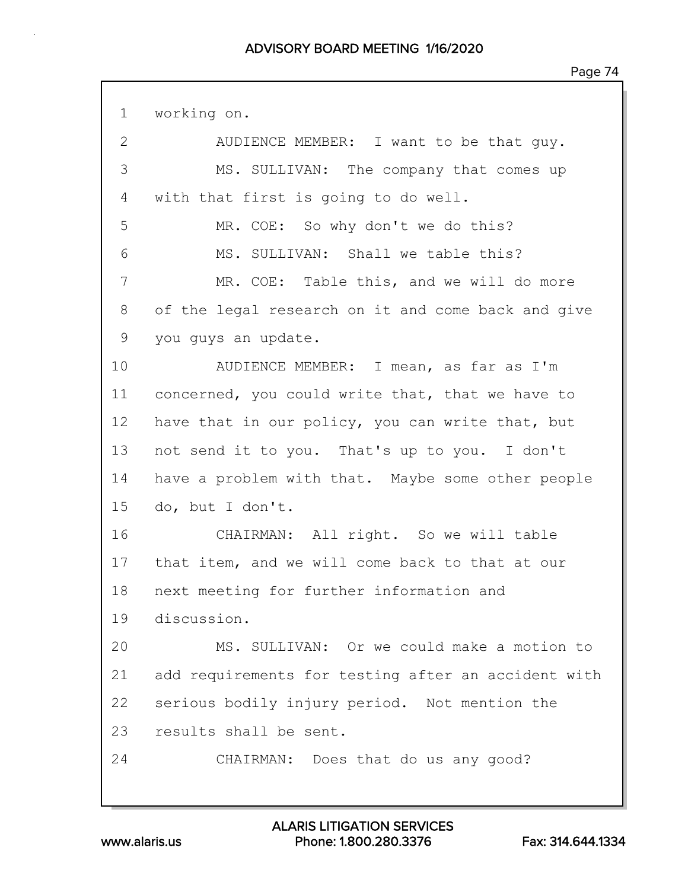1 working on.

| $\mathbf{2}$ | AUDIENCE MEMBER: I want to be that guy.             |  |  |  |  |  |
|--------------|-----------------------------------------------------|--|--|--|--|--|
| 3            | MS. SULLIVAN: The company that comes up             |  |  |  |  |  |
| 4            | with that first is going to do well.                |  |  |  |  |  |
| 5            | MR. COE: So why don't we do this?                   |  |  |  |  |  |
| 6            | MS. SULLIVAN: Shall we table this?                  |  |  |  |  |  |
| 7            | MR. COE: Table this, and we will do more            |  |  |  |  |  |
| 8            | of the legal research on it and come back and give  |  |  |  |  |  |
| 9            | you guys an update.                                 |  |  |  |  |  |
| 10           | AUDIENCE MEMBER: I mean, as far as I'm              |  |  |  |  |  |
| 11           | concerned, you could write that, that we have to    |  |  |  |  |  |
| 12           | have that in our policy, you can write that, but    |  |  |  |  |  |
| 13           | not send it to you. That's up to you. I don't       |  |  |  |  |  |
| 14           | have a problem with that. Maybe some other people   |  |  |  |  |  |
| 15           | do, but I don't.                                    |  |  |  |  |  |
| 16           | CHAIRMAN: All right. So we will table               |  |  |  |  |  |
| 17           | that item, and we will come back to that at our     |  |  |  |  |  |
| 18           | next meeting for further information and            |  |  |  |  |  |
| 19           | discussion.                                         |  |  |  |  |  |
| 20           | MS. SULLIVAN: Or we could make a motion to          |  |  |  |  |  |
| 21           | add requirements for testing after an accident with |  |  |  |  |  |
| 22           | serious bodily injury period. Not mention the       |  |  |  |  |  |
| 23           | results shall be sent.                              |  |  |  |  |  |
| 24           | CHAIRMAN: Does that do us any good?                 |  |  |  |  |  |
|              |                                                     |  |  |  |  |  |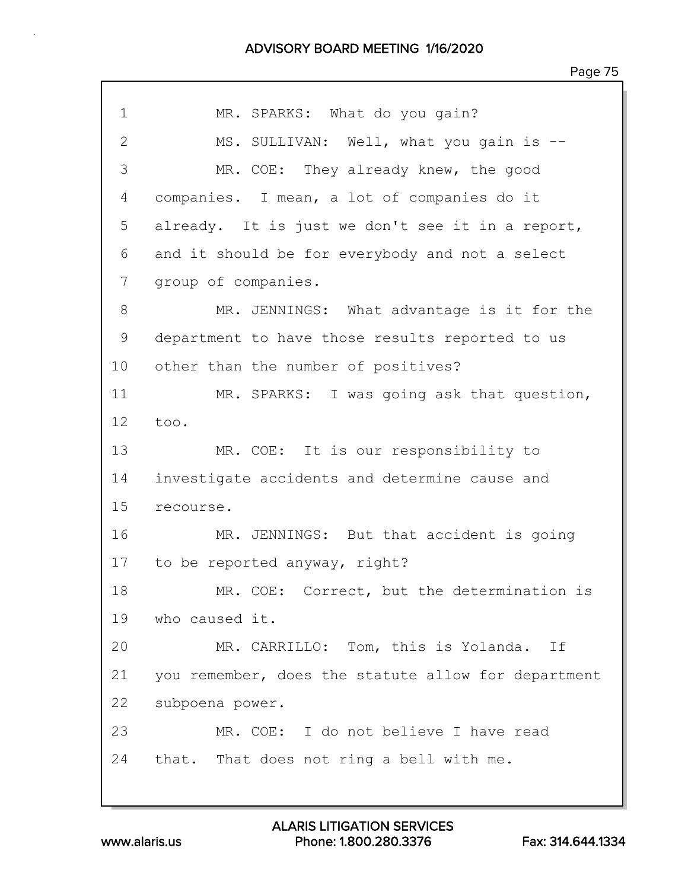| 1              | MR. SPARKS: What do you gain?                       |  |  |  |  |  |  |
|----------------|-----------------------------------------------------|--|--|--|--|--|--|
| $\overline{2}$ | MS. SULLIVAN: Well, what you gain is --             |  |  |  |  |  |  |
| 3              | MR. COE: They already knew, the good                |  |  |  |  |  |  |
| 4              | companies. I mean, a lot of companies do it         |  |  |  |  |  |  |
| 5              | already. It is just we don't see it in a report,    |  |  |  |  |  |  |
| 6              | and it should be for everybody and not a select     |  |  |  |  |  |  |
| 7              | group of companies.                                 |  |  |  |  |  |  |
| 8              | MR. JENNINGS: What advantage is it for the          |  |  |  |  |  |  |
| 9              | department to have those results reported to us     |  |  |  |  |  |  |
| 10             | other than the number of positives?                 |  |  |  |  |  |  |
| 11             | MR. SPARKS: I was going ask that question,          |  |  |  |  |  |  |
| 12             | too.                                                |  |  |  |  |  |  |
| 13             | MR. COE: It is our responsibility to                |  |  |  |  |  |  |
| 14             | investigate accidents and determine cause and       |  |  |  |  |  |  |
| 15             | recourse.                                           |  |  |  |  |  |  |
| 16             | MR. JENNINGS: But that accident is going            |  |  |  |  |  |  |
| 17             | to be reported anyway, right?                       |  |  |  |  |  |  |
| 18             | MR. COE: Correct, but the determination is          |  |  |  |  |  |  |
| 19             | who caused it.                                      |  |  |  |  |  |  |
| 20             | MR. CARRILLO: Tom, this is Yolanda. If              |  |  |  |  |  |  |
| 21             | you remember, does the statute allow for department |  |  |  |  |  |  |
| 22             | subpoena power.                                     |  |  |  |  |  |  |
| 23             | MR. COE: I do not believe I have read               |  |  |  |  |  |  |
| 24             | that. That does not ring a bell with me.            |  |  |  |  |  |  |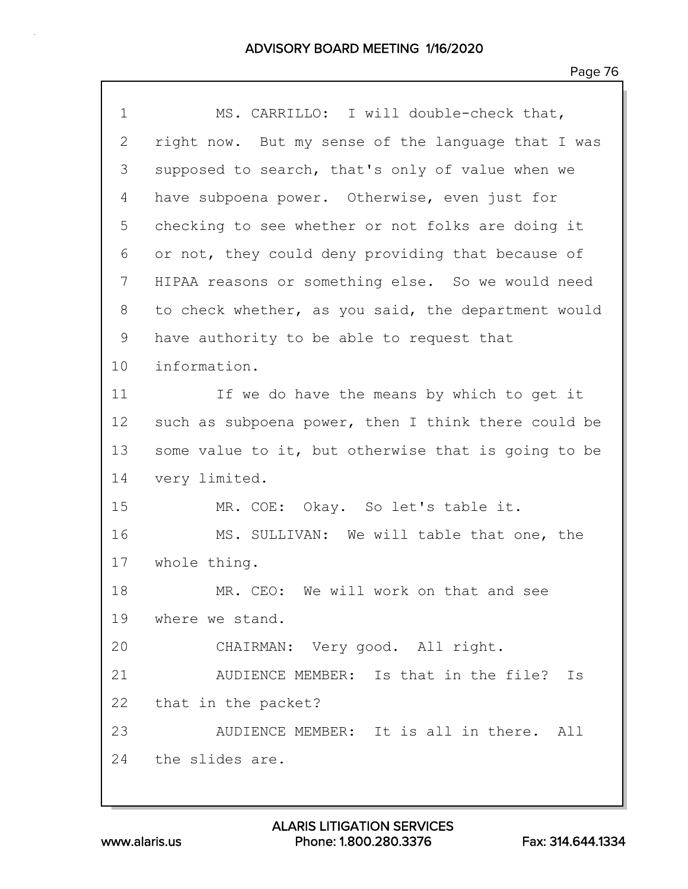| $\mathbf 1$    | MS. CARRILLO: I will double-check that,             |  |  |  |  |  |  |
|----------------|-----------------------------------------------------|--|--|--|--|--|--|
| $\overline{2}$ | right now. But my sense of the language that I was  |  |  |  |  |  |  |
| 3              | supposed to search, that's only of value when we    |  |  |  |  |  |  |
| 4              | have subpoena power. Otherwise, even just for       |  |  |  |  |  |  |
| 5              | checking to see whether or not folks are doing it   |  |  |  |  |  |  |
| 6              | or not, they could deny providing that because of   |  |  |  |  |  |  |
| 7              | HIPAA reasons or something else. So we would need   |  |  |  |  |  |  |
| 8              | to check whether, as you said, the department would |  |  |  |  |  |  |
| 9              | have authority to be able to request that           |  |  |  |  |  |  |
| 10             | information.                                        |  |  |  |  |  |  |
| 11             | If we do have the means by which to get it          |  |  |  |  |  |  |
| 12             | such as subpoena power, then I think there could be |  |  |  |  |  |  |
| 13             | some value to it, but otherwise that is going to be |  |  |  |  |  |  |
| 14             | very limited.                                       |  |  |  |  |  |  |
| 15             | MR. COE: Okay. So let's table it.                   |  |  |  |  |  |  |
| 16             | MS. SULLIVAN: We will table that one, the           |  |  |  |  |  |  |
| 17             | whole thing.                                        |  |  |  |  |  |  |
| 18             | MR. CEO: We will work on that and see               |  |  |  |  |  |  |
|                | 19 where we stand.                                  |  |  |  |  |  |  |
| 20             | CHAIRMAN: Very good. All right.                     |  |  |  |  |  |  |
| 21             | AUDIENCE MEMBER: Is that in the file?<br>Is         |  |  |  |  |  |  |
| 22             | that in the packet?                                 |  |  |  |  |  |  |
| 23             | AUDIENCE MEMBER: It is all in there. All            |  |  |  |  |  |  |
|                | 24 the slides are.                                  |  |  |  |  |  |  |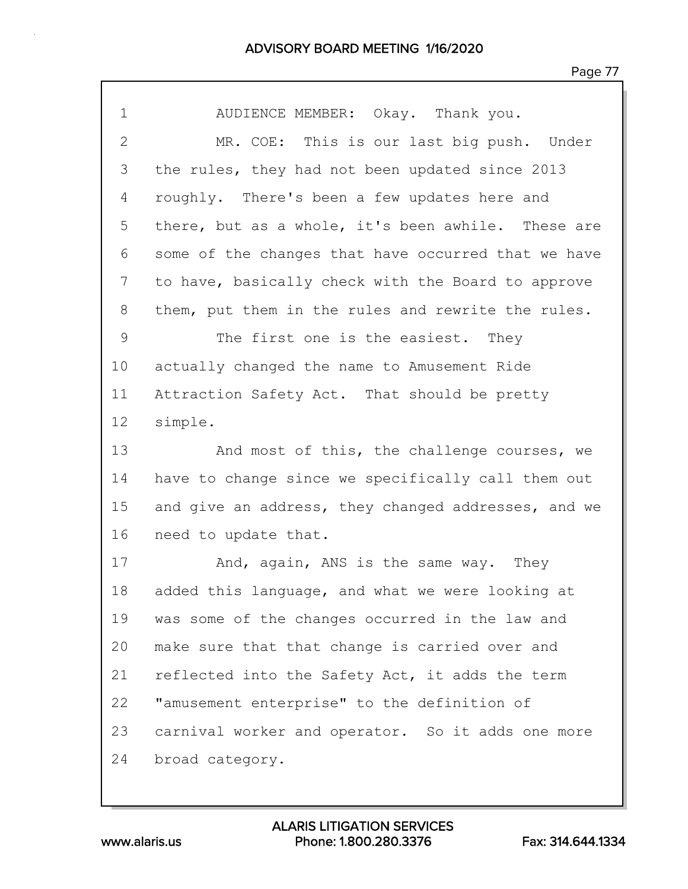| $\mathbf 1$  | AUDIENCE MEMBER: Okay. Thank you.                   |  |  |  |  |  |  |
|--------------|-----------------------------------------------------|--|--|--|--|--|--|
| $\mathbf{2}$ | MR. COE: This is our last big push. Under           |  |  |  |  |  |  |
| 3            | the rules, they had not been updated since 2013     |  |  |  |  |  |  |
| 4            | roughly. There's been a few updates here and        |  |  |  |  |  |  |
| 5            | there, but as a whole, it's been awhile. These are  |  |  |  |  |  |  |
| 6            | some of the changes that have occurred that we have |  |  |  |  |  |  |
| 7            | to have, basically check with the Board to approve  |  |  |  |  |  |  |
| 8            | them, put them in the rules and rewrite the rules.  |  |  |  |  |  |  |
| 9            | The first one is the easiest. They                  |  |  |  |  |  |  |
| 10           | actually changed the name to Amusement Ride         |  |  |  |  |  |  |
| 11           | Attraction Safety Act. That should be pretty        |  |  |  |  |  |  |
| 12           | simple.                                             |  |  |  |  |  |  |
| 13           | And most of this, the challenge courses, we         |  |  |  |  |  |  |
| 14           | have to change since we specifically call them out  |  |  |  |  |  |  |
| 15           | and give an address, they changed addresses, and we |  |  |  |  |  |  |
| 16           | need to update that.                                |  |  |  |  |  |  |
| 17           | And, again, ANS is the same way. They               |  |  |  |  |  |  |
| 18           | added this language, and what we were looking at    |  |  |  |  |  |  |
| 19           | was some of the changes occurred in the law and     |  |  |  |  |  |  |
| 20           | make sure that that change is carried over and      |  |  |  |  |  |  |
| 21           | reflected into the Safety Act, it adds the term     |  |  |  |  |  |  |
| 22           | "amusement enterprise" to the definition of         |  |  |  |  |  |  |
| 23           | carnival worker and operator. So it adds one more   |  |  |  |  |  |  |
|              |                                                     |  |  |  |  |  |  |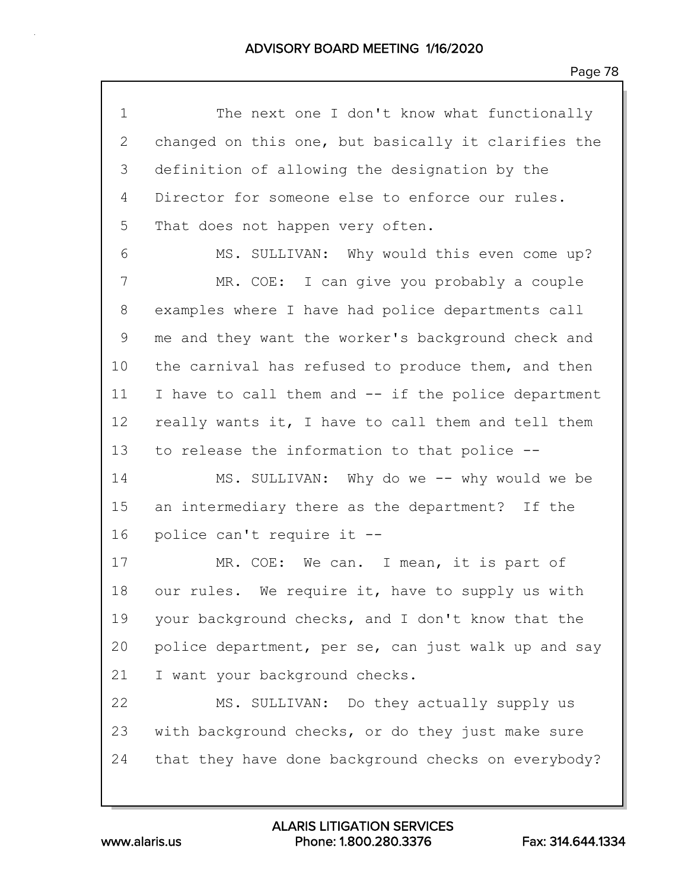1 The next one I don't know what functionally 2 changed on this one, but basically it clarifies the 3 definition of allowing the designation by the 4 Director for someone else to enforce our rules. 5 That does not happen very often. 6 MS. SULLIVAN: Why would this even come up? 7 MR. COE: I can give you probably a couple 8 examples where I have had police departments call 9 me and they want the worker's background check and 10 the carnival has refused to produce them, and then 11 I have to call them and -- if the police department 12 really wants it, I have to call them and tell them 13 to release the information to that police -- 14 MS. SULLIVAN: Why do we -- why would we be 15 an intermediary there as the department? If the 16 police can't require it -- 17 MR. COE: We can. I mean, it is part of 18 our rules. We require it, have to supply us with 19 your background checks, and I don't know that the 20 police department, per se, can just walk up and say 21 I want your background checks. 22 MS. SULLIVAN: Do they actually supply us 23 with background checks, or do they just make sure 24 that they have done background checks on everybody?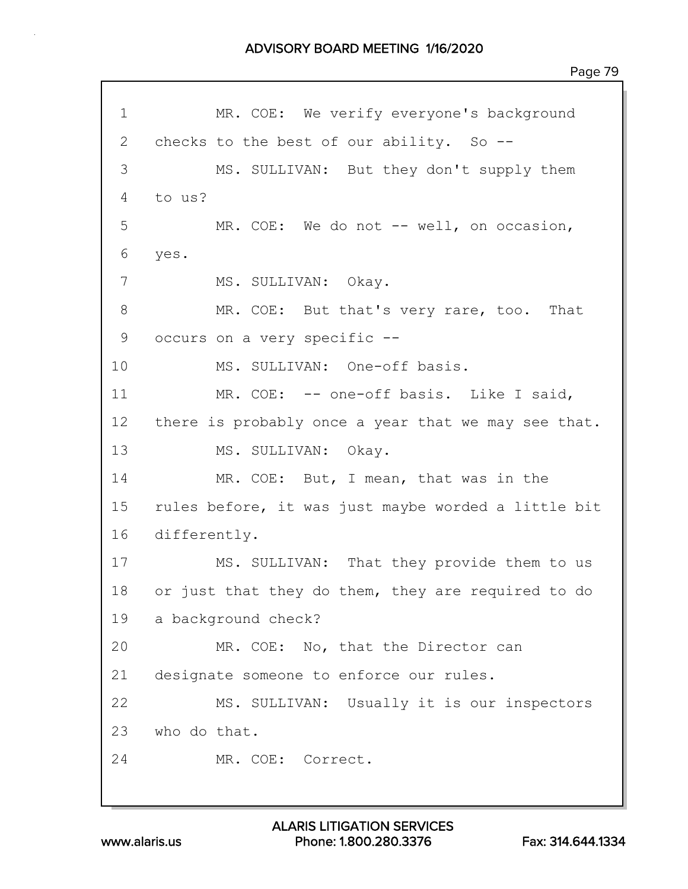1 MR. COE: We verify everyone's background 2 checks to the best of our ability. So --3 MS. SULLIVAN: But they don't supply them 4 to us? 5 MR. COE: We do not -- well, on occasion, 6 yes. 7 MS. SULLIVAN: Okay. 8 MR. COE: But that's very rare, too. That 9 occurs on a very specific -- 10 MS. SULLIVAN: One-off basis. 11 MR. COE: -- one-off basis. Like I said, 12 there is probably once a year that we may see that. 13 MS. SULLIVAN: Okay. 14 MR. COE: But, I mean, that was in the 15 rules before, it was just maybe worded a little bit 16 differently. 17 MS. SULLIVAN: That they provide them to us 18 or just that they do them, they are required to do 19 a background check? 20 MR. COE: No, that the Director can 21 designate someone to enforce our rules. 22 MS. SULLIVAN: Usually it is our inspectors 23 who do that. 24 MR. COE: Correct.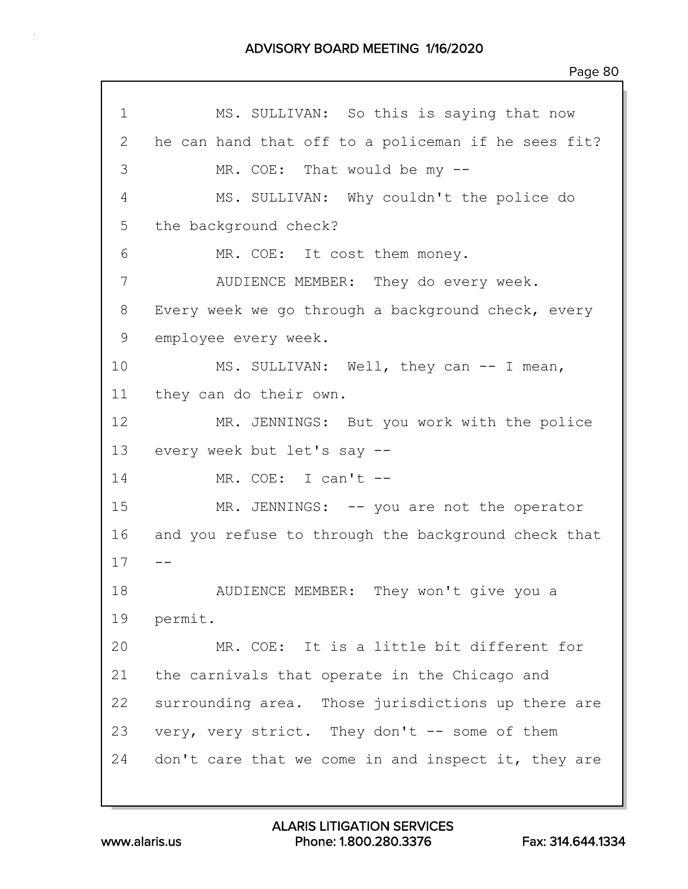1 MS. SULLIVAN: So this is saying that now 2 he can hand that off to a policeman if he sees fit? 3 MR. COE: That would be my -- 4 MS. SULLIVAN: Why couldn't the police do 5 the background check? 6 MR. COE: It cost them money. 7 AUDIENCE MEMBER: They do every week. 8 Every week we go through a background check, every 9 employee every week. 10 MS. SULLIVAN: Well, they can -- I mean, 11 they can do their own. 12 MR. JENNINGS: But you work with the police 13 every week but let's say -- 14 MR. COE: I can't -- 15 MR. JENNINGS: -- you are not the operator 16 and you refuse to through the background check that  $17 - -$ 18 AUDIENCE MEMBER: They won't give you a 19 permit. 20 MR. COE: It is a little bit different for 21 the carnivals that operate in the Chicago and 22 surrounding area. Those jurisdictions up there are 23 very, very strict. They don't -- some of them 24 don't care that we come in and inspect it, they are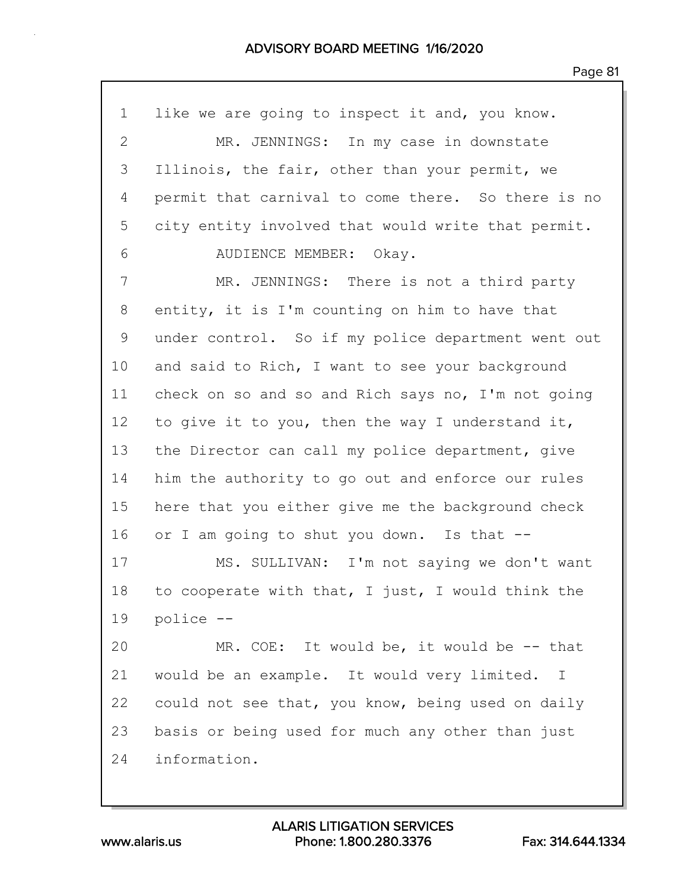| $\mathbf 1$    | like we are going to inspect it and, you know.     |  |  |  |  |  |  |
|----------------|----------------------------------------------------|--|--|--|--|--|--|
| $\overline{2}$ | MR. JENNINGS: In my case in downstate              |  |  |  |  |  |  |
| 3              | Illinois, the fair, other than your permit, we     |  |  |  |  |  |  |
| 4              | permit that carnival to come there. So there is no |  |  |  |  |  |  |
| 5              | city entity involved that would write that permit. |  |  |  |  |  |  |
| 6              | AUDIENCE MEMBER: Okay.                             |  |  |  |  |  |  |
| 7              | MR. JENNINGS: There is not a third party           |  |  |  |  |  |  |
| 8              | entity, it is I'm counting on him to have that     |  |  |  |  |  |  |
| $\mathsf 9$    | under control. So if my police department went out |  |  |  |  |  |  |
| 10             | and said to Rich, I want to see your background    |  |  |  |  |  |  |
| 11             | check on so and so and Rich says no, I'm not going |  |  |  |  |  |  |
| 12             | to give it to you, then the way I understand it,   |  |  |  |  |  |  |
| 13             | the Director can call my police department, give   |  |  |  |  |  |  |
| 14             | him the authority to go out and enforce our rules  |  |  |  |  |  |  |
| 15             | here that you either give me the background check  |  |  |  |  |  |  |
| 16             | or I am going to shut you down. Is that --         |  |  |  |  |  |  |
| 17             | MS. SULLIVAN: I'm not saying we don't want         |  |  |  |  |  |  |
| 18             | to cooperate with that, I just, I would think the  |  |  |  |  |  |  |
| 19             | police --                                          |  |  |  |  |  |  |
| 20             | MR. COE: It would be, it would be -- that          |  |  |  |  |  |  |
| 21             | would be an example. It would very limited. I      |  |  |  |  |  |  |
| 22             | could not see that, you know, being used on daily  |  |  |  |  |  |  |
| 23             | basis or being used for much any other than just   |  |  |  |  |  |  |
| 24             | information.                                       |  |  |  |  |  |  |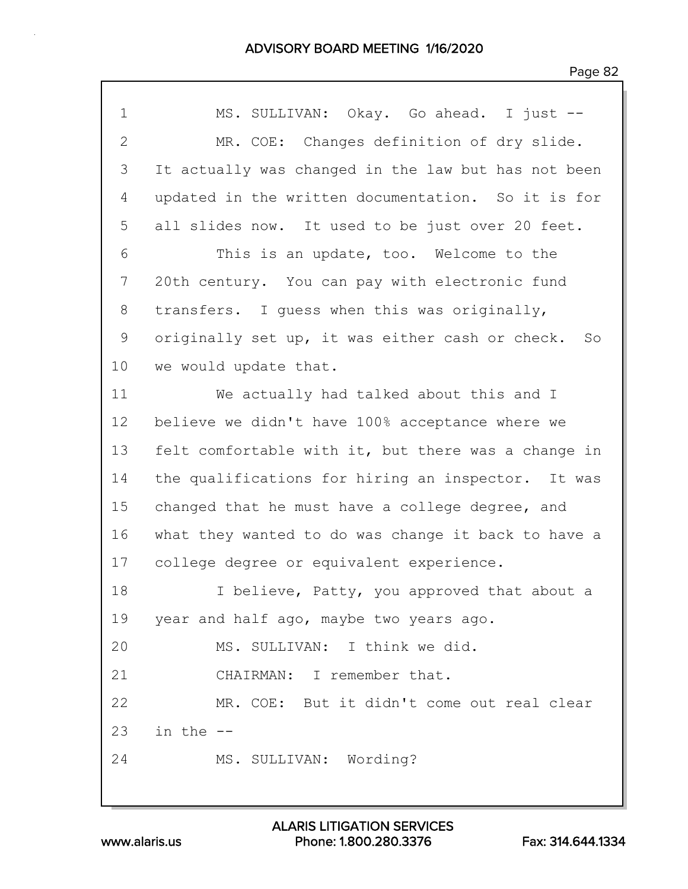| $\mathbf 1$  | MS. SULLIVAN: Okay. Go ahead. I just --               |
|--------------|-------------------------------------------------------|
| $\mathbf{2}$ | MR. COE: Changes definition of dry slide.             |
| 3            | It actually was changed in the law but has not been   |
| 4            | updated in the written documentation. So it is for    |
| 5            | all slides now. It used to be just over 20 feet.      |
| 6            | This is an update, too. Welcome to the                |
| 7            | 20th century. You can pay with electronic fund        |
| 8            | transfers. I guess when this was originally,          |
| 9            | originally set up, it was either cash or check.<br>So |
| 10           | we would update that.                                 |
| 11           | We actually had talked about this and I               |
| 12           | believe we didn't have 100% acceptance where we       |
| 13           | felt comfortable with it, but there was a change in   |
| 14           | the qualifications for hiring an inspector. It was    |
| 15           | changed that he must have a college degree, and       |
| 16           | what they wanted to do was change it back to have a   |
| 17           | college degree or equivalent experience.              |
| 18           | I believe, Patty, you approved that about a           |
| 19           | year and half ago, maybe two years ago.               |
| 20           | MS. SULLIVAN: I think we did.                         |
| 21           | CHAIRMAN: I remember that.                            |
| 22           | MR. COE: But it didn't come out real clear            |
| 23           | in the --                                             |
| 24           | MS. SULLIVAN: Wording?                                |
|              |                                                       |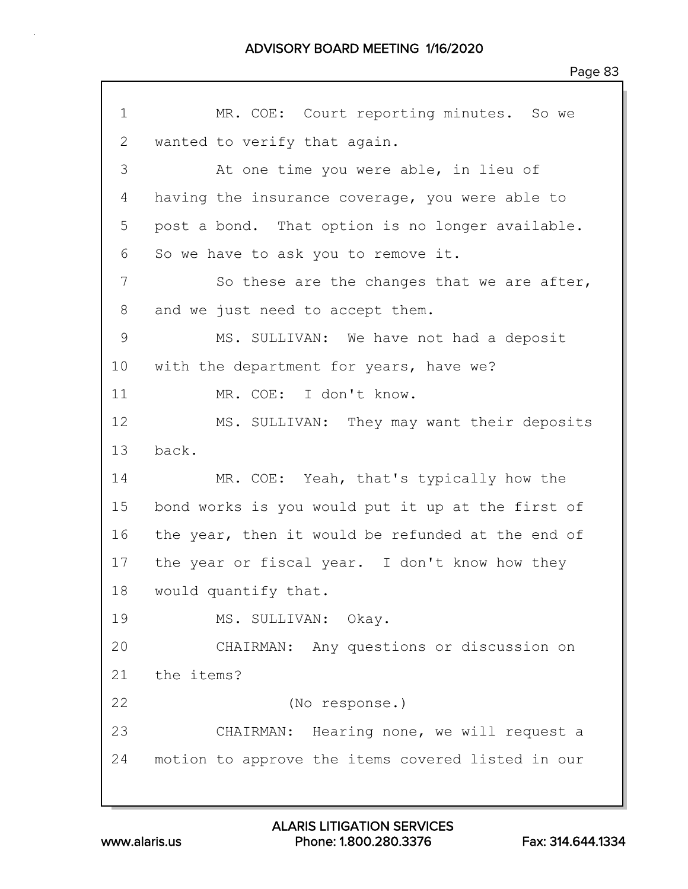1 MR. COE: Court reporting minutes. So we 2 wanted to verify that again. 3 At one time you were able, in lieu of 4 having the insurance coverage, you were able to 5 post a bond. That option is no longer available. 6 So we have to ask you to remove it. 7 So these are the changes that we are after, 8 and we just need to accept them. 9 MS. SULLIVAN: We have not had a deposit 10 with the department for years, have we? 11 MR. COE: I don't know. 12 MS. SULLIVAN: They may want their deposits 13 back. 14 MR. COE: Yeah, that's typically how the 15 bond works is you would put it up at the first of 16 the year, then it would be refunded at the end of 17 the year or fiscal year. I don't know how they 18 would quantify that. 19 MS. SULLIVAN: Okay. 20 CHAIRMAN: Any questions or discussion on 21 the items? 22 (No response.) 23 CHAIRMAN: Hearing none, we will request a 24 motion to approve the items covered listed in our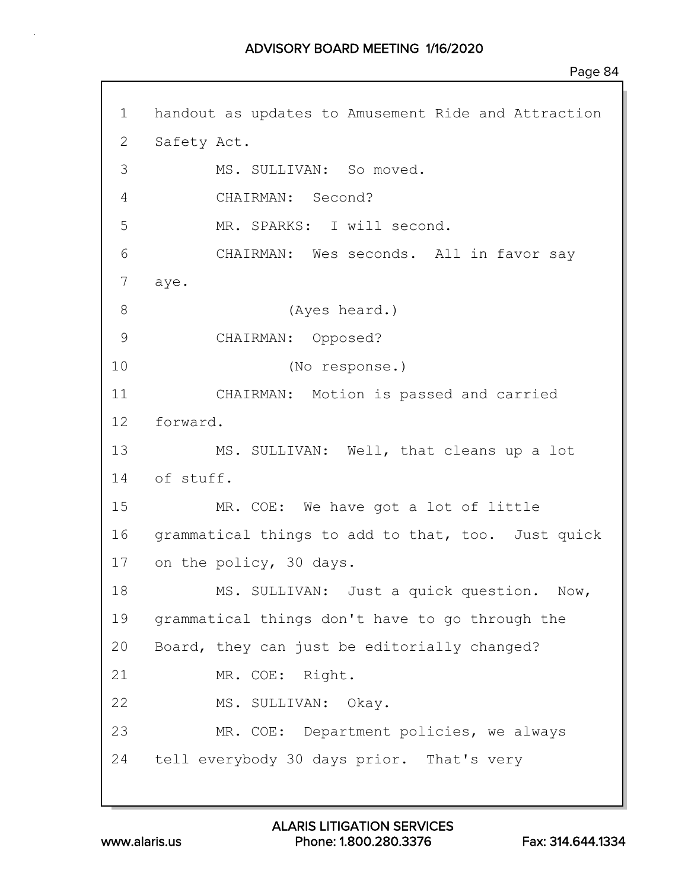1 handout as updates to Amusement Ride and Attraction 2 Safety Act. 3 MS. SULLIVAN: So moved. 4 CHAIRMAN: Second? 5 MR. SPARKS: I will second. 6 CHAIRMAN: Wes seconds. All in favor say 7 aye. 8 (Ayes heard.) 9 CHAIRMAN: Opposed? 10 (No response.) 11 CHAIRMAN: Motion is passed and carried 12 forward. 13 MS. SULLIVAN: Well, that cleans up a lot 14 of stuff. 15 MR. COE: We have got a lot of little 16 grammatical things to add to that, too. Just quick 17 on the policy, 30 days. 18 MS. SULLIVAN: Just a quick question. Now, 19 grammatical things don't have to go through the 20 Board, they can just be editorially changed? 21 MR. COE: Right. 22 MS. SULLIVAN: Okay. 23 MR. COE: Department policies, we always 24 tell everybody 30 days prior. That's very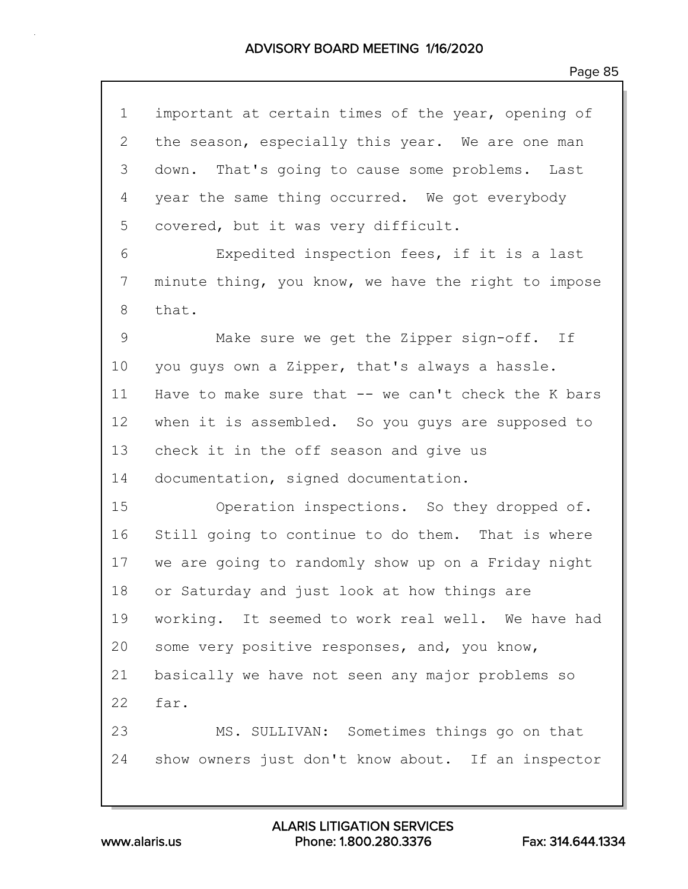| $\mathbf 1$    | important at certain times of the year, opening of  |  |  |  |  |  |  |
|----------------|-----------------------------------------------------|--|--|--|--|--|--|
| $\overline{2}$ | the season, especially this year. We are one man    |  |  |  |  |  |  |
| 3              | That's going to cause some problems. Last<br>down.  |  |  |  |  |  |  |
| 4              | year the same thing occurred. We got everybody      |  |  |  |  |  |  |
| 5              | covered, but it was very difficult.                 |  |  |  |  |  |  |
| 6              | Expedited inspection fees, if it is a last          |  |  |  |  |  |  |
| 7              | minute thing, you know, we have the right to impose |  |  |  |  |  |  |
| 8              | that.                                               |  |  |  |  |  |  |
| 9              | Make sure we get the Zipper sign-off. If            |  |  |  |  |  |  |
| 10             | you guys own a Zipper, that's always a hassle.      |  |  |  |  |  |  |
| 11             | Have to make sure that -- we can't check the K bars |  |  |  |  |  |  |
| 12             | when it is assembled. So you guys are supposed to   |  |  |  |  |  |  |
| 13             | check it in the off season and give us              |  |  |  |  |  |  |
| 14             | documentation, signed documentation.                |  |  |  |  |  |  |
| 15             | Operation inspections. So they dropped of.          |  |  |  |  |  |  |
| 16             | Still going to continue to do them. That is where   |  |  |  |  |  |  |
| 17             | we are going to randomly show up on a Friday night  |  |  |  |  |  |  |
| 18             | or Saturday and just look at how things are         |  |  |  |  |  |  |
| 19             | working. It seemed to work real well. We have had   |  |  |  |  |  |  |
| 20             | some very positive responses, and, you know,        |  |  |  |  |  |  |
| 21             | basically we have not seen any major problems so    |  |  |  |  |  |  |
| 22             | far.                                                |  |  |  |  |  |  |
| 23             | MS. SULLIVAN: Sometimes things go on that           |  |  |  |  |  |  |
| 24             | show owners just don't know about. If an inspector  |  |  |  |  |  |  |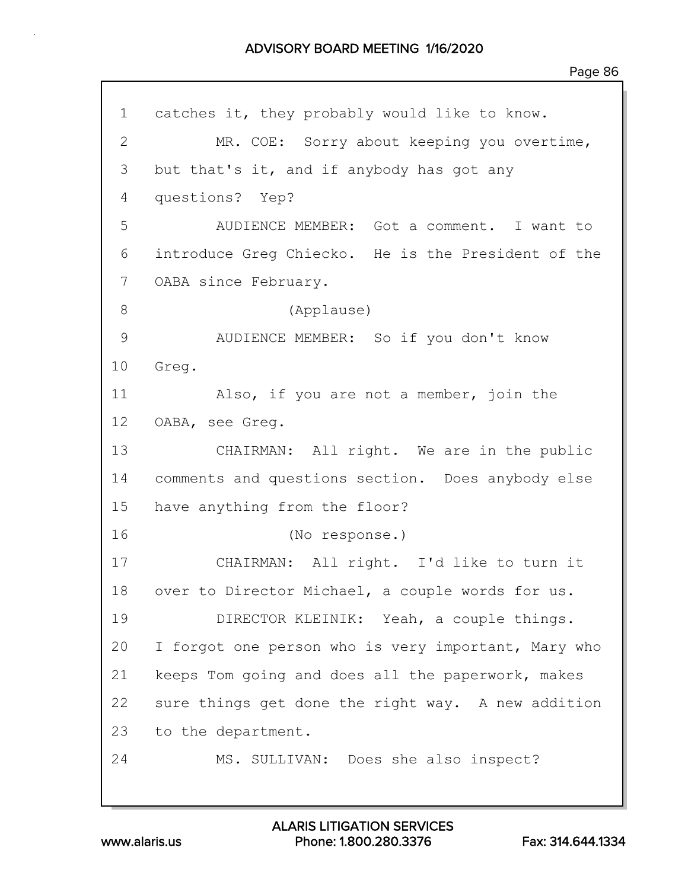1 catches it, they probably would like to know. 2 MR. COE: Sorry about keeping you overtime, 3 but that's it, and if anybody has got any 4 questions? Yep? 5 AUDIENCE MEMBER: Got a comment. I want to 6 introduce Greg Chiecko. He is the President of the 7 OABA since February. 8 (Applause) 9 AUDIENCE MEMBER: So if you don't know 10 Greg. 11 Also, if you are not a member, join the 12 OABA, see Greg. 13 CHAIRMAN: All right. We are in the public 14 comments and questions section. Does anybody else 15 have anything from the floor? 16 (No response.) 17 CHAIRMAN: All right. I'd like to turn it 18 over to Director Michael, a couple words for us. 19 DIRECTOR KLEINIK: Yeah, a couple things. 20 I forgot one person who is very important, Mary who 21 keeps Tom going and does all the paperwork, makes 22 sure things get done the right way. A new addition 23 to the department. 24 MS. SULLIVAN: Does she also inspect?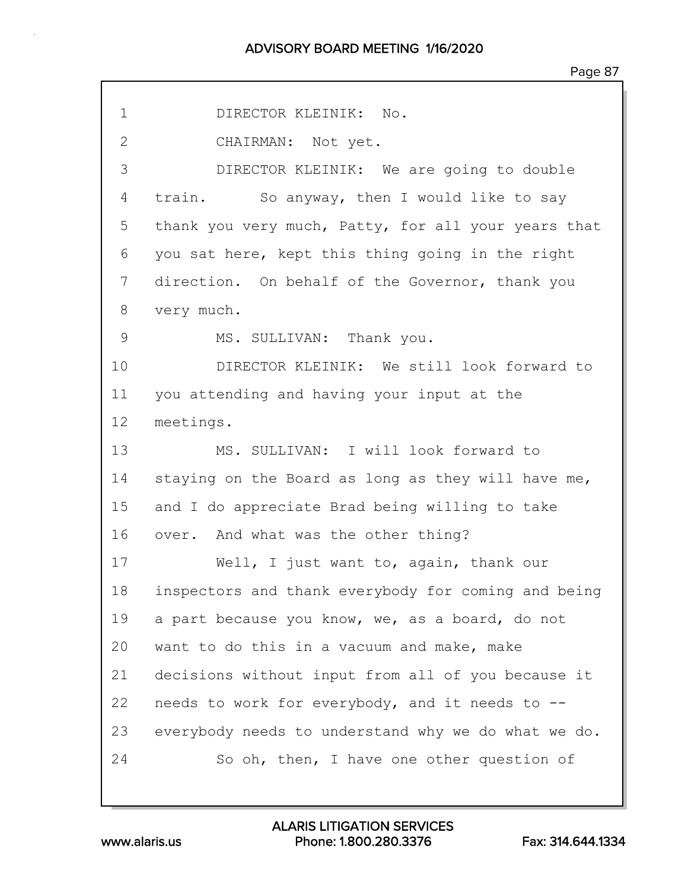| $\mathbf 1$  | DIRECTOR KLEINIK: No.                               |
|--------------|-----------------------------------------------------|
| $\mathbf{2}$ | CHAIRMAN: Not yet.                                  |
| 3            | DIRECTOR KLEINIK: We are going to double            |
| 4            | train. So anyway, then I would like to say          |
| 5            | thank you very much, Patty, for all your years that |
| 6            | you sat here, kept this thing going in the right    |
| 7            | direction. On behalf of the Governor, thank you     |
| 8            | very much.                                          |
| 9            | MS. SULLIVAN: Thank you.                            |
| 10           | DIRECTOR KLEINIK: We still look forward to          |
| 11           | you attending and having your input at the          |
| 12           | meetings.                                           |
| 13           | MS. SULLIVAN: I will look forward to                |
| 14           | staying on the Board as long as they will have me,  |
| 15           | and I do appreciate Brad being willing to take      |
| 16           | over. And what was the other thing?                 |
| 17           | Well, I just want to, again, thank our              |
| 18           | inspectors and thank everybody for coming and being |
| 19           | a part because you know, we, as a board, do not     |
| 20           | want to do this in a vacuum and make, make          |
| 21           | decisions without input from all of you because it  |
| 22           | needs to work for everybody, and it needs to --     |
| 23           | everybody needs to understand why we do what we do. |
| 24           | So oh, then, I have one other question of           |
|              |                                                     |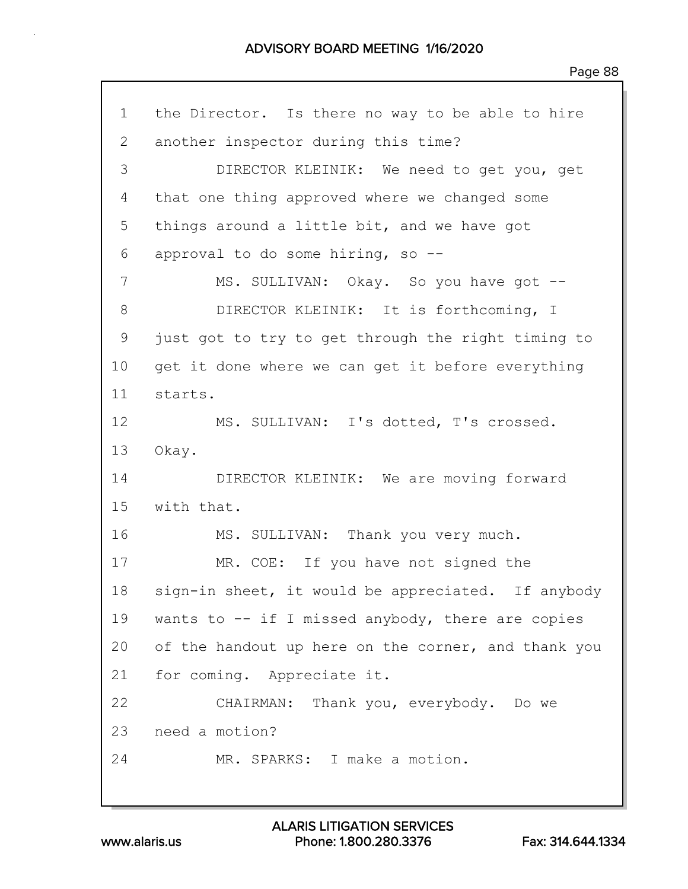1 the Director. Is there no way to be able to hire 2 another inspector during this time? 3 DIRECTOR KLEINIK: We need to get you, get 4 that one thing approved where we changed some 5 things around a little bit, and we have got 6 approval to do some hiring, so -- 7 MS. SULLIVAN: Okay. So you have got --8 DIRECTOR KLEINIK: It is forthcoming, I 9 just got to try to get through the right timing to 10 get it done where we can get it before everything 11 starts. 12 MS. SULLIVAN: I's dotted, T's crossed. 13 Okay. 14 DIRECTOR KLEINIK: We are moving forward 15 with that. 16 MS. SULLIVAN: Thank you very much. 17 MR. COE: If you have not signed the 18 sign-in sheet, it would be appreciated. If anybody 19 wants to -- if I missed anybody, there are copies 20 of the handout up here on the corner, and thank you 21 for coming. Appreciate it. 22 CHAIRMAN: Thank you, everybody. Do we 23 need a motion? 24 MR. SPARKS: I make a motion.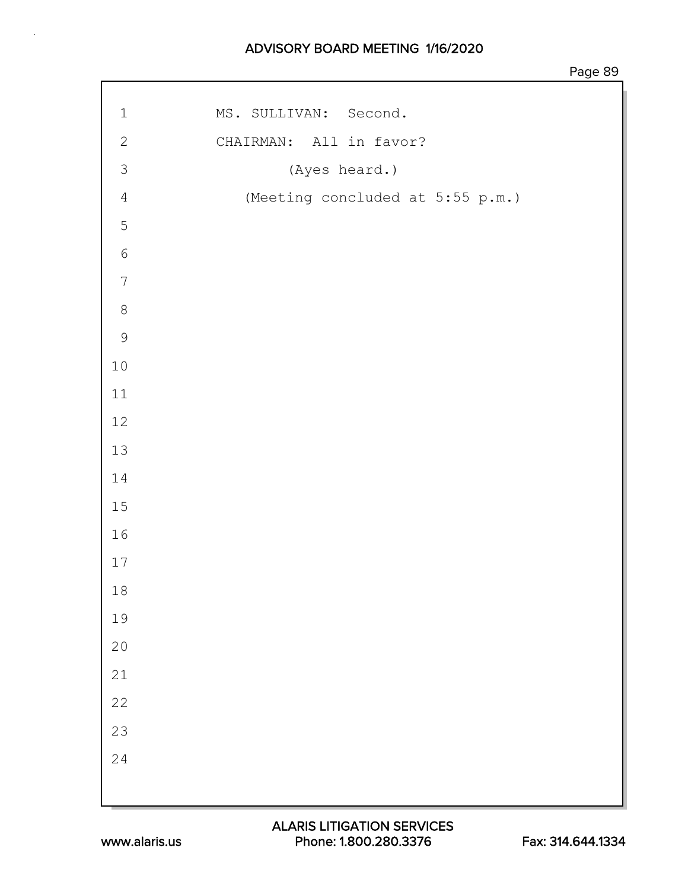| MS. SULLIVAN: Second.<br>$\ensuremath{\mathbbm{1}}$ |  |
|-----------------------------------------------------|--|
| $\mathbf{2}$<br>CHAIRMAN: All in favor?             |  |
| $\mathfrak{Z}$<br>(Ayes heard.)                     |  |
| (Meeting concluded at 5:55 p.m.)<br>$\sqrt{4}$      |  |
| $\mathbf 5$                                         |  |
| $\sqrt{6}$                                          |  |
| $\overline{7}$                                      |  |
| $\,8\,$                                             |  |
| $\mathcal{G}$                                       |  |
| $10\,$                                              |  |
| $11\,$                                              |  |
| $12\,$                                              |  |
| $13\,$                                              |  |
| $14$                                                |  |
| $15\,$                                              |  |
| 16                                                  |  |
| $17$                                                |  |
| $1\,8$                                              |  |
| 19                                                  |  |
| $20$                                                |  |
| $2\sqrt{1}$                                         |  |
| $2\sqrt{2}$                                         |  |
| 23                                                  |  |
| 24                                                  |  |
|                                                     |  |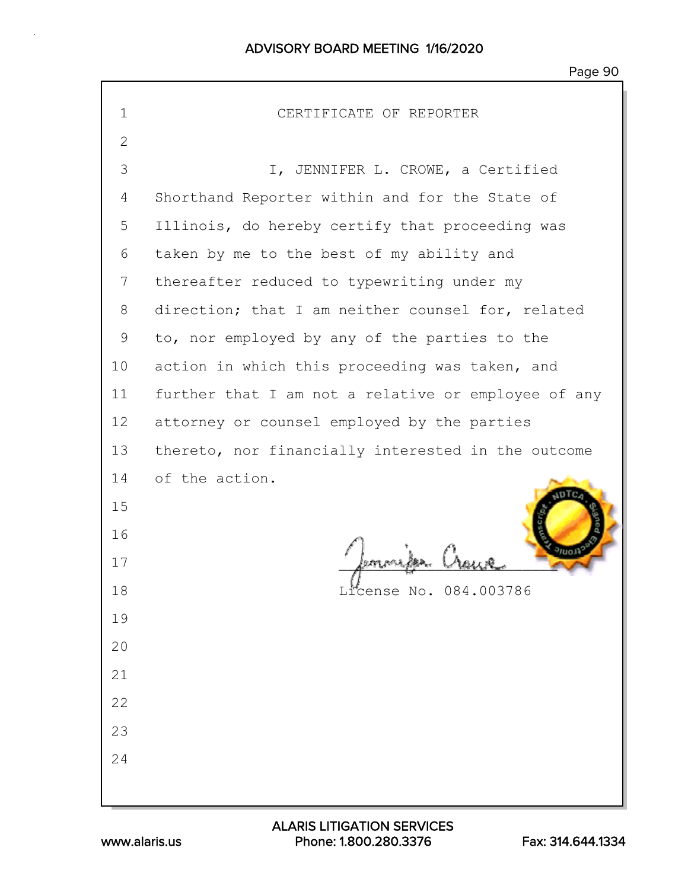| $\mathbf 1$  | CERTIFICATE OF REPORTER                             |  |  |  |  |  |
|--------------|-----------------------------------------------------|--|--|--|--|--|
| $\mathbf{2}$ |                                                     |  |  |  |  |  |
| 3            | I, JENNIFER L. CROWE, a Certified                   |  |  |  |  |  |
| 4            | Shorthand Reporter within and for the State of      |  |  |  |  |  |
| 5            | Illinois, do hereby certify that proceeding was     |  |  |  |  |  |
| 6            | taken by me to the best of my ability and           |  |  |  |  |  |
| 7            | thereafter reduced to typewriting under my          |  |  |  |  |  |
| 8            | direction; that I am neither counsel for, related   |  |  |  |  |  |
| 9            | to, nor employed by any of the parties to the       |  |  |  |  |  |
| 10           | action in which this proceeding was taken, and      |  |  |  |  |  |
| 11           | further that I am not a relative or employee of any |  |  |  |  |  |
| 12           | attorney or counsel employed by the parties         |  |  |  |  |  |
| 13           | thereto, nor financially interested in the outcome  |  |  |  |  |  |
| 14           | of the action.                                      |  |  |  |  |  |
| 15           |                                                     |  |  |  |  |  |
| 16           |                                                     |  |  |  |  |  |
| 17           |                                                     |  |  |  |  |  |
| 18           | License No. 084.003786                              |  |  |  |  |  |
| 19           |                                                     |  |  |  |  |  |
| 20           |                                                     |  |  |  |  |  |
| 21           |                                                     |  |  |  |  |  |
| 22           |                                                     |  |  |  |  |  |
| 23           |                                                     |  |  |  |  |  |
| 24           |                                                     |  |  |  |  |  |
|              |                                                     |  |  |  |  |  |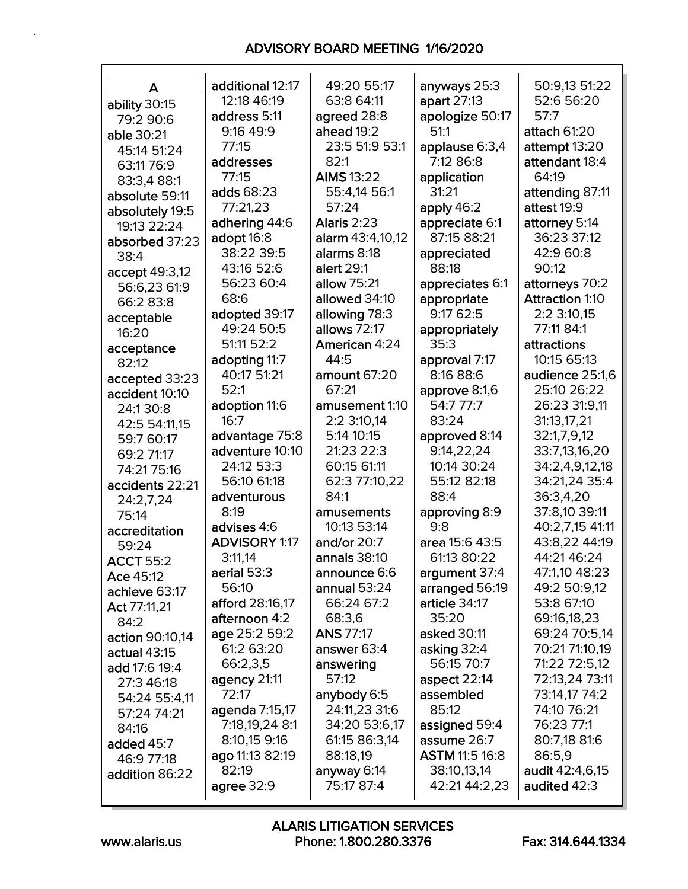| A                | additional 12:17     | 49:20 55:17       | anyways 25:3          | 50:9,13 51:22          |
|------------------|----------------------|-------------------|-----------------------|------------------------|
| ability 30:15    | 12:18 46:19          | 63:8 64:11        | apart 27:13           | 52:6 56:20             |
| 79:2 90:6        | address 5:11         | agreed 28:8       | apologize 50:17       | 57:7                   |
| able 30:21       | 9:16 49:9            | ahead 19:2        | 51:1                  | attach 61:20           |
| 45:14 51:24      | 77:15                | 23:5 51:9 53:1    | applause 6:3,4        | attempt 13:20          |
| 63:11 76:9       | addresses            | 82:1              | 7:12 86:8             | attendant 18:4         |
| 83:3,4 88:1      | 77:15                | <b>AIMS 13:22</b> | application           | 64:19                  |
| absolute 59:11   | adds 68:23           | 55:4,14 56:1      | 31:21                 | attending 87:11        |
| absolutely 19:5  | 77:21,23             | 57:24             | apply 46:2            | attest 19:9            |
| 19:13 22:24      | adhering 44:6        | Alaris 2:23       | appreciate 6:1        | attorney 5:14          |
| absorbed 37:23   | adopt 16:8           | alarm 43:4,10,12  | 87:15 88:21           | 36:23 37:12            |
| 38:4             | 38:22 39:5           | alarms 8:18       | appreciated           | 42:9 60:8              |
| accept 49:3,12   | 43:16 52:6           | alert 29:1        | 88:18                 | 90:12                  |
| 56:6,23 61:9     | 56:23 60:4           | allow 75:21       | appreciates 6:1       | attorneys 70:2         |
| 66:2 83:8        | 68:6                 | allowed 34:10     | appropriate           | <b>Attraction 1:10</b> |
| acceptable       | adopted 39:17        | allowing 78:3     | 9:17 62:5             | 2:2 3:10,15            |
| 16:20            | 49:24 50:5           | allows 72:17      | appropriately         | 77:11 84:1             |
| acceptance       | 51:11 52:2           | American 4:24     | 35:3                  | attractions            |
| 82:12            | adopting 11:7        | 44:5              | approval 7:17         | 10:15 65:13            |
| accepted 33:23   | 40:17 51:21          | amount 67:20      | 8:16 88:6             | audience 25:1,6        |
| accident 10:10   | 52:1                 | 67:21             | approve 8:1,6         | 25:10 26:22            |
| 24:130:8         | adoption 11:6        | amusement 1:10    | 54:7 77:7             | 26:23 31:9,11          |
| 42:5 54:11,15    | 16:7                 | 2:2 3:10,14       | 83:24                 | 31:13,17,21            |
| 59:7 60:17       | advantage 75:8       | 5:14 10:15        | approved 8:14         | 32:1,7,9,12            |
| 69:2 71:17       | adventure 10:10      | 21:23 22:3        | 9:14,22,24            | 33:7,13,16,20          |
| 74:21 75:16      | 24:12 53:3           | 60:15 61:11       | 10:14 30:24           | 34:2,4,9,12,18         |
| accidents 22:21  | 56:10 61:18          | 62:3 77:10,22     | 55:12 82:18           | 34:21,24 35:4          |
| 24:2,7,24        | adventurous          | 84:1              | 88:4                  | 36:3,4,20              |
| 75:14            | 8:19                 | amusements        | approving 8:9         | 37:8,10 39:11          |
| accreditation    | advises 4:6          | 10:13 53:14       | 9:8                   | 40:2,7,15 41:11        |
| 59:24            | <b>ADVISORY 1:17</b> | and/or $20:7$     | area 15:6 43:5        | 43:8,22 44:19          |
| <b>ACCT 55:2</b> | 3:11,14              | annals 38:10      | 61:13 80:22           | 44:21 46:24            |
| Ace 45:12        | aerial 53:3          | announce 6:6      | argument 37:4         | 47:1,10 48:23          |
| achieve 63:17    | 56:10                | annual 53:24      | arranged 56:19        | 49:2 50:9,12           |
| Act 77:11,21     | afford 28:16,17      | 66:24 67:2        | article 34:17         | 53:8 67:10             |
| 84:2             | afternoon 4:2        | 68:3,6            | 35:20                 | 69:16,18,23            |
| action 90:10,14  | age 25:2 59:2        | <b>ANS 77:17</b>  | asked 30:11           | 69:24 70:5,14          |
| actual 43:15     | 61:2 63:20           | answer 63:4       | asking 32:4           | 70:21 71:10,19         |
| add 17:6 19:4    | 66:2,3,5             | answering         | 56:15 70:7            | 71:22 72:5,12          |
| 27:3 46:18       | agency 21:11         | 57:12             | aspect $22:14$        | 72:13,24 73:11         |
| 54:24 55:4,11    | 72:17                | anybody 6:5       | assembled             | 73:14,17 74:2          |
| 57:24 74:21      | agenda 7:15,17       | 24:11,23 31:6     | 85:12                 | 74:10 76:21            |
| 84:16            | 7:18,19,24 8:1       | 34:20 53:6,17     | assigned 59:4         | 76:23 77:1             |
| added 45:7       | 8:10,15 9:16         | 61:15 86:3,14     | assume 26:7           | 80:7,18 81:6           |
| 46:9 77:18       | ago 11:13 82:19      | 88:18,19          | <b>ASTM 11:5 16:8</b> | 86:5,9                 |
| addition 86:22   | 82:19                | anyway 6:14       | 38:10,13,14           | audit 42:4,6,15        |
|                  | agree 32:9           | 75:17 87:4        | 42:21 44:2,23         | audited 42:3           |
|                  |                      |                   |                       |                        |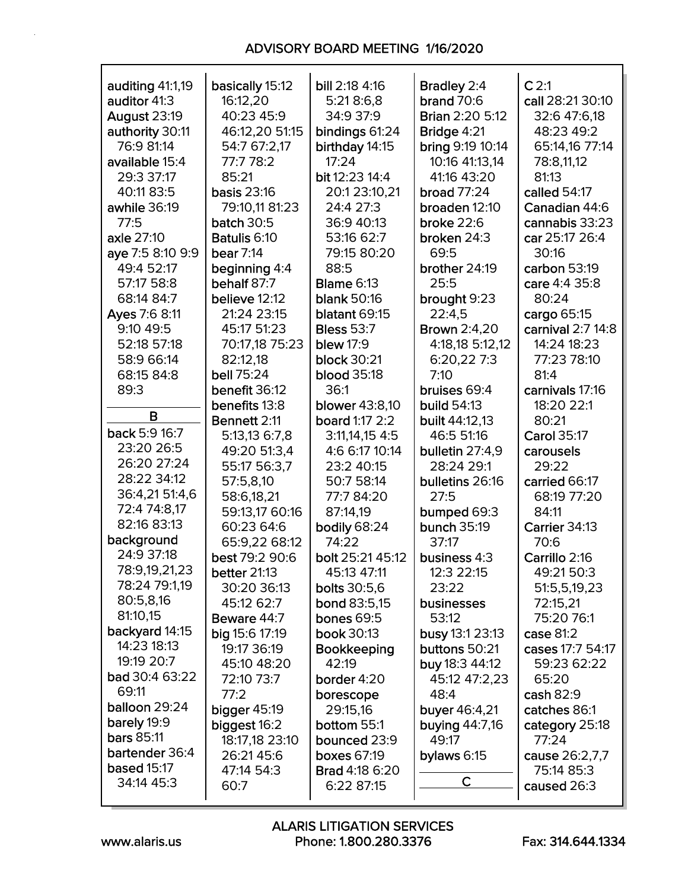| auditing 41:1,19    | basically 15:12       | bill 2:18 4:16        | <b>Bradley 2:4</b>      | C <sub>2:1</sub>   |
|---------------------|-----------------------|-----------------------|-------------------------|--------------------|
| auditor 41:3        | 16:12,20              | 5:21 8:6,8            | brand $70:6$            | call 28:21 30:10   |
| <b>August 23:19</b> | 40:23 45:9            | 34:9 37:9             | <b>Brian 2:20 5:12</b>  | 32:6 47:6,18       |
| authority 30:11     | 46:12,20 51:15        | bindings 61:24        | Bridge 4:21             | 48:23 49:2         |
| 76:9 81:14          | 54:7 67:2,17          | birthday 14:15        | <b>bring 9:19 10:14</b> | 65:14,16 77:14     |
| available 15:4      | 77:7 78:2             | 17:24                 | 10:16 41:13,14          | 78:8,11,12         |
| 29:3 37:17          | 85:21                 | bit 12:23 14:4        | 41:16 43:20             | 81:13              |
| 40:11 83:5          | <b>basis 23:16</b>    | 20:1 23:10,21         | <b>broad 77:24</b>      | called 54:17       |
| awhile 36:19        | 79:10,11 81:23        | 24:4 27:3             | broaden 12:10           | Canadian 44:6      |
| 77:5                | <b>batch 30:5</b>     | 36:9 40:13            | broke 22:6              | cannabis 33:23     |
| axle 27:10          | Batulis 6:10          | 53:16 62:7            | broken 24:3             | car 25:17 26:4     |
| aye 7:5 8:10 9:9    | bear $7:14$           | 79:15 80:20           | 69:5                    | 30:16              |
| 49:4 52:17          | beginning 4:4         | 88:5                  | brother 24:19           | carbon 53:19       |
| 57:17 58:8          | behalf 87:7           | <b>Blame 6:13</b>     | 25:5                    | care 4:4 35:8      |
| 68:14 84:7          | believe 12:12         | <b>blank 50:16</b>    | brought 9:23            | 80:24              |
| Ayes 7:6 8:11       | 21:24 23:15           | blatant 69:15         | 22:4,5                  | cargo 65:15        |
| 9:10 49:5           | 45:17 51:23           | <b>Bless 53:7</b>     | <b>Brown 2:4,20</b>     | carnival 2:7 14:8  |
| 52:18 57:18         | 70:17,18 75:23        | <b>blew</b> 17:9      | 4:18,18 5:12,12         | 14:24 18:23        |
| 58:9 66:14          | 82:12,18              | <b>block 30:21</b>    | 6:20,227:3              | 77:23 78:10        |
| 68:15 84:8          | bell 75:24            | <b>blood</b> 35:18    | 7:10                    | 81:4               |
| 89:3                | benefit 36:12         | 36:1                  | bruises 69:4            | carnivals 17:16    |
|                     | benefits 13:8         | <b>blower</b> 43:8,10 | <b>build 54:13</b>      | 18:20 22:1         |
| B                   | Bennett 2:11          | board 1:17 2:2        | built 44:12,13          | 80:21              |
| back 5:9 16:7       | 5:13,13 6:7,8         | 3:11,14,15 4:5        | 46:5 51:16              | <b>Carol 35:17</b> |
| 23:20 26:5          | 49:20 51:3,4          | 4:6 6:17 10:14        | bulletin 27:4,9         | carousels          |
| 26:20 27:24         | 55:17 56:3,7          | 23:2 40:15            | 28:24 29:1              | 29:22              |
| 28:22 34:12         | 57:5,8,10             | 50:7 58:14            | bulletins 26:16         | carried 66:17      |
| 36:4,21 51:4,6      | 58:6,18,21            | 77:7 84:20            | 27:5                    | 68:19 77:20        |
| 72:4 74:8,17        | 59:13,17 60:16        | 87:14,19              | bumped 69:3             | 84:11              |
| 82:16 83:13         | 60:23 64:6            | bodily 68:24          | <b>bunch 35:19</b>      | Carrier 34:13      |
| background          | 65:9,22 68:12         | 74:22                 | 37:17                   | 70:6               |
| 24:9 37:18          | best 79:2 90:6        | bolt 25:21 45:12      | business 4:3            | Carrillo 2:16      |
| 78:9,19,21,23       | better 21:13          | 45:13 47:11           | 12:3 22:15              | 49:21 50:3         |
| 78:24 79:1,19       | 30:20 36:13           | bolts 30:5,6          | 23:22                   | 51:5,5,19,23       |
| 80:5,8,16           | 45:12 62:7            | <b>bond 83:5,15</b>   | businesses              | 72:15,21           |
| 81:10,15            | Beware 44:7           | <b>bones 69:5</b>     | 53:12                   | 75:20 76:1         |
| backyard 14:15      | <b>big 15:6 17:19</b> | book 30:13            | busy 13:1 23:13         | case 81:2          |
| 14:23 18:13         | 19:17 36:19           | <b>Bookkeeping</b>    | buttons 50:21           | cases 17:7 54:17   |
| 19:19 20:7          | 45:10 48:20           | 42:19                 | buy 18:3 44:12          | 59:23 62:22        |
| bad 30:4 63:22      | 72:10 73:7            | border 4:20           | 45:12 47:2,23           | 65:20              |
| 69:11               | 77:2                  | borescope             | 48:4                    | cash 82:9          |
| balloon 29:24       | bigger 45:19          | 29:15,16              | buyer 46:4,21           | catches 86:1       |
| barely 19:9         | biggest 16:2          | <b>bottom</b> 55:1    | <b>buying 44:7,16</b>   | category 25:18     |
| <b>bars 85:11</b>   | 18:17,18 23:10        | bounced 23:9          | 49:17                   | 77:24              |
| bartender 36:4      | 26:21 45:6            | <b>boxes 67:19</b>    | bylaws 6:15             | cause 26:2,7,7     |
| <b>based 15:17</b>  | 47:14 54:3            | <b>Brad 4:18 6:20</b> |                         | 75:14 85:3         |
| 34:14 45:3          | 60:7                  | 6:22 87:15            | C                       | caused 26:3        |
|                     |                       |                       |                         |                    |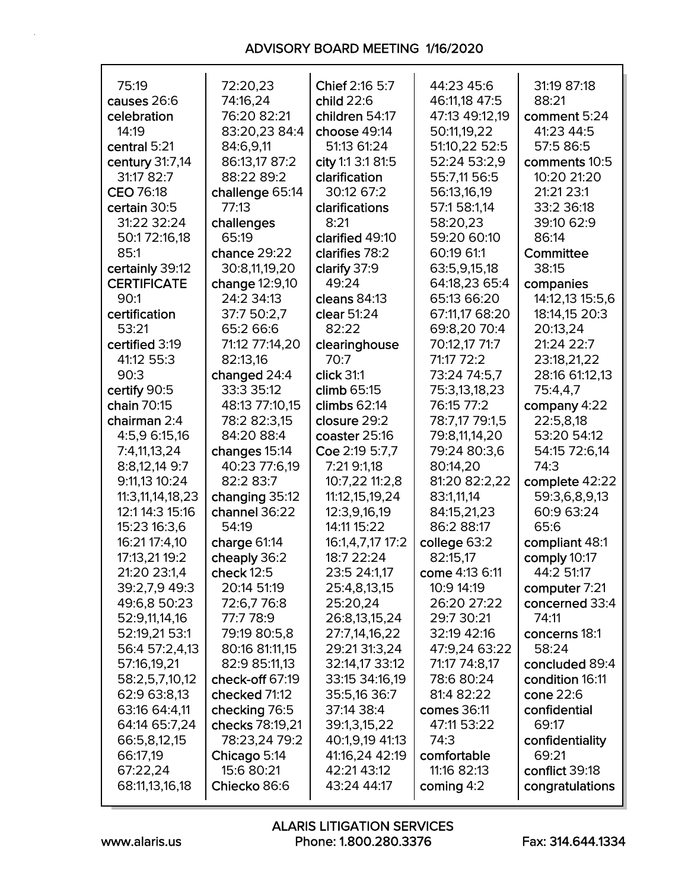| 75:19              | 72:20,23        | Chief 2:16 5:7    | 44:23 45:6     | 31:19 87:18     |
|--------------------|-----------------|-------------------|----------------|-----------------|
| causes 26:6        | 74:16,24        | child 22:6        | 46:11,18 47:5  | 88:21           |
| celebration        | 76:20 82:21     | children 54:17    | 47:13 49:12,19 | comment 5:24    |
| 14:19              | 83:20,23 84:4   | choose 49:14      | 50:11,19,22    | 41:23 44:5      |
| central 5:21       | 84:6,9,11       | 51:13 61:24       | 51:10,22 52:5  | 57:5 86:5       |
| century 31:7,14    | 86:13,17 87:2   | city 1:1 3:1 81:5 | 52:24 53:2,9   | comments 10:5   |
| 31:17 82:7         | 88:22 89:2      | clarification     | 55:7,11 56:5   | 10:20 21:20     |
|                    |                 |                   |                |                 |
| CEO 76:18          | challenge 65:14 | 30:12 67:2        | 56:13,16,19    | 21:21 23:1      |
| certain 30:5       | 77:13           | clarifications    | 57:1 58:1,14   | 33:2 36:18      |
| 31:22 32:24        | challenges      | 8:21              | 58:20,23       | 39:10 62:9      |
| 50:172:16,18       | 65:19           | clarified 49:10   | 59:20 60:10    | 86:14           |
| 85:1               | chance 29:22    | clarifies 78:2    | 60:19 61:1     | Committee       |
| certainly 39:12    | 30:8,11,19,20   | clarify 37:9      | 63:5,9,15,18   | 38:15           |
| <b>CERTIFICATE</b> | change 12:9,10  | 49:24             | 64:18,23 65:4  | companies       |
| 90:1               | 24:2 34:13      | cleans 84:13      | 65:13 66:20    | 14:12,13 15:5,6 |
| certification      | 37:7 50:2,7     | clear 51:24       | 67:11,17 68:20 | 18:14,15 20:3   |
| 53:21              | 65:2 66:6       | 82:22             | 69:8,20 70:4   | 20:13,24        |
|                    |                 |                   |                |                 |
| certified 3:19     | 71:12 77:14,20  | clearinghouse     | 70:12,17 71:7  | 21:24 22:7      |
| 41:12 55:3         | 82:13,16        | 70:7              | 71:17 72:2     | 23:18,21,22     |
| 90:3               | changed 24:4    | click 31:1        | 73:24 74:5.7   | 28:16 61:12,13  |
| certify 90:5       | 33:3 35:12      | climb 65:15       | 75:3,13,18,23  | 75:4,4,7        |
| chain 70:15        | 48:13 77:10,15  | climbs $62:14$    | 76:15 77:2     | company 4:22    |
| chairman 2:4       | 78:2 82:3,15    | closure 29:2      | 78:7,17 79:1,5 | 22:5,8,18       |
| 4:5,9 6:15,16      | 84:20 88:4      | coaster 25:16     | 79:8,11,14,20  | 53:20 54:12     |
| 7:4,11,13,24       | changes 15:14   | Coe 2:19 5:7,7    | 79:24 80:3,6   | 54:15 72:6,14   |
| 8:8,12,14 9:7      | 40:23 77:6,19   | 7:21 9:1,18       | 80:14,20       | 74:3            |
| 9:11,13 10:24      | 82:2 83:7       | 10:7,22 11:2,8    | 81:20 82:2,22  | complete 42:22  |
| 11:3,11,14,18,23   |                 | 11:12, 15, 19, 24 |                |                 |
|                    | changing 35:12  |                   | 83:1,11,14     | 59:3,6,8,9,13   |
| 12:1 14:3 15:16    | channel 36:22   | 12:3,9,16,19      | 84:15,21,23    | 60:9 63:24      |
| 15:23 16:3,6       | 54:19           | 14:11 15:22       | 86:2 88:17     | 65:6            |
| 16:21 17:4,10      | charge 61:14    | 16:1,4,7,17 17:2  | college 63:2   | compliant 48:1  |
| 17:13,21 19:2      | cheaply 36:2    | 18:7 22:24        | 82:15,17       | comply 10:17    |
| 21:20 23:1,4       | check $12:5$    | 23:5 24:1,17      | come 4:13 6:11 | 44:2 51:17      |
| 39:2,7,9 49:3      | 20:14 51:19     | 25:4,8,13,15      | 10:9 14:19     | computer 7:21   |
| 49:6,8 50:23       | 72:6,776:8      | 25:20,24          | 26:20 27:22    | concerned 33:4  |
| 52:9,11,14,16      | 77:7 78:9       | 26:8,13,15,24     | 29:7 30:21     | 74:11           |
| 52:19,21 53:1      | 79:19 80:5,8    | 27:7,14,16,22     | 32:19 42:16    | concerns 18:1   |
| 56:4 57:2,4,13     | 80:16 81:11,15  | 29:21 31:3,24     | 47:9,24 63:22  | 58:24           |
|                    |                 |                   |                |                 |
| 57:16,19,21        | 82:9 85:11,13   | 32:14,17 33:12    | 71:17 74:8,17  | concluded 89:4  |
| 58:2,5,7,10,12     | check-off 67:19 | 33:15 34:16,19    | 78:6 80:24     | condition 16:11 |
| 62:9 63:8,13       | checked 71:12   | 35:5,16 36:7      | 81:4 82:22     | cone 22:6       |
| 63:16 64:4,11      | checking 76:5   | 37:14 38:4        | comes 36:11    | confidential    |
| 64:14 65:7,24      | checks 78:19,21 | 39:1,3,15,22      | 47:11 53:22    | 69:17           |
| 66:5,8,12,15       | 78:23,24 79:2   | 40:1,9,19 41:13   | 74:3           | confidentiality |
| 66:17,19           | Chicago 5:14    | 41:16,24 42:19    | comfortable    | 69:21           |
| 67:22,24           | 15:6 80:21      | 42:21 43:12       | 11:16 82:13    | conflict 39:18  |
| 68:11,13,16,18     | Chiecko 86:6    | 43:24 44:17       | coming $4:2$   | congratulations |
|                    |                 |                   |                |                 |

Г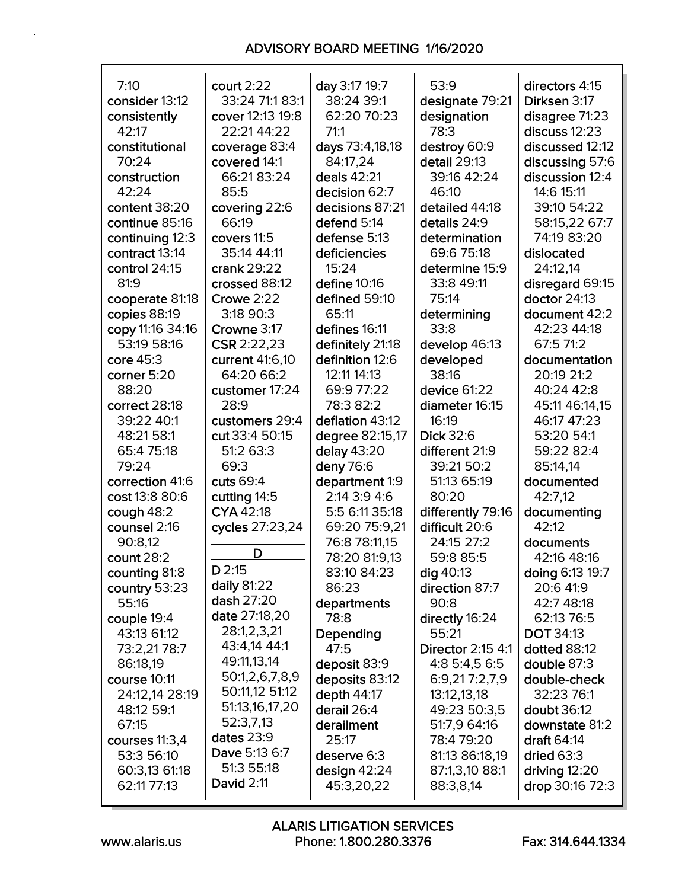| 7:10             | court $2:22$                | day 3:17 19:7    | 53:9              | directors 4:15   |
|------------------|-----------------------------|------------------|-------------------|------------------|
| consider 13:12   | 33:24 71:1 83:1             | 38:24 39:1       | designate 79:21   | Dirksen 3:17     |
| consistently     | cover 12:13 19:8            | 62:20 70:23      | designation       | disagree 71:23   |
| 42:17            | 22:21 44:22                 | 71:1             | 78:3              | discuss $12:23$  |
| constitutional   | coverage 83:4               | days 73:4,18,18  | destroy 60:9      | discussed 12:12  |
| 70:24            | covered 14:1                | 84:17,24         | detail 29:13      | discussing 57:6  |
| construction     | 66:21 83:24                 | deals 42:21      | 39:16 42:24       | discussion 12:4  |
| 42:24            | 85:5                        | decision 62:7    | 46:10             | 14:6 15:11       |
| content 38:20    | covering 22:6               | decisions 87:21  | detailed 44:18    | 39:10 54:22      |
| continue 85:16   | 66:19                       | defend 5:14      | details 24:9      | 58:15,22 67:7    |
| continuing 12:3  | covers 11:5                 | defense 5:13     | determination     | 74:19 83:20      |
| contract 13:14   | 35:14 44:11                 | deficiencies     | 69:6 75:18        | dislocated       |
| control 24:15    | crank 29:22                 | 15:24            | determine 15:9    | 24:12,14         |
| 81:9             | crossed 88:12               | define 10:16     | 33:8 49:11        | disregard 69:15  |
| cooperate 81:18  | Crowe 2:22                  | defined 59:10    | 75:14             | doctor 24:13     |
| copies 88:19     | 3:18 90:3                   | 65:11            | determining       | document 42:2    |
| copy 11:16 34:16 | Crowne 3:17                 | defines 16:11    | 33:8              | 42:23 44:18      |
| 53:19 58:16      | CSR 2:22,23                 | definitely 21:18 | develop 46:13     | 67:5 71:2        |
| core 45:3        | current 41:6,10             | definition 12:6  | developed         | documentation    |
| corner 5:20      | 64:20 66:2                  | 12:11 14:13      | 38:16             | 20:19 21:2       |
| 88:20            | customer 17:24              | 69:9 77:22       | device 61:22      | 40:24 42:8       |
| correct 28:18    | 28:9                        | 78:3 82:2        | diameter 16:15    | 45:11 46:14,15   |
| 39:22 40:1       | customers 29:4              | deflation 43:12  | 16:19             | 46:17 47:23      |
| 48:21 58:1       | cut 33:4 50:15              | degree 82:15,17  | Dick 32:6         | 53:20 54:1       |
| 65:4 75:18       | 51:2 63:3                   | delay 43:20      | different 21:9    | 59:22 82:4       |
| 79:24            | 69:3                        | deny 76:6        | 39:21 50:2        | 85:14,14         |
| correction 41:6  | cuts 69:4                   | department 1:9   | 51:13 65:19       | documented       |
| cost 13:8 80:6   | cutting 14:5                | 2:14 3:9 4:6     | 80:20             | 42:7,12          |
| cough 48:2       | CYA 42:18                   | 5:5 6:11 35:18   | differently 79:16 | documenting      |
| counsel 2:16     | cycles 27:23,24             | 69:20 75:9,21    | difficult 20:6    | 42:12            |
| 90:8,12          |                             | 76:8 78:11,15    | 24:15 27:2        | documents        |
| count $28:2$     | D                           | 78:20 81:9,13    | 59:8 85:5         | 42:16 48:16      |
| counting 81:8    | D 2:15                      | 83:10 84:23      | dig 40:13         | doing 6:13 19:7  |
| country 53:23    | daily 81:22                 | 86:23            | direction 87:7    | 20:6 41:9        |
| 55:16            | dash 27:20                  | departments      | 90:8              | 42:7 48:18       |
| couple 19:4      | date 27:18,20               | 78:8             | directly 16:24    | 62:13 76:5       |
| 43:13 61:12      | 28:1,2,3,21                 | Depending        | 55:21             | <b>DOT 34:13</b> |
| 73:2,2178:7      | 43:4,14 44:1                | 47:5             | Director 2:15 4:1 | dotted 88:12     |
| 86:18,19         | 49:11,13,14                 | deposit 83:9     | 4:8 5:4,5 6:5     | double 87:3      |
| course 10:11     | 50:1,2,6,7,8,9              | deposits 83:12   | 6:9,217:2,7,9     | double-check     |
| 24:12,14 28:19   | 50:11,12 51:12              | depth 44:17      | 13:12,13,18       | 32:23 76:1       |
| 48:12 59:1       | 51:13,16,17,20              | derail 26:4      | 49:23 50:3,5      | doubt 36:12      |
| 67:15            | 52:3,7,13                   | derailment       | 51:7,9 64:16      | downstate 81:2   |
| courses 11:3,4   | dates 23:9<br>Dave 5:13 6:7 | 25:17            | 78:4 79:20        | draft 64:14      |
| 53:3 56:10       | 51:3 55:18                  | deserve 6:3      | 81:13 86:18,19    | dried $63:3$     |
| 60:3,13 61:18    | <b>David 2:11</b>           | design $42:24$   | 87:1,3,10 88:1    | driving $12:20$  |
| 62:11 77:13      |                             | 45:3,20,22       | 88:3,8,14         | drop 30:16 72:3  |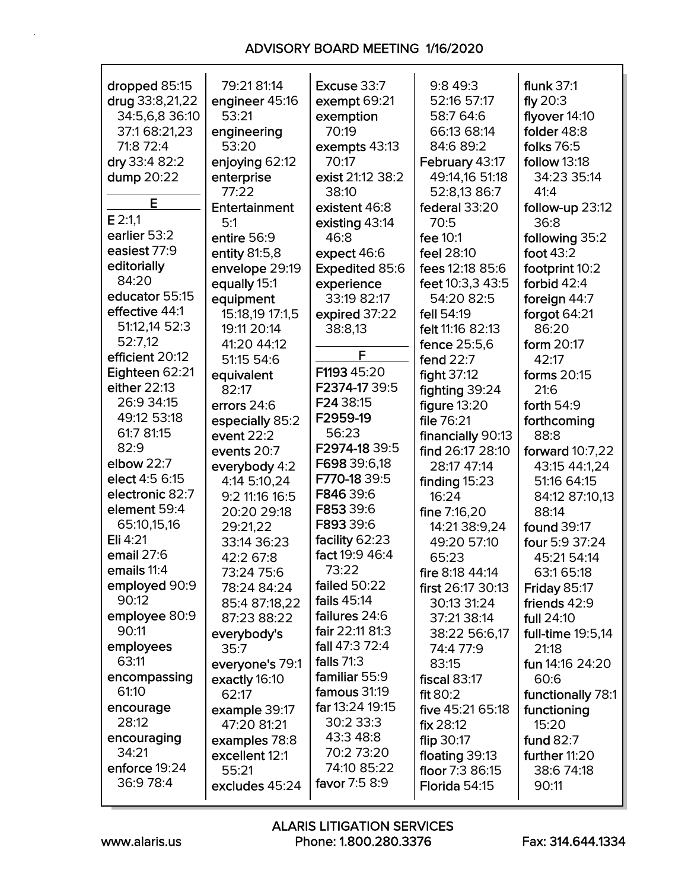| dropped 85:15   | 79:21 81:14     | Excuse 33:7           | 9:8 49:3            | flunk 37:1          |
|-----------------|-----------------|-----------------------|---------------------|---------------------|
| drug 33:8,21,22 | engineer 45:16  | exempt 69:21          | 52:16 57:17         | fly $20:3$          |
| 34:5,6,8 36:10  | 53:21           | exemption             | 58:7 64:6           | flyover 14:10       |
| 37:1 68:21,23   | engineering     | 70:19                 | 66:13 68:14         | folder 48:8         |
| 71:8 72:4       | 53:20           | exempts 43:13         | 84:6 89:2           | folks 76:5          |
| dry 33:4 82:2   | enjoying 62:12  | 70:17                 | February 43:17      | follow 13:18        |
| dump 20:22      | enterprise      | exist 21:12 38:2      | 49:14,16 51:18      | 34:23 35:14         |
|                 | 77:22           | 38:10                 | 52:8,13 86:7        | 41:4                |
| E               | Entertainment   | existent 46:8         | federal 33:20       | follow-up 23:12     |
| $E$ 2:1,1       | 5:1             | existing 43:14        | 70:5                | 36:8                |
| earlier 53:2    | entire 56:9     | 46:8                  | fee 10:1            | following 35:2      |
| easiest 77:9    | entity 81:5,8   | expect 46:6           | feel 28:10          | foot $43:2$         |
| editorially     | envelope 29:19  | <b>Expedited 85:6</b> | fees 12:18 85:6     | footprint 10:2      |
| 84:20           | equally 15:1    | experience            | feet 10:3,3 43:5    | forbid 42:4         |
| educator 55:15  | equipment       | 33:19 82:17           | 54:20 82:5          | foreign 44:7        |
| effective 44:1  | 15:18,19 17:1,5 | expired 37:22         | fell 54:19          | forgot 64:21        |
| 51:12,14 52:3   | 19:11 20:14     | 38:8,13               | felt 11:16 82:13    | 86:20               |
| 52:7,12         | 41:20 44:12     |                       | fence 25:5,6        | form 20:17          |
| efficient 20:12 | 51:15 54:6      | F                     | fend 22:7           | 42:17               |
| Eighteen 62:21  | equivalent      | F1193 45:20           | fight 37:12         | forms 20:15         |
| either 22:13    | 82:17           | F2374-17 39:5         | fighting 39:24      | 21:6                |
| 26:9 34:15      | errors 24:6     | F24 38:15             | figure $13:20$      | forth 54:9          |
| 49:12 53:18     | especially 85:2 | F2959-19              | file 76:21          | forthcoming         |
| 61:7 81:15      | event $22:2$    | 56:23                 | financially 90:13   | 88:8                |
| 82:9            | events 20:7     | F2974-18 39:5         | find 26:17 28:10    | forward 10:7,22     |
| elbow 22:7      | everybody 4:2   | F698 39:6,18          | 28:17 47:14         | 43:15 44:1,24       |
| elect 4:5 6:15  | 4:14 5:10,24    | F770-18 39:5          | finding 15:23       | 51:16 64:15         |
| electronic 82:7 | 9:2 11:16 16:5  | F846 39:6             | 16:24               | 84:12 87:10,13      |
| element 59:4    | 20:20 29:18     | F853 39:6             | fine 7:16,20        | 88:14               |
| 65:10,15,16     | 29:21,22        | F893 39:6             | 14:21 38:9,24       | found 39:17         |
| Eli 4:21        | 33:14 36:23     | facility 62:23        | 49:20 57:10         | four 5:9 37:24      |
| email 27:6      | 42:2 67:8       | fact 19:9 46:4        | 65:23               | 45:21 54:14         |
| emails 11:4     | 73:24 75:6      | 73:22                 | fire 8:18 44:14     | 63:1 65:18          |
| employed 90:9   | 78:24 84:24     | failed 50:22          | first 26:17 30:13   | <b>Friday 85:17</b> |
| 90:12           | 85:4 87:18,22   | fails 45:14           | 30:13 31:24         | friends 42:9        |
| employee 80:9   | 87:23 88:22     | failures 24:6         | 37:21 38:14         | full 24:10          |
| 90:11           | everybody's     | fair 22:11 81:3       | 38:22 56:6,17       | full-time 19:5,14   |
| employees       | 35:7            | fall 47:3 72:4        | 74:4 77:9           | 21:18               |
| 63:11           | everyone's 79:1 | falls $71:3$          | 83:15               | fun 14:16 24:20     |
| encompassing    | exactly 16:10   | familiar 55:9         | <b>fiscal 83:17</b> | 60:6                |
| 61:10           | 62:17           | famous 31:19          | fit $80:2$          | functionally 78:1   |
| encourage       | example 39:17   | far 13:24 19:15       | five 45:21 65:18    | functioning         |
| 28:12           | 47:20 81:21     | 30:2 33:3             | fix $28:12$         | 15:20               |
| encouraging     | examples 78:8   | 43:3 48:8             | flip 30:17          | fund 82:7           |
| 34:21           | excellent 12:1  | 70:2 73:20            | floating 39:13      | further 11:20       |
| enforce 19:24   | 55:21           | 74:10 85:22           | floor 7:3 86:15     | 38:6 74:18          |
| 36:9 78:4       | excludes 45:24  | favor 7:5 8:9         | Florida 54:15       | 90:11               |
|                 |                 |                       |                     |                     |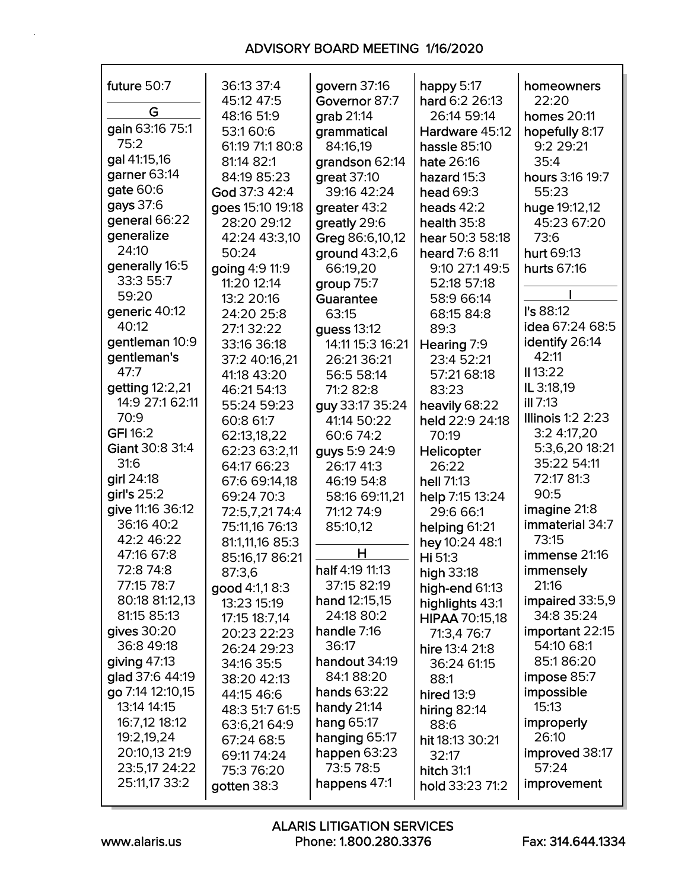| future 50:7      | 36:13 37:4       | govern 37:16      | happy 5:17      | homeowners               |
|------------------|------------------|-------------------|-----------------|--------------------------|
|                  | 45:12 47:5       | Governor 87:7     | hard 6:2 26:13  | 22:20                    |
| G                | 48:16 51:9       | grab 21:14        | 26:14 59:14     | homes 20:11              |
| gain 63:16 75:1  | 53:160:6         | grammatical       | Hardware 45:12  | hopefully 8:17           |
| 75:2             | 61:19 71:1 80:8  | 84:16,19          | hassle 85:10    | 9:2 29:21                |
| gal 41:15,16     | 81:14 82:1       | grandson 62:14    | hate 26:16      | 35:4                     |
| garner 63:14     | 84:19 85:23      | great 37:10       | hazard 15:3     | hours 3:16 19:7          |
| gate 60:6        | God 37:3 42:4    | 39:16 42:24       | head $69:3$     | 55:23                    |
| gays 37:6        | goes 15:10 19:18 | greater 43:2      | heads $42:2$    | huge 19:12,12            |
| general 66:22    | 28:20 29:12      | greatly 29:6      | health 35:8     | 45:23 67:20              |
| generalize       | 42:24 43:3,10    | Greg 86:6,10,12   | hear 50:3 58:18 | 73:6                     |
| 24:10            | 50:24            | ground $43:2,6$   | heard 7:6 8:11  | hurt 69:13               |
| generally 16:5   | going 4:9 11:9   | 66:19,20          | 9:10 27:1 49:5  | hurts 67:16              |
| 33:3 55:7        | 11:20 12:14      | group 75:7        | 52:18 57:18     |                          |
| 59:20            | 13:2 20:16       | Guarantee         | 58:9 66:14      |                          |
| generic 40:12    | 24:20 25:8       | 63:15             | 68:15 84:8      | l's 88:12                |
| 40:12            | 27:132:22        | guess 13:12       | 89:3            | idea 67:24 68:5          |
| gentleman 10:9   | 33:16 36:18      | 14:11 15:3 16:21  | Hearing 7:9     | identify 26:14           |
| gentleman's      | 37:2 40:16,21    | 26:21 36:21       | 23:4 52:21      | 42:11                    |
| 47:7             | 41:18 43:20      | 56:5 58:14        | 57:21 68:18     | $II$ 13:22               |
| getting 12:2,21  | 46:21 54:13      | 71:2 82:8         | 83:23           | IL 3:18,19               |
| 14:9 27:1 62:11  | 55:24 59:23      | guy 33:17 35:24   | heavily 68:22   | $III$ 7:13               |
| 70:9             | 60:8 61:7        | 41:14 50:22       | held 22:9 24:18 | <b>Illinois 1:2 2:23</b> |
| <b>GFI 16:2</b>  | 62:13,18,22      | 60:6 74:2         | 70:19           | 3:2 4:17,20              |
| Giant 30:8 31:4  | 62:23 63:2,11    | guys 5:9 24:9     | Helicopter      | 5:3,6,20 18:21           |
| 31:6             | 64:17 66:23      | 26:17 41:3        | 26:22           | 35:22 54:11              |
| girl 24:18       | 67:6 69:14,18    | 46:19 54:8        | hell 71:13      | 72:17 81:3               |
| girl's 25:2      | 69:24 70:3       | 58:16 69:11,21    | help 7:15 13:24 | 90:5                     |
| give 11:16 36:12 | 72:5,7,2174:4    | 71:12 74:9        | 29:6 66:1       | imagine 21:8             |
| 36:16 40:2       | 75:11,16 76:13   | 85:10,12          | helping 61:21   | immaterial 34:7          |
| 42:2 46:22       | 81:1,11,16 85:3  |                   | hey 10:24 48:1  | 73:15                    |
| 47:16 67:8       | 85:16,17 86:21   | H                 | Hi 51:3         | immense 21:16            |
| 72:8 74:8        | 87:3,6           | half 4:19 11:13   | high 33:18      | immensely                |
| 77:15 78:7       | good 4:1,1 8:3   | 37:15 82:19       | high-end 61:13  | 21:16                    |
| 80:18 81:12,13   | 13:23 15:19      | hand 12:15,15     | highlights 43:1 | impaired 33:5,9          |
| 81:15 85:13      | 17:15 18:7,14    | 24:18 80:2        | HIPAA 70:15,18  | 34:8 35:24               |
| gives $30:20$    | 20:23 22:23      | handle 7:16       | 71:3,4 76:7     | important 22:15          |
| 36:8 49:18       | 26:24 29:23      | 36:17             | hire 13:4 21:8  | 54:10 68:1               |
| giving $47:13$   | 34:16 35:5       | handout 34:19     | 36:24 61:15     | 85:186:20                |
| glad 37:6 44:19  | 38:20 42:13      | 84:188:20         | 88:1            | impose 85:7              |
| go 7:14 12:10,15 | 44:15 46:6       | hands 63:22       | hired $13:9$    | impossible               |
| 13:14 14:15      | 48:3 51:7 61:5   | handy $21:14$     | hiring $82:14$  | 15:13                    |
| 16:7,12 18:12    | 63:6,21 64:9     | <b>hang 65:17</b> | 88:6            | improperly               |
| 19:2,19,24       | 67:24 68:5       | hanging 65:17     | hit 18:13 30:21 | 26:10                    |
| 20:10,13 21:9    | 69:11 74:24      | happen $63:23$    | 32:17           | improved 38:17           |
| 23:5,17 24:22    | 75:3 76:20       | 73:5 78:5         | hitch 31:1      | 57:24                    |
| 25:11,17 33:2    | gotten 38:3      | happens 47:1      | hold 33:23 71:2 | improvement              |
|                  |                  |                   |                 |                          |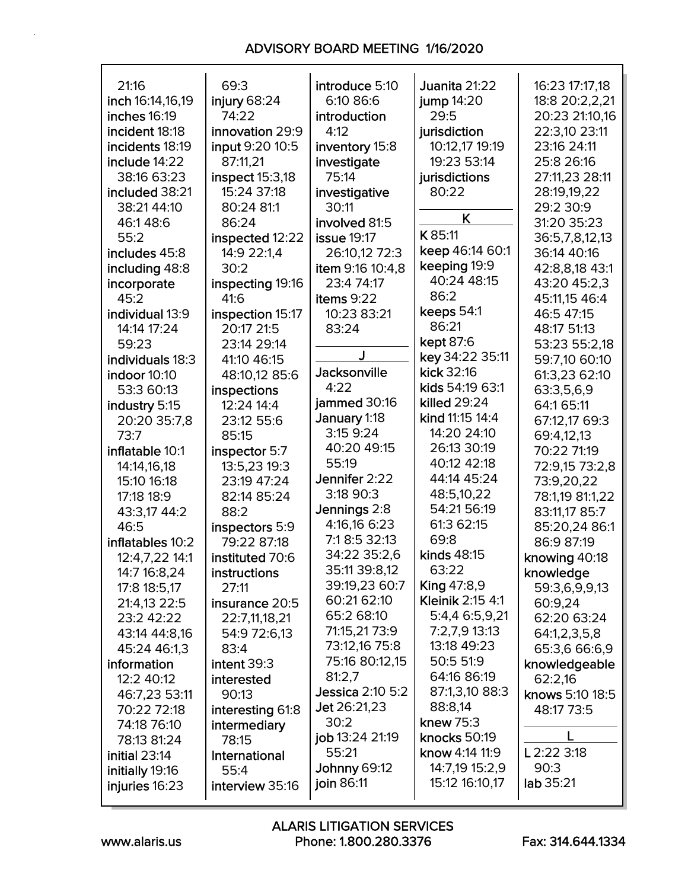| 21:16<br>inch 16:14,16,19<br>inches 16:19<br>incident 18:18<br>incidents 18:19<br>include 14:22<br>38:16 63:23<br>included 38:21<br>38:21 44:10<br>46:148:6 | 69:3<br>injury 68:24<br>74:22<br>innovation 29:9<br>input 9:20 10:5<br>87:11,21<br>inspect 15:3,18<br>15:24 37:18<br>80:24 81:1<br>86:24 | introduce 5:10<br>6:10 86:6<br>introduction<br>4:12<br>inventory 15:8<br>investigate<br>75:14<br>investigative<br>30:11<br>involved 81:5 | Juanita 21:22<br>jump $14:20$<br>29:5<br>jurisdiction<br>10:12,17 19:19<br>19:23 53:14<br>jurisdictions<br>80:22<br>K | 16:23 17:17,18<br>18:8 20:2,2,21<br>20:23 21:10,16<br>22:3,10 23:11<br>23:16 24:11<br>25:8 26:16<br>27:11,23 28:11<br>28:19,19,22<br>29:2 30:9<br>31:20 35:23 |
|-------------------------------------------------------------------------------------------------------------------------------------------------------------|------------------------------------------------------------------------------------------------------------------------------------------|------------------------------------------------------------------------------------------------------------------------------------------|-----------------------------------------------------------------------------------------------------------------------|---------------------------------------------------------------------------------------------------------------------------------------------------------------|
| 55:2<br>includes 45:8                                                                                                                                       | inspected 12:22<br>14:9 22:1,4                                                                                                           | <b>issue 19:17</b><br>26:10,12 72:3                                                                                                      | K 85:11<br>keep 46:14 60:1                                                                                            | 36:5,7,8,12,13<br>36:14 40:16                                                                                                                                 |
| including 48:8                                                                                                                                              | 30:2                                                                                                                                     | item 9:16 10:4,8                                                                                                                         | keeping 19:9                                                                                                          | 42:8,8,18 43:1                                                                                                                                                |
| incorporate                                                                                                                                                 | inspecting 19:16                                                                                                                         | 23:4 74:17                                                                                                                               | 40:24 48:15                                                                                                           | 43:20 45:2,3                                                                                                                                                  |
| 45:2                                                                                                                                                        | 41:6                                                                                                                                     | items 9:22                                                                                                                               | 86:2                                                                                                                  | 45:11,15 46:4                                                                                                                                                 |
| individual 13:9                                                                                                                                             | inspection 15:17                                                                                                                         | 10:23 83:21                                                                                                                              | keeps 54:1                                                                                                            | 46:5 47:15                                                                                                                                                    |
| 14:14 17:24                                                                                                                                                 | 20:17 21:5                                                                                                                               | 83:24                                                                                                                                    | 86:21                                                                                                                 | 48:17 51:13                                                                                                                                                   |
| 59:23                                                                                                                                                       | 23:14 29:14                                                                                                                              |                                                                                                                                          | kept 87:6                                                                                                             | 53:23 55:2.18                                                                                                                                                 |
| individuals 18:3                                                                                                                                            | 41:10 46:15                                                                                                                              |                                                                                                                                          | key 34:22 35:11                                                                                                       | 59:7,10 60:10                                                                                                                                                 |
| indoor 10:10                                                                                                                                                | 48:10,12 85:6                                                                                                                            | <b>Jacksonville</b>                                                                                                                      | kick 32:16                                                                                                            | 61:3,23 62:10                                                                                                                                                 |
| 53:3 60:13                                                                                                                                                  | inspections                                                                                                                              | 4:22                                                                                                                                     | kids 54:19 63:1                                                                                                       | 63:3,5,6,9                                                                                                                                                    |
| industry 5:15                                                                                                                                               | 12:24 14:4                                                                                                                               | jammed 30:16                                                                                                                             | killed 29:24<br>kind 11:15 14:4                                                                                       | 64:1 65:11                                                                                                                                                    |
| 20:20 35:7,8                                                                                                                                                | 23:12 55:6                                                                                                                               | January 1:18<br>3:15 9:24                                                                                                                | 14:20 24:10                                                                                                           | 67:12,17 69:3                                                                                                                                                 |
| 73:7                                                                                                                                                        | 85:15                                                                                                                                    | 40:20 49:15                                                                                                                              | 26:13 30:19                                                                                                           | 69:4,12,13                                                                                                                                                    |
| inflatable 10:1<br>14:14,16,18                                                                                                                              | inspector 5:7<br>13:5,23 19:3                                                                                                            | 55:19                                                                                                                                    | 40:12 42:18                                                                                                           | 70:22 71:19<br>72:9,15 73:2,8                                                                                                                                 |
| 15:10 16:18                                                                                                                                                 | 23:19 47:24                                                                                                                              | Jennifer 2:22                                                                                                                            | 44:14 45:24                                                                                                           | 73:9,20,22                                                                                                                                                    |
| 17:18 18:9                                                                                                                                                  | 82:14 85:24                                                                                                                              | 3:18 90:3                                                                                                                                | 48:5,10,22                                                                                                            | 78:1,19 81:1,22                                                                                                                                               |
| 43:3,17 44:2                                                                                                                                                | 88:2                                                                                                                                     | Jennings 2:8                                                                                                                             | 54:21 56:19                                                                                                           | 83:11,17 85:7                                                                                                                                                 |
| 46:5                                                                                                                                                        | inspectors 5:9                                                                                                                           | 4:16,16 6:23                                                                                                                             | 61:3 62:15                                                                                                            | 85:20,24 86:1                                                                                                                                                 |
| inflatables 10:2                                                                                                                                            | 79:22 87:18                                                                                                                              | 7:18:5 32:13                                                                                                                             | 69:8                                                                                                                  | 86:9 87:19                                                                                                                                                    |
| 12:4,7,22 14:1                                                                                                                                              | instituted 70:6                                                                                                                          | 34:22 35:2,6                                                                                                                             | kinds 48:15                                                                                                           | knowing 40:18                                                                                                                                                 |
| 14:7 16:8,24                                                                                                                                                | instructions                                                                                                                             | 35:11 39:8,12                                                                                                                            | 63:22                                                                                                                 | knowledge                                                                                                                                                     |
| 17:8 18:5,17                                                                                                                                                | 27:11                                                                                                                                    | 39:19,23 60:7                                                                                                                            | <b>King 47:8,9</b>                                                                                                    | 59:3,6,9,9,13                                                                                                                                                 |
| 21:4,13 22:5                                                                                                                                                | insurance 20:5                                                                                                                           | 60:21 62:10                                                                                                                              | Kleinik 2:15 4:1                                                                                                      | 60:9,24                                                                                                                                                       |
| 23:2 42:22                                                                                                                                                  | 22:7,11,18,21                                                                                                                            | 65:2 68:10                                                                                                                               | 5:4,4 6:5,9,21                                                                                                        | 62:20 63:24                                                                                                                                                   |
| 43:14 44:8,16                                                                                                                                               | 54:9 72:6,13                                                                                                                             | 71:15,21 73:9                                                                                                                            | 7:2,7,9 13:13                                                                                                         | 64:1,2,3,5,8                                                                                                                                                  |
| 45:24 46:1,3                                                                                                                                                | 83:4                                                                                                                                     | 73:12,16 75:8                                                                                                                            | 13:18 49:23                                                                                                           | 65:3,6 66:6,9                                                                                                                                                 |
| information                                                                                                                                                 | intent 39:3                                                                                                                              | 75:16 80:12,15<br>81:2,7                                                                                                                 | 50:5 51:9<br>64:16 86:19                                                                                              | knowledgeable                                                                                                                                                 |
| 12:2 40:12                                                                                                                                                  | interested                                                                                                                               | <b>Jessica 2:10 5:2</b>                                                                                                                  | 87:1,3,10 88:3                                                                                                        | 62:2.16                                                                                                                                                       |
| 46:7,23 53:11<br>70:22 72:18                                                                                                                                | 90:13<br>interesting 61:8                                                                                                                | Jet 26:21,23                                                                                                                             | 88:8,14                                                                                                               | knows 5:10 18:5<br>48:17 73:5                                                                                                                                 |
| 74:18 76:10                                                                                                                                                 | intermediary                                                                                                                             | 30:2                                                                                                                                     | knew 75:3                                                                                                             |                                                                                                                                                               |
| 78:13 81:24                                                                                                                                                 | 78:15                                                                                                                                    | job 13:24 21:19                                                                                                                          | knocks 50:19                                                                                                          |                                                                                                                                                               |
| initial 23:14                                                                                                                                               | International                                                                                                                            | 55:21                                                                                                                                    | know 4:14 11:9                                                                                                        | L 2:22 3:18                                                                                                                                                   |
| initially 19:16                                                                                                                                             | 55:4                                                                                                                                     | <b>Johnny 69:12</b>                                                                                                                      | 14:7,19 15:2,9                                                                                                        | 90:3                                                                                                                                                          |
| injuries 16:23                                                                                                                                              | interview 35:16                                                                                                                          | join 86:11                                                                                                                               | 15:12 16:10,17                                                                                                        | lab 35:21                                                                                                                                                     |
|                                                                                                                                                             |                                                                                                                                          |                                                                                                                                          |                                                                                                                       |                                                                                                                                                               |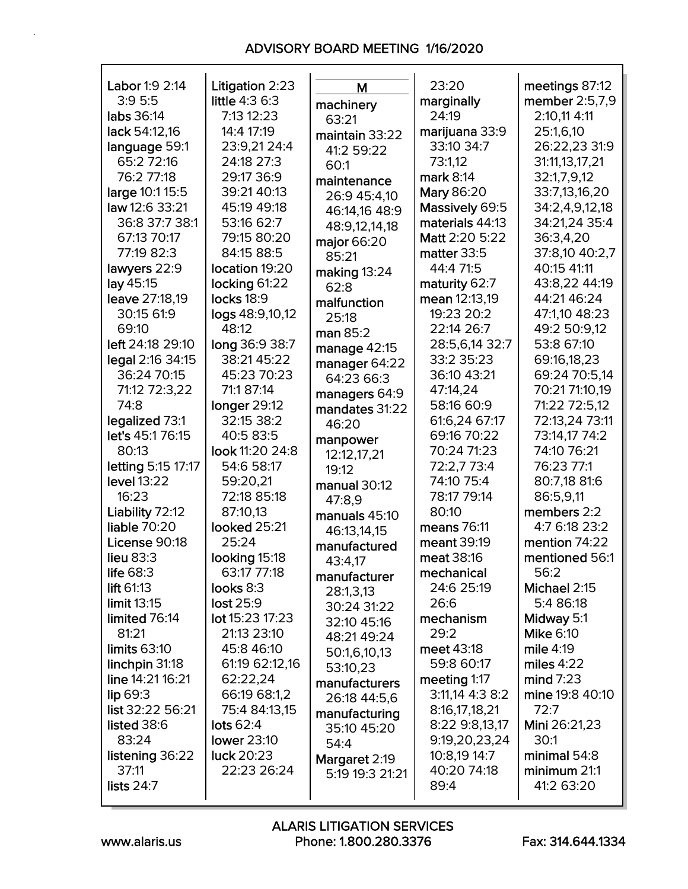| Labor 1:9 2:14     | Litigation 2:23    | M               | 23:20           | meetings 87:12   |
|--------------------|--------------------|-----------------|-----------------|------------------|
| 3:95:5             | little 4:3 6:3     | machinery       | marginally      | member 2:5,7,9   |
| labs 36:14         | 7:13 12:23         | 63:21           | 24:19           | 2:10,11 4:11     |
| lack 54:12,16      | 14:4 17:19         | maintain 33:22  | marijuana 33:9  | 25:1,6,10        |
| language 59:1      | 23:9,21 24:4       | 41:2 59:22      | 33:10 34:7      | 26:22,23 31:9    |
| 65:2 72:16         | 24:18 27:3         | 60:1            | 73:1,12         | 31:11,13,17,21   |
| 76:2 77:18         | 29:17 36:9         | maintenance     | mark 8:14       | 32:1,7,9,12      |
| large 10:1 15:5    | 39:21 40:13        | 26:9 45:4,10    | Mary 86:20      | 33:7,13,16,20    |
| law 12:6 33:21     | 45:19 49:18        | 46:14,16 48:9   | Massively 69:5  | 34:2,4,9,12,18   |
| 36:8 37:7 38:1     | 53:16 62:7         | 48:9,12,14,18   | materials 44:13 | 34:21,24 35:4    |
| 67:13 70:17        | 79:15 80:20        | major 66:20     | Matt 2:20 5:22  | 36:3,4,20        |
| 77:19 82:3         | 84:15 88:5         | 85:21           | matter 33:5     | 37:8,10 40:2,7   |
| lawyers 22:9       | location 19:20     | making 13:24    | 44:4 71:5       | 40:15 41:11      |
| lay 45:15          | locking 61:22      | 62:8            | maturity 62:7   | 43:8,22 44:19    |
| leave 27:18,19     | locks 18:9         | malfunction     | mean 12:13,19   | 44:21 46:24      |
| 30:15 61:9         | logs 48:9,10,12    | 25:18           | 19:23 20:2      | 47:1,10 48:23    |
| 69:10              | 48:12              | man 85:2        | 22:14 26:7      | 49:2 50:9,12     |
| left 24:18 29:10   | long 36:9 38:7     | manage 42:15    | 28:5,6,14 32:7  | 53:8 67:10       |
| legal 2:16 34:15   | 38:21 45:22        | manager 64:22   | 33:2 35:23      | 69:16,18,23      |
| 36:24 70:15        | 45:23 70:23        | 64:23 66:3      | 36:10 43:21     | 69:24 70:5,14    |
| 71:12 72:3,22      | 71:1 87:14         | managers 64:9   | 47:14,24        | 70:21 71:10,19   |
| 74:8               | longer 29:12       | mandates 31:22  | 58:16 60:9      | 71:22 72:5,12    |
| legalized 73:1     | 32:15 38:2         | 46:20           | 61:6,24 67:17   | 72:13,24 73:11   |
| let's 45:1 76:15   | 40:5 83:5          | manpower        | 69:16 70:22     | 73:14,17 74:2    |
| 80:13              | look 11:20 24:8    | 12:12,17,21     | 70:24 71:23     | 74:10 76:21      |
| letting 5:15 17:17 | 54:6 58:17         | 19:12           | 72:2,7 73:4     | 76:23 77:1       |
| level 13:22        | 59:20,21           | manual 30:12    | 74:10 75:4      | 80:7,18 81:6     |
| 16:23              | 72:18 85:18        | 47:8,9          | 78:17 79:14     | 86:5,9,11        |
| Liability 72:12    | 87:10,13           | manuals 45:10   | 80:10           | members 2:2      |
| liable 70:20       | looked 25:21       | 46:13,14,15     | means 76:11     | 4:7 6:18 23:2    |
| License 90:18      | 25:24              | manufactured    | meant 39:19     | mention 74:22    |
| <b>lieu 83:3</b>   | looking 15:18      | 43:4,17         | meat 38:16      | mentioned 56:1   |
| life 68:3          | 63:17 77:18        | manufacturer    | mechanical      | 56:2             |
| lift $61:13$       | looks 8:3          | 28:1,3,13       | 24:6 25:19      | Michael 2:15     |
| limit 13:15        | lost 25:9          | 30:24 31:22     | 26:6            | 5:4 86:18        |
| limited 76:14      | lot 15:23 17:23    | 32:10 45:16     | mechanism       | Midway 5:1       |
| 81:21              | 21:13 23:10        | 48:21 49:24     | 29:2            | <b>Mike 6:10</b> |
| limits $63:10$     | 45:8 46:10         | 50:1,6,10,13    | meet 43:18      | mile $4:19$      |
| linchpin 31:18     | 61:19 62:12,16     | 53:10,23        | 59:8 60:17      | miles $4:22$     |
| line 14:21 16:21   | 62:22,24           | manufacturers   | meeting 1:17    | mind $7:23$      |
| lip 69:3           | 66:19 68:1,2       | 26:18 44:5,6    | 3:11,14 4:3 8:2 | mine 19:8 40:10  |
| list 32:22 56:21   | 75:4 84:13,15      | manufacturing   | 8:16,17,18,21   | 72:7             |
| listed 38:6        | lots $62:4$        | 35:10 45:20     | 8:22 9:8,13,17  | Mini 26:21,23    |
| 83:24              | <b>lower 23:10</b> | 54:4            | 9:19,20,23,24   | 30:1             |
| listening 36:22    | luck 20:23         | Margaret 2:19   | 10:8,19 14:7    | minimal 54:8     |
| 37:11              | 22:23 26:24        | 5:19 19:3 21:21 | 40:20 74:18     | minimum 21:1     |
| lists $24:7$       |                    |                 | 89:4            | 41:2 63:20       |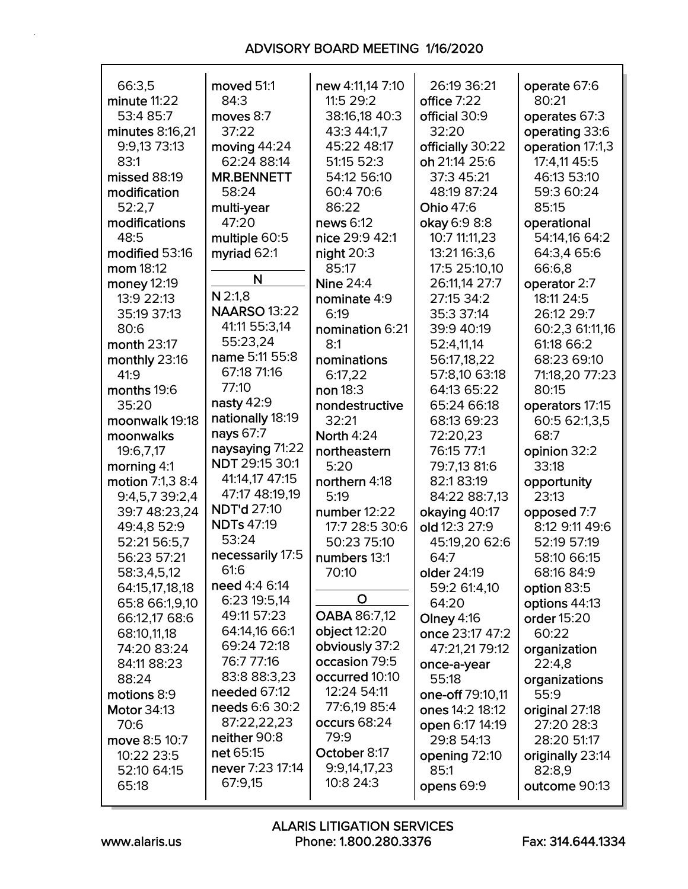| 66:3,5             | moved 51:1          | new 4:11,14 7:10  | 26:19 36:21       | operate 67:6     |
|--------------------|---------------------|-------------------|-------------------|------------------|
| minute 11:22       | 84:3                | 11:5 29:2         | office 7:22       | 80:21            |
| 53:4 85:7          | moves 8:7           | 38:16,18 40:3     | official 30:9     | operates 67:3    |
| minutes 8:16,21    | 37:22               | 43:3 44:1,7       | 32:20             | operating 33:6   |
| 9:9,13 73:13       | moving 44:24        | 45:22 48:17       | officially 30:22  | operation 17:1,3 |
| 83:1               | 62:24 88:14         | 51:15 52:3        | oh 21:14 25:6     | 17:4,11 45:5     |
| missed 88:19       | <b>MR.BENNETT</b>   | 54:12 56:10       | 37:3 45:21        | 46:13 53:10      |
| modification       | 58:24               | 60:4 70:6         | 48:19 87:24       | 59:3 60:24       |
| 52:2,7             | multi-year          | 86:22             | Ohio 47:6         | 85:15            |
| modifications      | 47:20               | news 6:12         | okay 6:9 8:8      | operational      |
| 48:5               | multiple 60:5       | nice 29:9 42:1    | 10:7 11:11,23     | 54:14,16 64:2    |
| modified 53:16     | myriad 62:1         | night $20:3$      | 13:21 16:3,6      | 64:3,4 65:6      |
| mom 18:12          |                     | 85:17             | 17:5 25:10,10     | 66:6,8           |
| money 12:19        | N                   | <b>Nine 24:4</b>  | 26:11,14 27:7     | operator 2:7     |
| 13:9 22:13         | $N$ 2:1,8           | nominate 4:9      | 27:15 34:2        | 18:11 24:5       |
| 35:19 37:13        | <b>NAARSO 13:22</b> | 6:19              | 35:3 37:14        | 26:12 29:7       |
| 80:6               | 41:11 55:3,14       | nomination 6:21   | 39:9 40:19        | 60:2,3 61:11,16  |
| month 23:17        | 55:23,24            | 8:1               | 52:4,11,14        | 61:18 66:2       |
| monthly 23:16      | name 5:11 55:8      | nominations       | 56:17,18,22       | 68:23 69:10      |
| 41:9               | 67:18 71:16         | 6:17,22           | 57:8,10 63:18     | 71:18,20 77:23   |
| months 19:6        | 77:10               | non 18:3          | 64:13 65:22       | 80:15            |
| 35:20              | nasty 42:9          | nondestructive    | 65:24 66:18       | operators 17:15  |
| moonwalk 19:18     | nationally 18:19    | 32:21             | 68:13 69:23       | 60:5 62:1,3,5    |
| moonwalks          | nays 67:7           | <b>North 4:24</b> | 72:20,23          | 68:7             |
| 19:6,7,17          | naysaying 71:22     | northeastern      | 76:15 77:1        | opinion 32:2     |
| morning 4:1        | NDT 29:15 30:1      | 5:20              | 79:7,13 81:6      | 33:18            |
| motion 7:1,3 8:4   | 41:14,17 47:15      | northern 4:18     | 82:183:19         | opportunity      |
| 9:4,5,7 39:2,4     | 47:17 48:19,19      | 5:19              | 84:22 88:7,13     | 23:13            |
| 39:7 48:23,24      | <b>NDT'd 27:10</b>  | number 12:22      | okaying 40:17     | opposed 7:7      |
| 49:4,8 52:9        | <b>NDTs 47:19</b>   | 17:7 28:5 30:6    | old 12:3 27:9     | 8:12 9:11 49:6   |
| 52:21 56:5,7       | 53:24               | 50:23 75:10       | 45:19,20 62:6     | 52:19 57:19      |
| 56:23 57:21        | necessarily 17:5    | numbers 13:1      | 64:7              | 58:10 66:15      |
| 58:3,4,5,12        | 61:6                | 70:10             | older 24:19       | 68:16 84:9       |
| 64:15,17,18,18     | need 4:4 6:14       |                   | 59:2 61:4,10      | option 83:5      |
| 65:8 66:1,9,10     | 6:23 19:5,14        | O                 | 64:20             | options 44:13    |
| 66:12,17 68:6      | 49:11 57:23         | OABA 86:7,12      | <b>Olney 4:16</b> | order 15:20      |
| 68:10,11,18        | 64:14,16 66:1       | object 12:20      | once 23:17 47:2   | 60:22            |
| 74:20 83:24        | 69:24 72:18         | obviously 37:2    | 47:21,21 79:12    | organization     |
| 84:11 88:23        | 76:7 77:16          | occasion 79:5     | once-a-year       | 22:4,8           |
| 88:24              | 83:8 88:3,23        | occurred 10:10    | 55:18             | organizations    |
| motions 8:9        | needed 67:12        | 12:24 54:11       | one-off 79:10,11  | 55:9             |
| <b>Motor 34:13</b> | needs 6:6 30:2      | 77:6,19 85:4      | ones 14:2 18:12   | original 27:18   |
| 70:6               | 87:22,22,23         | occurs 68:24      | open 6:17 14:19   | 27:20 28:3       |
| move 8:5 10:7      | neither 90:8        | 79:9              | 29:8 54:13        | 28:20 51:17      |
| 10:22 23:5         | net 65:15           | October 8:17      | opening 72:10     | originally 23:14 |
| 52:10 64:15        | never 7:23 17:14    | 9:9,14,17,23      | 85:1              | 82:8,9           |
| 65:18              | 67:9,15             | 10:8 24:3         | opens 69:9        | outcome 90:13    |
|                    |                     |                   |                   |                  |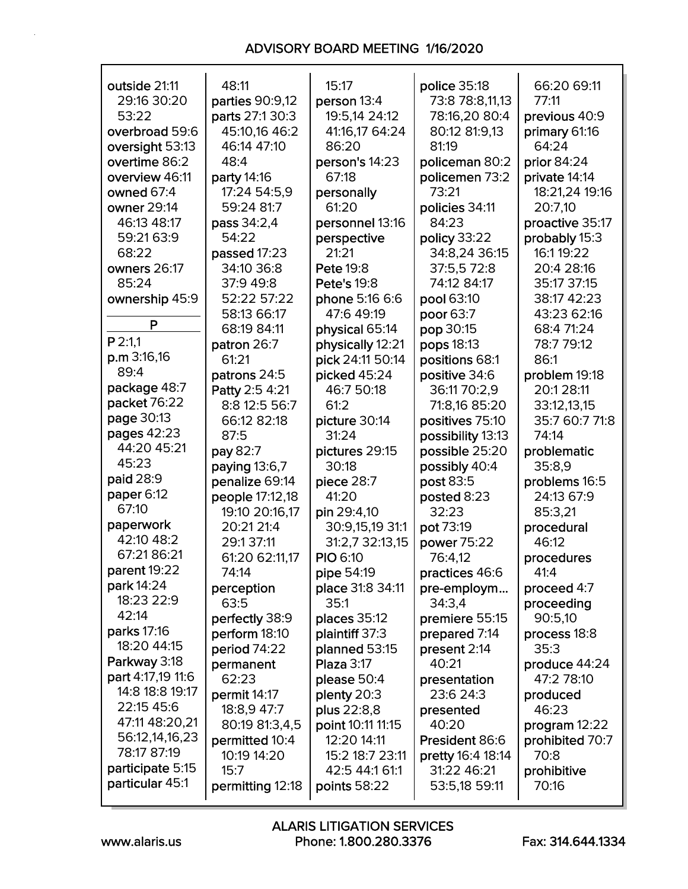| outside 21:11     | 48:11            | 15:17              | police 35:18      | 66:20 69:11     |
|-------------------|------------------|--------------------|-------------------|-----------------|
| 29:16 30:20       | parties 90:9,12  | person 13:4        | 73:8 78:8,11,13   | 77:11           |
| 53:22             | parts 27:1 30:3  | 19:5,14 24:12      | 78:16,20 80:4     | previous 40:9   |
| overbroad 59:6    | 45:10,16 46:2    | 41:16,17 64:24     | 80:12 81:9,13     | primary 61:16   |
| oversight 53:13   | 46:14 47:10      | 86:20              | 81:19             | 64:24           |
| overtime 86:2     | 48:4             | person's 14:23     | policeman 80:2    | prior 84:24     |
| overview 46:11    | party 14:16      | 67:18              | policemen 73:2    | private 14:14   |
| owned 67:4        | 17:24 54:5,9     | personally         | 73:21             | 18:21,24 19:16  |
| owner 29:14       | 59:24 81:7       | 61:20              | policies 34:11    | 20:7,10         |
| 46:13 48:17       | pass 34:2,4      | personnel 13:16    | 84:23             | proactive 35:17 |
| 59:21 63:9        | 54:22            | perspective        | policy 33:22      | probably 15:3   |
| 68:22             | passed 17:23     | 21:21              | 34:8,24 36:15     | 16:1 19:22      |
| owners 26:17      | 34:10 36:8       | <b>Pete 19:8</b>   | 37:5,5 72:8       | 20:4 28:16      |
| 85:24             | 37:9 49:8        | <b>Pete's 19:8</b> | 74:12 84:17       | 35:17 37:15     |
| ownership 45:9    | 52:22 57:22      | phone 5:16 6:6     | pool 63:10        | 38:17 42:23     |
|                   | 58:13 66:17      | 47:6 49:19         | poor 63:7         | 43:23 62:16     |
| P                 | 68:19 84:11      | physical 65:14     | pop 30:15         | 68:4 71:24      |
| $P$ 2:1.1         | patron 26:7      | physically 12:21   | pops 18:13        | 78:7 79:12      |
| p.m 3:16,16       | 61:21            | pick 24:11 50:14   | positions 68:1    | 86:1            |
| 89:4              | patrons 24:5     | picked 45:24       | positive 34:6     | problem 19:18   |
| package 48:7      | Patty 2:5 4:21   | 46:7 50:18         | 36:11 70:2,9      | 20:128:11       |
| packet 76:22      | 8:8 12:5 56:7    | 61:2               | 71:8,16 85:20     | 33:12,13,15     |
| page 30:13        | 66:12 82:18      | picture 30:14      | positives 75:10   | 35:7 60:7 71:8  |
| pages 42:23       | 87:5             | 31:24              | possibility 13:13 | 74:14           |
| 44:20 45:21       | pay 82:7         | pictures 29:15     | possible 25:20    | problematic     |
| 45:23             | paying 13:6,7    | 30:18              | possibly 40:4     | 35:8,9          |
| paid 28:9         | penalize 69:14   | piece 28:7         | post 83:5         | problems 16:5   |
| paper 6:12        | people 17:12,18  | 41:20              | posted 8:23       | 24:13 67:9      |
| 67:10             | 19:10 20:16,17   | pin 29:4,10        | 32:23             | 85:3,21         |
| paperwork         | 20:21 21:4       | 30:9,15,19 31:1    | pot 73:19         | procedural      |
| 42:10 48:2        | 29:137:11        | 31:2,7 32:13,15    | power 75:22       | 46:12           |
| 67:21 86:21       | 61:20 62:11,17   | <b>PIO 6:10</b>    | 76:4,12           | procedures      |
| parent 19:22      | 74:14            | pipe 54:19         | practices 46:6    | 41:4            |
| park 14:24        | perception       | place 31:8 34:11   | pre-employm       | proceed 4:7     |
| 18:23 22:9        | 63:5             | 35:1               | 34:3,4            | proceeding      |
| 42:14             | perfectly 38:9   | places 35:12       | premiere 55:15    | 90:5,10         |
| parks 17:16       | perform 18:10    | plaintiff 37:3     | prepared 7:14     | process 18:8    |
| 18:20 44:15       | period 74:22     | planned 53:15      | present 2:14      | 35:3            |
| Parkway 3:18      | permanent        | Plaza 3:17         | 40:21             | produce 44:24   |
| part 4:17,19 11:6 | 62:23            | please 50:4        | presentation      | 47:2 78:10      |
| 14:8 18:8 19:17   | permit 14:17     | plenty 20:3        | 23:6 24:3         | produced        |
| 22:15 45:6        | 18:8,9 47:7      | plus 22:8,8        | presented         | 46:23           |
| 47:11 48:20,21    | 80:19 81:3,4,5   | point 10:11 11:15  | 40:20             | program 12:22   |
| 56:12,14,16,23    | permitted 10:4   | 12:20 14:11        | President 86:6    | prohibited 70:7 |
| 78:17 87:19       | 10:19 14:20      | 15:2 18:7 23:11    | pretty 16:4 18:14 | 70:8            |
| participate 5:15  | 15:7             | 42:5 44:1 61:1     | 31:22 46:21       | prohibitive     |
| particular 45:1   | permitting 12:18 | points 58:22       | 53:5,18 59:11     | 70:16           |
|                   |                  |                    |                   |                 |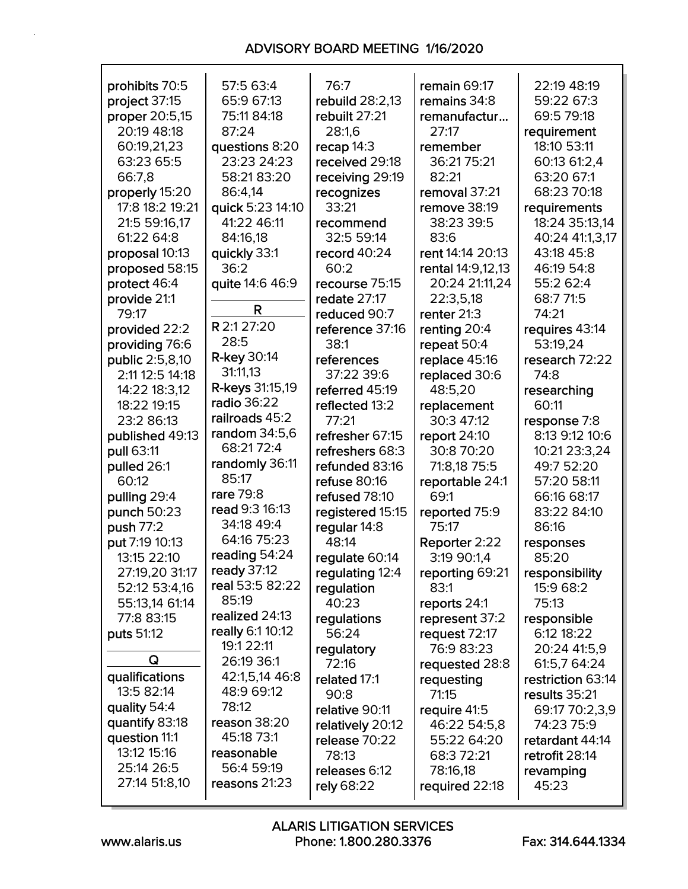| prohibits 70:5  | 57:5 63:4          | 76:7             | remain 69:17      | 22:19 48:19       |
|-----------------|--------------------|------------------|-------------------|-------------------|
| project 37:15   | 65:9 67:13         | rebuild 28:2,13  | remains 34:8      | 59:22 67:3        |
| proper 20:5,15  | 75:11 84:18        | rebuilt 27:21    | remanufactur      | 69:5 79:18        |
| 20:19 48:18     | 87:24              | 28:1,6           | 27:17             | requirement       |
| 60:19,21,23     | questions 8:20     | recap 14:3       | remember          | 18:10 53:11       |
| 63:23 65:5      | 23:23 24:23        | received 29:18   | 36:21 75:21       | 60:13 61:2,4      |
| 66:7,8          | 58:21 83:20        | receiving 29:19  | 82:21             | 63:20 67:1        |
| properly 15:20  | 86:4,14            | recognizes       | removal 37:21     | 68:23 70:18       |
| 17:8 18:2 19:21 | quick 5:23 14:10   | 33:21            | remove 38:19      | requirements      |
| 21:5 59:16,17   | 41:22 46:11        | recommend        | 38:23 39:5        | 18:24 35:13,14    |
| 61:22 64:8      | 84:16,18           | 32:5 59:14       | 83:6              | 40:24 41:1,3,17   |
| proposal 10:13  | quickly 33:1       | record 40:24     | rent 14:14 20:13  | 43:18 45:8        |
|                 | 36:2               | 60:2             |                   |                   |
| proposed 58:15  |                    |                  | rental 14:9,12,13 | 46:19 54:8        |
| protect 46:4    | quite 14:6 46:9    | recourse 75:15   | 20:24 21:11,24    | 55:2 62:4         |
| provide 21:1    | R                  | redate 27:17     | 22:3,5,18         | 68:7 71:5         |
| 79:17           |                    | reduced 90:7     | renter 21:3       | 74:21             |
| provided 22:2   | R 2:1 27:20        | reference 37:16  | renting 20:4      | requires 43:14    |
| providing 76:6  | 28:5               | 38:1             | repeat 50:4       | 53:19,24          |
| public 2:5,8,10 | <b>R-key 30:14</b> | references       | replace 45:16     | research 72:22    |
| 2:11 12:5 14:18 | 31:11,13           | 37:22 39:6       | replaced 30:6     | 74:8              |
| 14:22 18:3,12   | R-keys 31:15,19    | referred 45:19   | 48:5,20           | researching       |
| 18:22 19:15     | radio 36:22        | reflected 13:2   | replacement       | 60:11             |
| 23:2 86:13      | railroads 45:2     | 77:21            | 30:3 47:12        | response 7:8      |
| published 49:13 | random 34:5,6      | refresher 67:15  | report 24:10      | 8:13 9:12 10:6    |
| pull 63:11      | 68:21 72:4         | refreshers 68:3  | 30:8 70:20        | 10:21 23:3,24     |
| pulled 26:1     | randomly 36:11     | refunded 83:16   | 71:8,18 75:5      | 49:7 52:20        |
| 60:12           | 85:17              | refuse 80:16     | reportable 24:1   | 57:20 58:11       |
| pulling 29:4    | rare 79:8          | refused 78:10    | 69:1              | 66:16 68:17       |
| punch 50:23     | read 9:3 16:13     | registered 15:15 | reported 75:9     | 83:22 84:10       |
| push 77:2       | 34:18 49:4         | regular 14:8     | 75:17             | 86:16             |
| put 7:19 10:13  | 64:16 75:23        | 48:14            | Reporter 2:22     | responses         |
| 13:15 22:10     | reading 54:24      | regulate 60:14   | 3:19 90:1,4       | 85:20             |
| 27:19,20 31:17  | ready 37:12        |                  |                   |                   |
|                 | real 53:5 82:22    | regulating 12:4  | reporting 69:21   | responsibility    |
| 52:12 53:4,16   | 85:19              | regulation       | 83:1              | 15:9 68:2         |
| 55:13,14 61:14  | realized 24:13     | 40:23            | reports 24:1      | 75:13             |
| 77:8 83:15      |                    | regulations      | represent 37:2    | responsible       |
| puts 51:12      | really 6:1 10:12   | 56:24            | request 72:17     | 6:12 18:22        |
| Q               | 19:1 22:11         | regulatory       | 76:9 83:23        | 20:24 41:5,9      |
|                 | 26:19 36:1         | 72:16            | requested 28:8    | 61:5,7 64:24      |
| qualifications  | 42:1,5,14 46:8     | related 17:1     | requesting        | restriction 63:14 |
| 13:5 82:14      | 48:9 69:12         | 90:8             | 71:15             | results 35:21     |
| quality 54:4    | 78:12              | relative 90:11   | require 41:5      | 69:17 70:2,3,9    |
| quantify 83:18  | reason 38:20       | relatively 20:12 | 46:22 54:5,8      | 74:23 75:9        |
| question 11:1   | 45:18 73:1         | release 70:22    | 55:22 64:20       | retardant 44:14   |
| 13:12 15:16     | reasonable         | 78:13            | 68:3 72:21        | retrofit 28:14    |
| 25:14 26:5      | 56:4 59:19         | releases 6:12    | 78:16,18          | revamping         |
| 27:14 51:8,10   | reasons 21:23      | rely 68:22       | required 22:18    | 45:23             |
|                 |                    |                  |                   |                   |

Г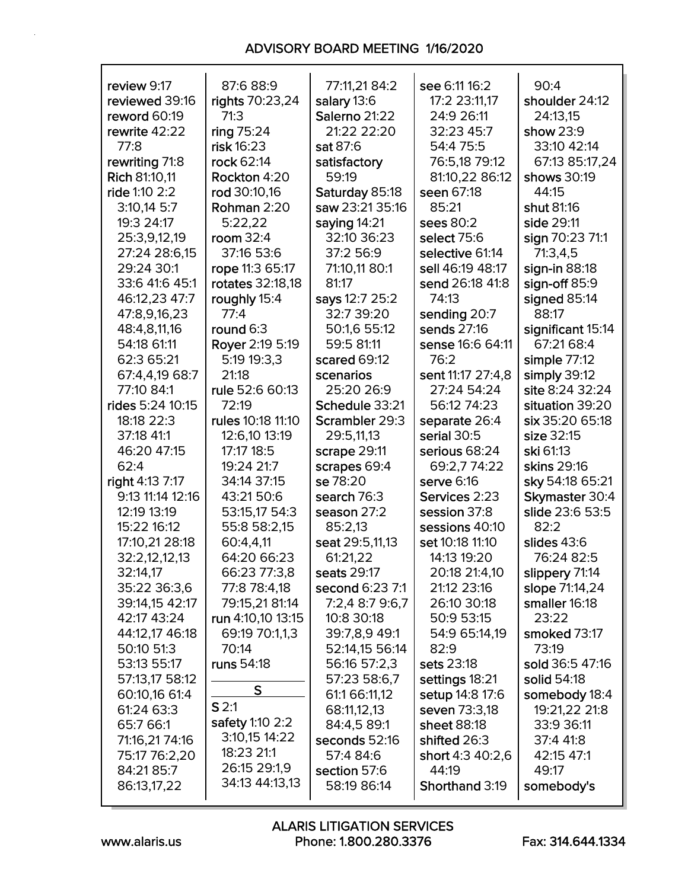| review 9:17      | 87:6 88:9               | 77:11,21 84:2   | see 6:11 16:2         | 90:4              |
|------------------|-------------------------|-----------------|-----------------------|-------------------|
| reviewed 39:16   | rights 70:23,24         | salary 13:6     | 17:2 23:11,17         | shoulder 24:12    |
| reword 60:19     | 71:3                    | Salerno 21:22   | 24:9 26:11            | 24:13,15          |
| rewrite 42:22    | ring 75:24              | 21:22 22:20     | 32:23 45:7            | show 23:9         |
| 77:8             | risk 16:23              | sat 87:6        | 54:4 75:5             | 33:10 42:14       |
| rewriting 71:8   | rock 62:14              | satisfactory    | 76:5,18 79:12         | 67:13 85:17,24    |
| Rich 81:10,11    | Rockton 4:20            | 59:19           | 81:10,22 86:12        | shows 30:19       |
| ride 1:10 2:2    | rod 30:10,16            | Saturday 85:18  | seen 67:18            | 44:15             |
| $3:10,14$ 5:7    | Rohman 2:20             | saw 23:21 35:16 | 85:21                 | shut 81:16        |
| 19:3 24:17       | 5:22,22                 | saying 14:21    | sees 80:2             | side 29:11        |
| 25:3,9,12,19     | room $32:4$             | 32:10 36:23     | select 75:6           | sign 70:23 71:1   |
| 27:24 28:6,15    | 37:16 53:6              | 37:2 56:9       | selective 61:14       | 71:3,4,5          |
| 29:24 30:1       | rope 11:3 65:17         | 71:10,11 80:1   | sell 46:19 48:17      | sign-in 88:18     |
| 33:6 41:6 45:1   | <b>rotates</b> 32:18,18 | 81:17           | send 26:18 41:8       | sign-off $85:9$   |
| 46:12,23 47:7    | roughly 15:4            | says 12:7 25:2  | 74:13                 | signed 85:14      |
| 47:8,9,16,23     | 77:4                    | 32:7 39:20      | sending 20:7          | 88:17             |
|                  |                         |                 | sends 27:16           |                   |
| 48:4,8,11,16     | round 6:3               | 50:1,6 55:12    |                       | significant 15:14 |
| 54:18 61:11      | Royer 2:19 5:19         | 59:5 81:11      | sense 16:6 64:11      | 67:21 68:4        |
| 62:3 65:21       | 5:19 19:3,3             | scared 69:12    | 76:2                  | simple 77:12      |
| 67:4,4,19 68:7   | 21:18                   | scenarios       | sent 11:17 27:4,8     | simply 39:12      |
| 77:10 84:1       | rule 52:6 60:13         | 25:20 26:9      | 27:24 54:24           | site 8:24 32:24   |
| rides 5:24 10:15 | 72:19                   | Schedule 33:21  | 56:12 74:23           | situation 39:20   |
| 18:18 22:3       | rules 10:18 11:10       | Scrambler 29:3  | separate 26:4         | six 35:20 65:18   |
| 37:18 41:1       | 12:6,10 13:19           | 29:5,11,13      | serial 30:5           | size 32:15        |
| 46:20 47:15      | 17:17 18:5              | scrape 29:11    | serious 68:24         | ski 61:13         |
| 62:4             | 19:24 21:7              | scrapes 69:4    | 69:2,7 74:22          | skins 29:16       |
| right 4:13 7:17  | 34:14 37:15             | se 78:20        | serve 6:16            | sky 54:18 65:21   |
| 9:13 11:14 12:16 | 43:21 50:6              | search 76:3     | Services 2:23         | Skymaster 30:4    |
| 12:19 13:19      | 53:15,17 54:3           | season 27:2     | session 37:8          | slide 23:6 53:5   |
| 15:22 16:12      | 55:8 58:2,15            | 85:2,13         | sessions 40:10        | 82:2              |
| 17:10,21 28:18   | 60:4,4,11               | seat 29:5,11,13 | set 10:18 11:10       | slides 43:6       |
| 32:2,12,12,13    | 64:20 66:23             | 61:21,22        | 14:13 19:20           | 76:24 82:5        |
|                  |                         |                 |                       |                   |
| 32:14,17         | 66:23 77:3,8            | seats 29:17     | 20:18 21:4,10         | slippery 71:14    |
| 35:22 36:3,6     | 77:8 78:4,18            | second 6:23 7:1 | 21:12 23:16           | slope 71:14,24    |
| 39:14,15 42:17   | 79:15,21 81:14          | 7:2,4 8:7 9:6,7 | 26:10 30:18           | smaller 16:18     |
| 42:17 43:24      | run 4:10,10 13:15       | 10:8 30:18      | 50:9 53:15            | 23:22             |
| 44:12,17 46:18   | 69:19 70:1,1,3          | 39:7,8,9 49:1   | 54:9 65:14,19         | smoked 73:17      |
| 50:10 51:3       | 70:14                   | 52:14,15 56:14  | 82:9                  | 73:19             |
| 53:13 55:17      | runs 54:18              | 56:16 57:2,3    | sets 23:18            | sold 36:5 47:16   |
| 57:13,17 58:12   |                         | 57:23 58:6,7    | settings 18:21        | solid 54:18       |
| 60:10,16 61:4    | S                       | 61:1 66:11,12   | setup 14:8 17:6       | somebody 18:4     |
| 61:24 63:3       | S <sub>2:1</sub>        | 68:11,12,13     | seven 73:3,18         | 19:21,22 21:8     |
| 65:7 66:1        | safety 1:10 2:2         | 84:4,5 89:1     | sheet 88:18           | 33:9 36:11        |
| 71:16,21 74:16   | 3:10,15 14:22           | seconds 52:16   | shifted 26:3          | 37:4 41:8         |
| 75:17 76:2,20    | 18:23 21:1              | 57:4 84:6       | short 4:3 40:2,6      | 42:15 47:1        |
| 84:21 85:7       | 26:15 29:1,9            | section 57:6    | 44:19                 | 49:17             |
| 86:13,17,22      | 34:13 44:13,13          | 58:19 86:14     | <b>Shorthand 3:19</b> | somebody's        |
|                  |                         |                 |                       |                   |

r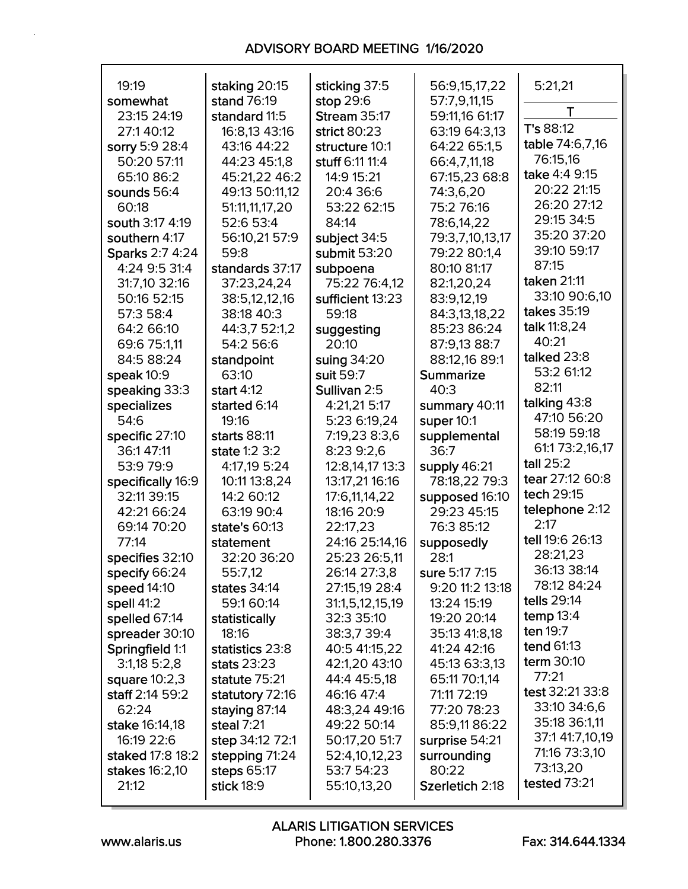| 19:19                       | staking 20:15   | sticking 37:5       | 56:9,15,17,22        | 5:21,21           |
|-----------------------------|-----------------|---------------------|----------------------|-------------------|
| somewhat                    | stand 76:19     | stop 29:6           | 57:7,9,11,15         |                   |
| 23:15 24:19                 | standard 11:5   | <b>Stream 35:17</b> | 59:11,16 61:17       | T                 |
| 27:140:12                   | 16:8,13 43:16   | strict 80:23        | 63:19 64:3,13        | T's 88:12         |
| sorry 5:9 28:4              | 43:16 44:22     | structure 10:1      | 64:22 65:1,5         | table 74:6,7,16   |
| 50:20 57:11                 | 44:23 45:1,8    | stuff 6:11 11:4     | 66:4,7,11,18         | 76:15,16          |
| 65:10 86:2                  | 45:21,22 46:2   | 14:9 15:21          | 67:15,23 68:8        | take 4:4 9:15     |
| sounds 56:4                 | 49:13 50:11,12  | 20:4 36:6           | 74:3,6,20            | 20:22 21:15       |
| 60:18                       | 51:11,11,17,20  | 53:22 62:15         | 75:2 76:16           | 26:20 27:12       |
| south 3:17 4:19             | 52:6 53:4       | 84:14               | 78:6,14,22           | 29:15 34:5        |
| southern 4:17               | 56:10,21 57:9   | subject 34:5        | 79:3,7,10,13,17      | 35:20 37:20       |
| Sparks 2:7 4:24             | 59:8            | submit 53:20        | 79:22 80:1,4         | 39:10 59:17       |
| 4:24 9:5 31:4               | standards 37:17 | subpoena            | 80:10 81:17          | 87:15             |
| 31:7,10 32:16               | 37:23,24,24     | 75:22 76:4,12       | 82:1,20,24           | taken 21:11       |
| 50:16 52:15                 | 38:5,12,12,16   | sufficient 13:23    | 83:9,12,19           | 33:10 90:6,10     |
| 57:3 58:4                   | 38:18 40:3      | 59:18               | 84:3,13,18,22        | takes 35:19       |
| 64:2 66:10                  | 44:3,7 52:1,2   | suggesting          | 85:23 86:24          | talk 11:8,24      |
| 69:6 75:1,11                | 54:2 56:6       | 20:10               | 87:9,13 88:7         | 40:21             |
| 84:5 88:24                  | standpoint      | suing 34:20         | 88:12,16 89:1        | talked 23:8       |
| speak $10:9$                | 63:10           | suit 59:7           | <b>Summarize</b>     | 53:2 61:12        |
| speaking 33:3               | start $4:12$    | Sullivan 2:5        | 40:3                 | 82:11             |
| specializes                 | started 6:14    | 4:21,21 5:17        | summary 40:11        | talking 43:8      |
| 54:6                        | 19:16           | 5:23 6:19,24        | super 10:1           | 47:10 56:20       |
|                             |                 |                     |                      | 58:19 59:18       |
| specific 27:10<br>36:147:11 | starts 88:11    | 7:19,23 8:3,6       | supplemental<br>36:7 | 61:1 73:2,16,17   |
|                             | state 1:2 3:2   | 8:23 9:2,6          |                      | tall 25:2         |
| 53:9 79:9                   | 4:17,19 5:24    | 12:8,14,17 13:3     | supply 46:21         | tear 27:12 60:8   |
| specifically 16:9           | 10:11 13:8,24   | 13:17,21 16:16      | 78:18,22 79:3        | tech 29:15        |
| 32:11 39:15                 | 14:2 60:12      | 17:6,11,14,22       | supposed 16:10       | telephone 2:12    |
| 42:21 66:24                 | 63:19 90:4      | 18:16 20:9          | 29:23 45:15          | 2:17              |
| 69:14 70:20                 | state's 60:13   | 22:17,23            | 76:3 85:12           | tell 19:6 26:13   |
| 77:14                       | statement       | 24:16 25:14,16      | supposedly           | 28:21,23          |
| specifies 32:10             | 32:20 36:20     | 25:23 26:5,11       | 28:1                 | 36:13 38:14       |
| specify 66:24               | 55:7,12         | 26:14 27:3,8        | sure 5:17 7:15       | 78:12 84:24       |
| speed 14:10                 | states 34:14    | 27:15,19 28:4       | 9:20 11:2 13:18      | tells 29:14       |
| spell 41:2                  | 59:160:14       | 31:1,5,12,15,19     | 13:24 15:19          |                   |
| spelled 67:14               | statistically   | 32:3 35:10          | 19:20 20:14          | temp $13:4$       |
| spreader 30:10              | 18:16           | 38:3,7 39:4         | 35:13 41:8,18        | ten 19:7          |
| Springfield 1:1             | statistics 23:8 | 40:5 41:15,22       | 41:24 42:16          | <b>tend 61:13</b> |
| $3:1,18$ 5:2,8              | stats 23:23     | 42:1,20 43:10       | 45:13 63:3,13        | term 30:10        |
| square $10:2,3$             | statute 75:21   | 44:4 45:5,18        | 65:11 70:1,14        | 77:21             |
| staff 2:14 59:2             | statutory 72:16 | 46:16 47:4          | 71:11 72:19          | test 32:21 33:8   |
| 62:24                       | staying 87:14   | 48:3,24 49:16       | 77:20 78:23          | 33:10 34:6,6      |
| stake 16:14,18              | steal 7:21      | 49:22 50:14         | 85:9,11 86:22        | 35:18 36:1,11     |
| 16:19 22:6                  | step 34:12 72:1 | 50:17,20 51:7       | surprise 54:21       | 37:1 41:7,10,19   |
| staked 17:8 18:2            | stepping 71:24  | 52:4,10,12,23       | surrounding          | 71:16 73:3,10     |
| stakes 16:2,10              | steps 65:17     | 53:7 54:23          | 80:22                | 73:13,20          |
| 21:12                       | stick 18:9      | 55:10,13,20         | Szerletich 2:18      | tested 73:21      |
|                             |                 |                     |                      |                   |

Г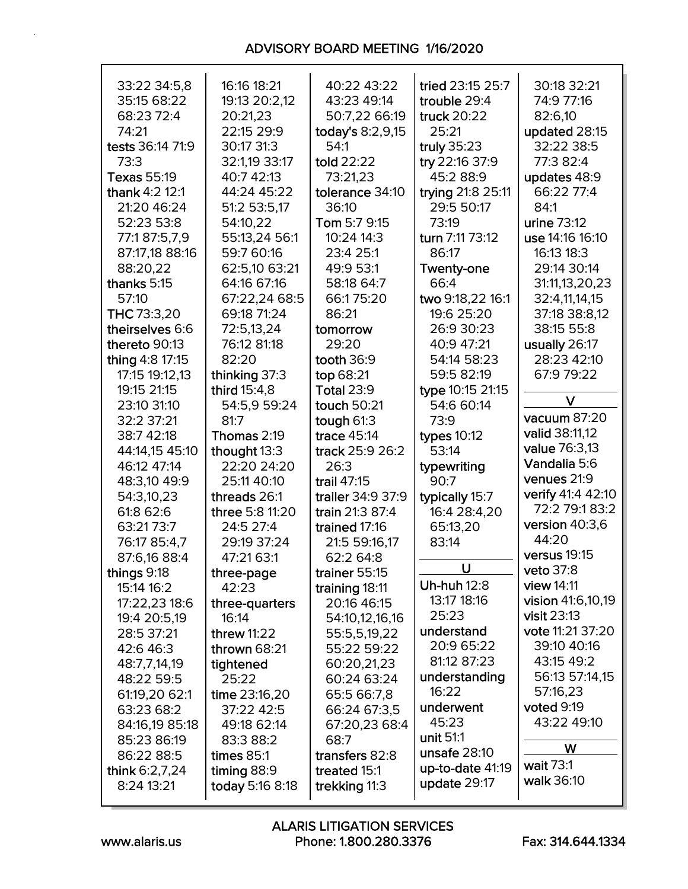| 33:22 34:5,8       | 16:16 18:21     | 40:22 43:22       | tried 23:15 25:7   | 30:18 32:21        |  |  |
|--------------------|-----------------|-------------------|--------------------|--------------------|--|--|
| 35:15 68:22        | 19:13 20:2,12   | 43:23 49:14       | trouble 29:4       | 74:9 77:16         |  |  |
| 68:23 72:4         | 20:21,23        | 50:7,22 66:19     | truck 20:22        |                    |  |  |
| 74:21              |                 |                   |                    | 82:6,10            |  |  |
|                    | 22:15 29:9      | today's 8:2,9,15  | 25:21              | updated 28:15      |  |  |
| tests 36:14 71:9   | 30:17 31:3      | 54:1              | truly 35:23        | 32:22 38:5         |  |  |
| 73:3               | 32:1,19 33:17   | told 22:22        | try 22:16 37:9     | 77:3 82:4          |  |  |
| <b>Texas 55:19</b> | 40:7 42:13      | 73:21,23          | 45:2 88:9          | updates 48:9       |  |  |
| thank 4:2 12:1     | 44:24 45:22     | tolerance 34:10   | trying 21:8 25:11  | 66:22 77:4         |  |  |
| 21:20 46:24        | 51:2 53:5,17    | 36:10             | 29:5 50:17         | 84:1               |  |  |
| 52:23 53:8         | 54:10,22        | Tom 5:7 9:15      | 73:19              | urine 73:12        |  |  |
| 77:187:5,7,9       | 55:13,24 56:1   | 10:24 14:3        | turn 7:11 73:12    | use 14:16 16:10    |  |  |
| 87:17,18 88:16     | 59:7 60:16      | 23:4 25:1         | 86:17              | 16:13 18:3         |  |  |
| 88:20,22           | 62:5,10 63:21   | 49:9 53:1         | <b>Twenty-one</b>  | 29:14 30:14        |  |  |
| thanks 5:15        | 64:16 67:16     | 58:18 64:7        | 66:4               | 31:11,13,20,23     |  |  |
|                    |                 |                   |                    |                    |  |  |
| 57:10              | 67:22,24 68:5   | 66:175:20         | two 9:18,22 16:1   | 32:4,11,14,15      |  |  |
| THC 73:3,20        | 69:18 71:24     | 86:21             | 19:6 25:20         | 37:18 38:8,12      |  |  |
| theirselves 6:6    | 72:5,13,24      | tomorrow          | 26:9 30:23         | 38:15 55:8         |  |  |
| thereto 90:13      | 76:12 81:18     | 29:20             | 40:9 47:21         | usually 26:17      |  |  |
| thing 4:8 17:15    | 82:20           | tooth 36:9        | 54:14 58:23        | 28:23 42:10        |  |  |
| 17:15 19:12,13     | thinking 37:3   | top 68:21         | 59:5 82:19         | 67:9 79:22         |  |  |
| 19:15 21:15        | third 15:4,8    | <b>Total 23:9</b> | type 10:15 21:15   |                    |  |  |
| 23:10 31:10        | 54:5,9 59:24    | touch 50:21       | 54:6 60:14         | V                  |  |  |
| 32:2 37:21         | 81:7            | tough 61:3        | 73:9               | vacuum 87:20       |  |  |
| 38:7 42:18         | Thomas 2:19     | trace 45:14       | types 10:12        | valid 38:11,12     |  |  |
| 44:14,15 45:10     | thought 13:3    | track 25:9 26:2   | 53:14              | value 76:3,13      |  |  |
| 46:12 47:14        | 22:20 24:20     | 26:3              |                    | Vandalia 5:6       |  |  |
|                    |                 |                   | typewriting        | venues 21:9        |  |  |
| 48:3,10 49:9       | 25:11 40:10     | trail 47:15       | 90:7               | verify 41:4 42:10  |  |  |
| 54:3,10,23         | threads 26:1    | trailer 34:9 37:9 | typically 15:7     |                    |  |  |
| 61:8 62:6          | three 5:8 11:20 | train 21:3 87:4   | 16:4 28:4,20       | 72:2 79:1 83:2     |  |  |
| 63:21 73:7         | 24:5 27:4       | trained 17:16     | 65:13,20           | version $40:3,6$   |  |  |
| 76:17 85:4,7       | 29:19 37:24     | 21:5 59:16,17     | 83:14              | 44:20              |  |  |
| 87:6,16 88:4       | 47:21 63:1      | 62:2 64:8         |                    | versus 19:15       |  |  |
| things 9:18        | three-page      | trainer 55:15     | U                  | veto 37:8          |  |  |
| 15:14 16:2         | 42:23           | training 18:11    | <b>Uh-huh 12:8</b> | view 14:11         |  |  |
| 17:22,23 18:6      | three-quarters  | 20:16 46:15       | 13:17 18:16        | vision 41:6,10,19  |  |  |
| 19:4 20:5,19       | 16:14           | 54:10,12,16,16    | 25:23              | <b>visit 23:13</b> |  |  |
| 28:5 37:21         | threw 11:22     | 55:5,5,19,22      | understand         | vote 11:21 37:20   |  |  |
| 42:6 46:3          | thrown 68:21    | 55:22 59:22       | 20:9 65:22         | 39:10 40:16        |  |  |
| 48:7,7,14,19       | tightened       | 60:20,21,23       | 81:12 87:23        | 43:15 49:2         |  |  |
|                    |                 |                   | understanding      | 56:13 57:14,15     |  |  |
| 48:22 59:5         | 25:22           | 60:24 63:24       | 16:22              | 57:16,23           |  |  |
| 61:19,20 62:1      | time 23:16,20   | 65:5 66:7,8       | underwent          | voted 9:19         |  |  |
| 63:23 68:2         | 37:22 42:5      | 66:24 67:3,5      |                    |                    |  |  |
| 84:16,19 85:18     | 49:18 62:14     | 67:20,23 68:4     | 45:23              | 43:22 49:10        |  |  |
| 85:23 86:19        | 83:3 88:2       | 68:7              | unit 51:1          | W                  |  |  |
| 86:22 88:5         | times $85:1$    | transfers 82:8    | unsafe $28:10$     |                    |  |  |
| think 6:2,7,24     | timing 88:9     | treated 15:1      | up-to-date 41:19   | wait 73:1          |  |  |
| 8:24 13:21         | today 5:16 8:18 | trekking 11:3     | update 29:17       | walk 36:10         |  |  |
|                    |                 |                   |                    |                    |  |  |

Г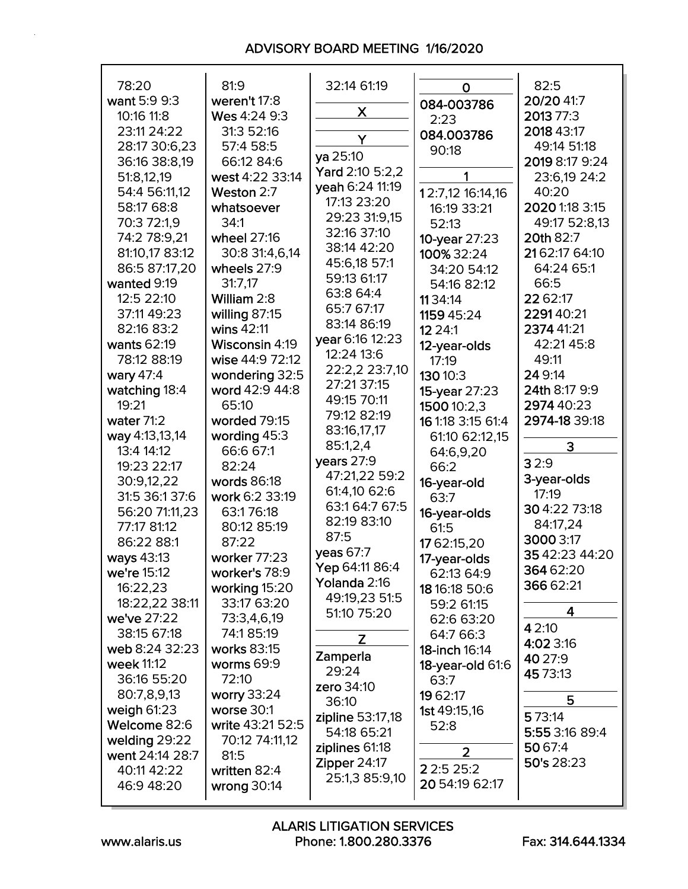| 78:20           | 81:9             | 32:14 61:19                          | O                   | 82:5           |  |  |
|-----------------|------------------|--------------------------------------|---------------------|----------------|--|--|
| want 5:9 9:3    | weren't 17:8     | X                                    | 084-003786          | 20/20 41:7     |  |  |
| 10:16 11:8      | Wes 4:24 9:3     |                                      | 2:23                | 2013 77:3      |  |  |
| 23:11 24:22     | 31:3 52:16       | Y                                    | 084.003786          | 2018 43:17     |  |  |
| 28:17 30:6,23   | 57:4 58:5        | ya 25:10                             | 90:18               | 49:14 51:18    |  |  |
| 36:16 38:8,19   | 66:12 84:6       |                                      |                     | 2019 8:17 9:24 |  |  |
| 51:8,12,19      | west 4:22 33:14  | Yard 2:10 5:2,2                      | 1                   | 23:6,19 24:2   |  |  |
| 54:4 56:11,12   | Weston 2:7       | yeah 6:24 11:19                      | 12:7,12 16:14,16    | 40:20          |  |  |
| 58:17 68:8      | whatsoever       | 17:13 23:20                          | 16:19 33:21         | 2020 1:18 3:15 |  |  |
| 70:3 72:1,9     | 34:1             | 29:23 31:9,15                        | 52:13               | 49:17 52:8,13  |  |  |
| 74:2 78:9,21    | wheel 27:16      | 32:16 37:10                          | 10-year 27:23       | 20th 82:7      |  |  |
| 81:10,17 83:12  | 30:8 31:4,6,14   | 38:14 42:20                          | 100% 32:24          | 2162:17 64:10  |  |  |
| 86:5 87:17,20   | wheels 27:9      | 45:6,18 57:1                         | 34:20 54:12         | 64:24 65:1     |  |  |
| wanted 9:19     | 31:7,17          | 59:13 61:17                          | 54:16 82:12         | 66:5           |  |  |
| 12:5 22:10      | William 2:8      | 63:8 64:4                            | 1134:14             | 22 62:17       |  |  |
| 37:11 49:23     | willing 87:15    | 65:7 67:17                           | 1159 45:24          | 229140:21      |  |  |
| 82:16 83:2      | wins 42:11       | 83:14 86:19                          | 12 2 4:1            | 2374 41:21     |  |  |
| wants 62:19     | Wisconsin 4:19   | year 6:16 12:23                      | 12-year-olds        | 42:21 45:8     |  |  |
| 78:12 88:19     | wise 44:9 72:12  | 12:24 13:6                           | 17:19               | 49:11          |  |  |
| wary 47:4       | wondering 32:5   | 22:2,2 23:7,10                       | 130 10:3            | 24 9:14        |  |  |
| watching 18:4   | word 42:9 44:8   | 27:21 37:15                          | 15-year 27:23       | 24th 8:17 9:9  |  |  |
| 19:21           | 65:10            | 49:15 70:11                          | 1500 10:2,3         | 2974 40:23     |  |  |
| water 71:2      | worded 79:15     | 79:12 82:19                          | 16 1:18 3:15 61:4   | 2974-18 39:18  |  |  |
| way 4:13,13,14  | wording 45:3     | 83:16,17,17                          | 61:10 62:12,15      |                |  |  |
| 13:4 14:12      | 66:6 67:1        | 85:1,2,4                             | 64:6,9,20           | 3              |  |  |
| 19:23 22:17     | 82:24            | years 27:9                           | 66:2                | 32:9           |  |  |
| 30:9,12,22      | words 86:18      | 47:21,22 59:2                        | 16-year-old         | 3-year-olds    |  |  |
| 31:5 36:1 37:6  | work 6:2 33:19   | 61:4,10 62:6                         | 63:7                | 17:19          |  |  |
| 56:20 71:11,23  | 63:176:18        | 63:1 64:7 67:5                       | 16-year-olds        | 30 4:22 73:18  |  |  |
| 77:17 81:12     | 80:12 85:19      | 82:19 83:10                          | 61:5                | 84:17,24       |  |  |
| 86:22 88:1      | 87:22            | 87:5                                 | 17 62:15,20         | 3000 3:17      |  |  |
| ways 43:13      | worker 77:23     | yeas 67:7                            | 17-year-olds        | 35 42:23 44:20 |  |  |
| we're 15:12     | worker's 78:9    | <b>Yep</b> 64:11 86:4                | 62:13 64:9          | 364 62:20      |  |  |
| 16:22,23        | working 15:20    | <b>Yolanda</b> 2:16<br>49:19,23 51:5 | 18 16:18 50:6       | 366 62:21      |  |  |
| 18:22,22 38:11  | 33:17 63:20      | 51:10 75:20                          | 59:2 61:15          | 4              |  |  |
| we've 27:22     | 73:3,4,6,19      |                                      | 62:6 63:20          | 4 2:10         |  |  |
| 38:15 67:18     | 74:185:19        | Z                                    | 64:7 66:3           | 4:02 3:16      |  |  |
| web 8:24 32:23  | works 83:15      | Zamperla                             | 18-inch 16:14       | 40 27:9        |  |  |
| week 11:12      | worms 69:9       | 29:24                                | 18-year-old 61:6    | 45 73:13       |  |  |
| 36:16 55:20     | 72:10            | zero 34:10                           | 63:7                |                |  |  |
| 80:7,8,9,13     | worry 33:24      | 36:10                                | 19 62:17            | 5              |  |  |
| weigh $61:23$   | worse 30:1       | zipline 53:17,18                     | <b>1st 49:15,16</b> | 5 7 3:14       |  |  |
| Welcome 82:6    | write 43:21 52:5 | 54:18 65:21                          | 52:8                | 5:55 3:16 89:4 |  |  |
| welding 29:22   | 70:12 74:11,12   | ziplines 61:18                       | $\overline{2}$      | 50 67:4        |  |  |
| went 24:14 28:7 | 81:5             | <b>Zipper 24:17</b>                  |                     | 50's 28:23     |  |  |
| 40:11 42:22     | written 82:4     | 25:1,3 85:9,10                       | 2 2:5 25:2          |                |  |  |
| 46:9 48:20      | wrong 30:14      |                                      | 20 54:19 62:17      |                |  |  |